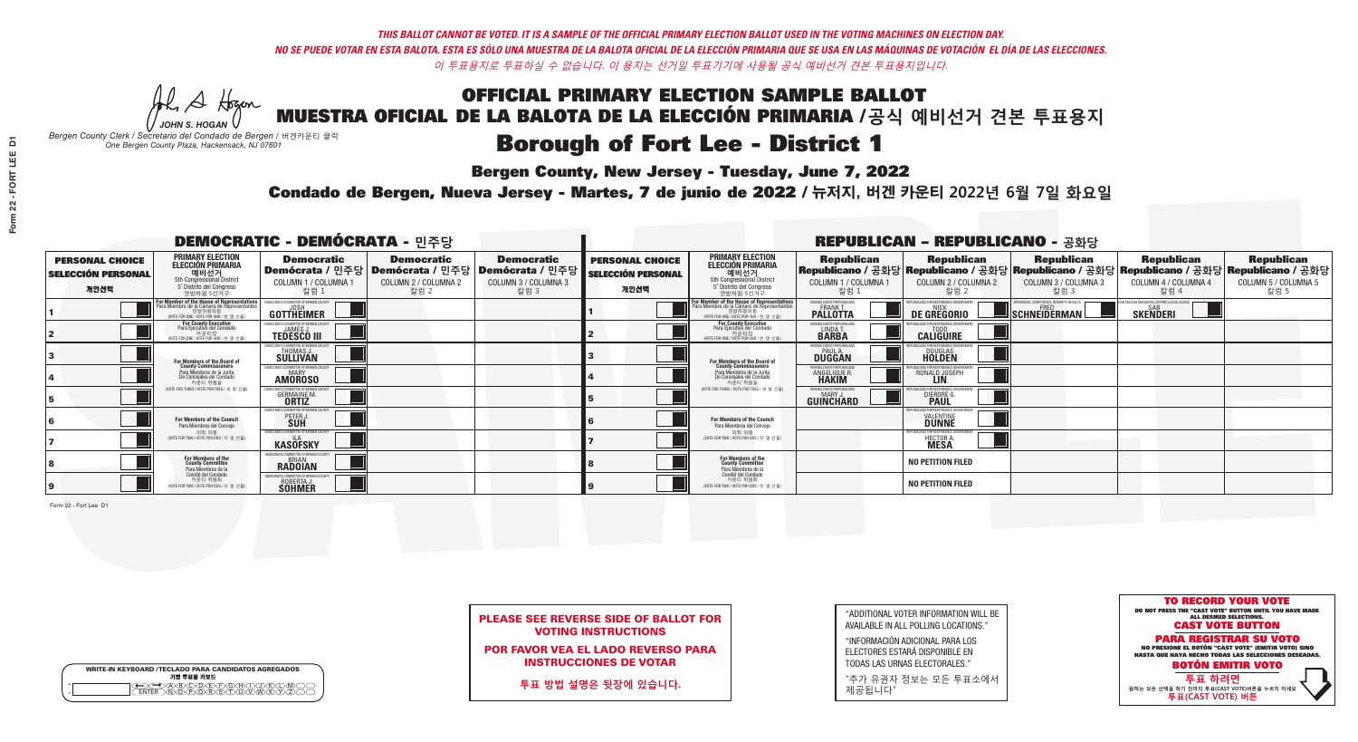A Hogen *JOHN S. HOGAN*

|         | <b>WRITE-IN KEYBOARD /TECLADO PARA CANDIDATOS AGREGADOS</b><br>기명 투표용 키보드 |
|---------|---------------------------------------------------------------------------|
| ٥       | )(B)C)(D)(E)(F)(G)(H)(                                                    |
| $\circ$ | <u>፝ዀ፝</u> ፙዂጞቝ                                                           |

# **Borough of Fort Lee - District 1**

**Bergen County, New Jersey - Tuesday, June 7, 2022** 

*Bergen County Clerk / Secretario del Condado de Bergen /* 버겐카운티 클럭 *One Bergen County Plaza, Hackensack, NJ 07601*



PLEASE SEE REVERSE SIDE OF BALLOT FOR VOTING INSTRUCTIONS

POR FAVOR VEA EL LADO REVERSO PARA INSTRUCCIONES DE VOTAR

**투표 방법 설명은 뒷장에 있습니다.**

| "ADDITIONAL VOTER INFORMATION WILL BE |
|---------------------------------------|
| AVAILABLE IN ALL POLLING LOCATIONS."  |

"INFORMACIÓN ADICIONAL PARA LOS ELECTORES ESTARÁ DISPONIBLE EN TODAS LAS URNAS ELECTORALES."

"추가 유권자 정보는 모든 투표소에서 제공됩니다"

Condado de Bergen, Nueva Jersey - Martes, 7 de junio de 2022 / 뉴저지, 버겐 카운티 2022년 6월 7일 화요일 *One Bergen County Plaza, Hackensack, NJ 07601*

|                                                             |                                                                                                                                    | <b>DEMOCRATIC - DEMÓCRATA - 민주당</b>                                  |                                                   |                                                                                                        |                                                             |                                                                                                                                            |                                                                | <b>REPUBLICAN - REPUBLICANO - 공화당</b>                 |                                                                                                                                                |                                                           |                                                   |
|-------------------------------------------------------------|------------------------------------------------------------------------------------------------------------------------------------|----------------------------------------------------------------------|---------------------------------------------------|--------------------------------------------------------------------------------------------------------|-------------------------------------------------------------|--------------------------------------------------------------------------------------------------------------------------------------------|----------------------------------------------------------------|-------------------------------------------------------|------------------------------------------------------------------------------------------------------------------------------------------------|-----------------------------------------------------------|---------------------------------------------------|
| <b>PERSONAL CHOICE</b><br><b>SELECCIÓN PERSONAL</b><br>개인선택 | <b>PRIMARY ELECTION</b><br><b>ELECCIÓN PRIMARIA</b><br>예비선거<br>5th Congressional District<br>5° Distrito del Congreso<br>연방하원 5선거구 | <b>Democratic</b><br>COLUMN 1 / COLUMNA 1<br>칼럼 :                    | <b>Democratic</b><br>COLUMN 2 / COLUMNA 2<br>칼럼 2 | <b>Democratic</b><br>Demócrata / 민주당 Demócrata / 민주당 Demócrata / 민주당 D<br>COLUMN 3 / COLUMNA 3<br>칼럼 3 | <b>PERSONAL CHOICE</b><br><b>SELECCIÓN PERSONAL</b><br>개인선택 | <b>PRIMARY ELECTION</b><br>ELECCIÓN PRIMARIA<br>5th Congressional District<br>5° Distrito del Congreso<br>연방하원 5선거구                        | <b>Republican</b><br>COLUMN 1 / COLUMNA 1<br>칼럼                | <b>Republican</b><br>COLUMN 2 / COLUMNA 2<br>칼럼 2     | <b>Republican</b><br>Republicano / 공화당 Republicano / 공화당 Republicano / 공화당 Republicano / 공화당 Republicano / 공화당<br>COLUMN 3 / COLUMNA 3<br>칼럼 3 | <b>Republican</b><br>COLUMN 4 / COLUMNA 4<br>칼럼 4         | <b>Republican</b><br>COLUMN 5 / COLUMNA 5<br>칼럼 5 |
|                                                             | <b>or Member of the House of Representatives<br/>ara Miembro de la Cámara de Representantes</b>                                    | <b>GOTTHEIMER</b>                                                    |                                                   |                                                                                                        |                                                             | <b>For Member of the House of Representatives<br/>Para Miembro de la Cámara de Representantes</b><br>NOTE FOR ONE / VOTE POR UNO / 한 명 선출) | BERGEN COUNTY REPUBLICAN<br><b>FRANK T.</b><br><b>PALLOTTA</b> | DE GREGORIO                                           | PERIENCE, COMPETENCE, INTEGRITY, RESULT<br>$\blacksquare$ SCHNEIDERMAN                                                                         | /ACCINE MANDATES, DEPORT ILLEGAL ALIEN<br><b>SKENDERI</b> |                                                   |
|                                                             | For County Executive<br>Para Ejecutivo del Condado<br>가운티장<br>(VOTE FOR ONE / VOTE POR UNO / 한 명 선출)                               | <b>TEDESCO III</b>                                                   |                                                   |                                                                                                        |                                                             | For County Executive<br>Para Ejecutivo del Condado<br>카운티장<br>(VOTE FOR ONE / VOTE POR UNO / 한 명 선출)                                       | BERGEN COUNTY REPUBLICA<br>LINDA T.                            | <b>CALIGUIRE</b>                                      |                                                                                                                                                |                                                           |                                                   |
|                                                             | <b>For Members of the Board of<br/>County Commissioners</b>                                                                        | MOCRATIC COMMITTEE OF BERGEN COUNT<br>THOMAS J.                      |                                                   |                                                                                                        |                                                             | <b>For Members of the Board of</b><br>County Commissioners                                                                                 | ERGEN COUNTY REPUBLICAN<br><b>DUGGAN</b>                       | <b>DOUGLAS</b>                                        |                                                                                                                                                |                                                           |                                                   |
|                                                             | Para Miembros de la Junta<br>De Concejales del Condado<br>카우티 위원들                                                                  | MOCRATIC COMMITTEE OF BERGEN COUNTY<br><b>MARY</b><br><b>AMOROSO</b> |                                                   |                                                                                                        |                                                             | Para Miembros de la Junta<br>De Concejales del Condado<br>카우티 위원들                                                                          | FRGEN COUNTY REPUBLICA<br><b>ANGELIQUE F</b><br><b>HAKIM</b>   | RONALD JOSEPH                                         |                                                                                                                                                |                                                           |                                                   |
|                                                             | (VOTE FOR THREE / VOTE POR TRES / 세 명 선출)                                                                                          | <b>GERMAINE M.</b>                                                   |                                                   |                                                                                                        |                                                             | (VOTE FOR THREE / VOTE POR TRES / 세 명 선출)                                                                                                  | ERGEN COUNTY REPUBLICANS<br>MARY J<br><b>GUINCHARD</b>         | DIERDRE G                                             |                                                                                                                                                |                                                           |                                                   |
|                                                             | For Members of the Council<br>Para Miembros del Conceio                                                                            | OCRATIC COMMITTEE OF BERGEN COUNTY<br>PETER                          |                                                   |                                                                                                        |                                                             | For Members of the Council<br>Para Miembros del Conceio                                                                                    |                                                                | ILICANS FOR RESPONSIBLE G(<br><b><i>VALENTINE</i></b> |                                                                                                                                                |                                                           |                                                   |
|                                                             | 의회 의원<br>NOTE FOR TWO / VOTE POR DOS / 두 명 선출)                                                                                     | EMOCRATIC COMMITTEE OF BERGEN COUNTY<br><b>KASOFSKY</b>              |                                                   |                                                                                                        |                                                             | 의회 의원<br>NOTE FOR TWO / VOTE POR DOS / 두 명 선출)                                                                                             |                                                                | HECTOR A.                                             |                                                                                                                                                |                                                           |                                                   |
|                                                             | For Members of the<br>County Committee<br>Para Miembros de la                                                                      | <i>AOCRATIC COMMITTEE OF BEBGEN (</i><br><b>RADOIAN</b>              |                                                   |                                                                                                        |                                                             | For Members of the<br>County Committee<br>Para Miembros de la<br>Comité del Condado                                                        |                                                                | <b>NO PETITION FILED</b>                              |                                                                                                                                                |                                                           |                                                   |
|                                                             | Comité del Condado<br>카운티 위원회<br>(VOTE FOR TWO / VOTE POR DOS / 두 명 선출)                                                            | ATIC COMMITTEE OF REBGEN (<br>ROBERTA J.<br><b>SOHMER</b>            |                                                   |                                                                                                        |                                                             | 카운티 위원회<br>(VOTE FOR TWO / VOTE POR DOS / 두 명 선출)                                                                                          |                                                                | <b>NO PETITION FILED</b>                              |                                                                                                                                                |                                                           |                                                   |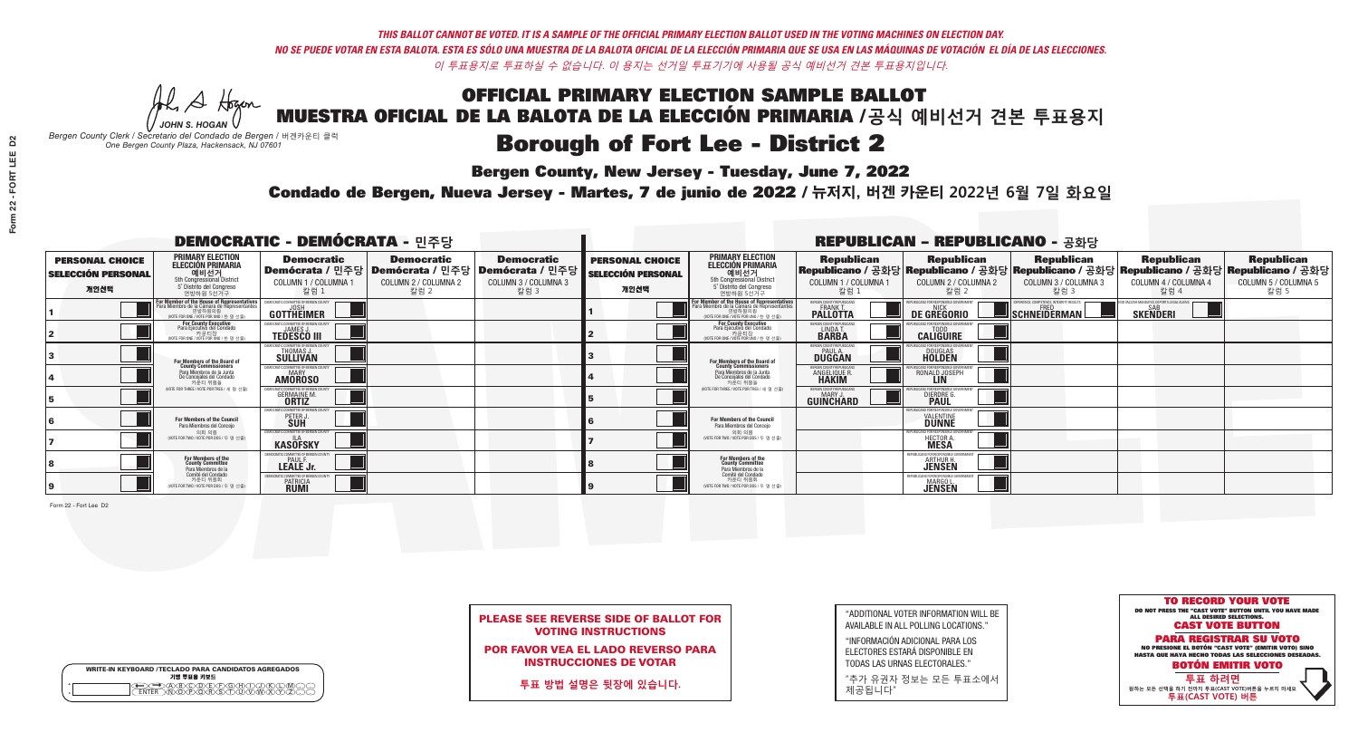A Hogen *JOHN S. HOGAN*

|   | <b>WRITE-IN KEYBOARD /TECLADO PARA CANDIDATOS AGREGADOS</b><br>기명 투표용 키보드 |
|---|---------------------------------------------------------------------------|
| o | .)B)C)DE)F)G)H)                                                           |
| o | <u>እጅአል አል</u>                                                            |

# **Borough of Fort Lee - District 2**

**Bergen County, New Jersey - Tuesday, June 7, 2022** 

*Bergen County Clerk / Secretario del Condado de Bergen /* 버겐카운티 클럭 *One Bergen County Plaza, Hackensack, NJ 07601*



PLEASE SEE REVERSE SIDE OF BALLOT FOR VOTING INSTRUCTIONS

POR FAVOR VEA EL LADO REVERSO PARA INSTRUCCIONES DE VOTAR

**투표 방법 설명은 뒷장에 있습니다.**

"ADDITIONAL VOTER INFORMATION WILL BE AVAILABLE IN ALL POLLING LOCATIONS."

"INFORMACIÓN ADICIONAL PARA LOS ELECTORES ESTARÁ DISPONIBLE EN TODAS LAS URNAS ELECTORALES."

"추가 유권자 정보는 모든 투표소에서 제공됩니다"

Condado de Bergen, Nueva Jersey - Martes, 7 de junio de 2022 / 뉴저지, 버겐 카운티 2022년 6월 7일 화요일 *One Bergen County Plaza, Hackensack, NJ 07601*

|                                                             |                                                                                                                                                      | <b>DEMOCRATIC - DEMÓCRATA - 민주당</b>                                |                                                   |                                                                                                        |                                                             |                                                                                                                                              |                                                            | <b>REPUBLICAN - REPUBLICANO - 공화당</b>                                                                                                          |                                                   |                                                                 |                                                   |
|-------------------------------------------------------------|------------------------------------------------------------------------------------------------------------------------------------------------------|--------------------------------------------------------------------|---------------------------------------------------|--------------------------------------------------------------------------------------------------------|-------------------------------------------------------------|----------------------------------------------------------------------------------------------------------------------------------------------|------------------------------------------------------------|------------------------------------------------------------------------------------------------------------------------------------------------|---------------------------------------------------|-----------------------------------------------------------------|---------------------------------------------------|
| <b>PERSONAL CHOICE</b><br><b>SELECCIÓN PERSONAL</b><br>개인선택 | <b>PRIMARY ELECTION</b><br><b>ELECCIÓN PRIMARIA</b><br>예비선거<br>5th Congressional District<br>5° Distrito del Congreso<br>연방하원 5선거구                   | <b>Democratic</b><br>COLUMN 1 / COLUMNA 1<br>칼럼 :                  | <b>Democratic</b><br>COLUMN 2 / COLUMNA 2<br>칼럼 2 | <b>Democratic</b><br>│Demócrata / 민주당│Demócrata / 민주당│Demócrata / 민주당│<br>COLUMN 3 / COLUMNA 3<br>칼럼 3 | <b>PERSONAL CHOICE</b><br><b>SELECCIÓN PERSONAL</b><br>개인선택 | <b>PRIMARY ELECTION</b><br><b>ELECCIÓN PRIMARIA</b><br>예비선거<br>5th Congressional District<br>5° Distrito del Congreso<br>연방하원 5선거구           | <b>Republican</b><br>COLUMN 1 / COLUMNA 1<br>칼럼            | <b>Republican</b><br>Republicano / 공화당 Republicano / 공화당 Republicano / 공화당 Republicano / 공화당 Republicano / 공화당<br>COLUMN 2 / COLUMNA 2<br>칼럼 2 | <b>Republican</b><br>COLUMN 3 / COLUMNA 3<br>칼럼 3 | <b>Republican</b><br>COLUMN 4 / COLUMNA 4<br>칼럼 4               | <b>Republican</b><br>COLUMN 5 / COLUMNA 5<br>칼럼 5 |
|                                                             | <b>For Member of the House of Representatives</b><br>Para Miembro de la Cámara de Representantes<br>연방하원의원<br>(VOTE FOR ONE / VOTE POR UNO / 한 명 선출) | DEMOCRATIC COMMITTEE OF BERGEN COUNTY<br>JOSH<br><b>GOTTHEIMER</b> |                                                   |                                                                                                        |                                                             | For Member of the House of Representatives<br>Para Miembro de la Cámara de Representantes<br>연방하원의원<br>(VOTE FOR ONE / VOTE POR UNO / 한 명 선출 | BERGEN COUNTY REPUBLICANS<br>FRANK T.<br><b>PALLOTTA</b>   | DE GREGORIO                                                                                                                                    | SCHNEIDERMAN                                      | D VACCINE MANDATES, DEPORT ILLEGAL ALIENS. [<br><b>SKENDERI</b> |                                                   |
|                                                             | For County Executive<br>Para Ejecutivo del Condado<br>가운티장 - 카운티장<br>(VOTE FOR ONE / VOTE POR UNO / 한 명 선출)                                          | )EMOCRATIC COMMITTEE OF BERGEN COUNT<br><b>TEDESCO III</b>         |                                                   |                                                                                                        |                                                             | <b>For County Executive</b><br>Para Ejecutivo del Condado<br>가운티상<br>(VOTE FOR ONE / VOTE POR UNO / 한 명 선출)                                  | BERGEN COUNTY REPUBLICAN<br>LINDAT.                        | <b>CALIGUIRE</b>                                                                                                                               |                                                   |                                                                 |                                                   |
|                                                             | <b>For Members of the Board of<br/>County Commissioners</b>                                                                                          | MOCRATIC COMMITTEE OF BERGEN COUNT<br><b>SULLIVAN</b>              |                                                   |                                                                                                        |                                                             | For Members of the Board of<br>County Commissioners                                                                                          | ERGEN COUNTY REPUBLICAN<br><b>PAUL A.</b><br><b>DUGGAN</b> | DOUGLAS<br>HOLDEN                                                                                                                              |                                                   |                                                                 |                                                   |
|                                                             | Para Miembros de la Junta<br>De Concejales del Condado<br>카우티 위원들                                                                                    | <b>10CRATIC COMMITTEE OF BERGEN COUNTY</b><br><b>AMOROSO</b>       |                                                   |                                                                                                        |                                                             | Para Miembros de la Junta<br>De Concejales del Condado<br>카우티 위원들                                                                            | ERGEN COUNTY REPUBLICAN<br>ANGELIQUE R                     | RONALD JOSEPH                                                                                                                                  |                                                   |                                                                 |                                                   |
|                                                             | NOTE FOR THREE / VOTE POR TRES / 세 명 선출)                                                                                                             | RATIC COMMITTEE OF BERGEN COUN<br><b>GERMAINE M.</b>               |                                                   |                                                                                                        |                                                             | NOTE FOR THREE / VOTE POR TRES / 세 명 선출                                                                                                      | ERGEN COUNTY REPUBLICANS<br>MARY J.<br>GUINCHARD           | <b>DIERDRE</b> Q                                                                                                                               |                                                   |                                                                 |                                                   |
|                                                             | For Members of the Council<br>Para Miembros del Conceio                                                                                              | CRATIC COMMITTEE OF BERGEN<br>PETER J                              |                                                   |                                                                                                        |                                                             | For Members of the Council<br>Para Miembros del Conceio                                                                                      |                                                            | <b>FOR RESPONSIBLE G</b><br><b>VALENTINE</b>                                                                                                   |                                                   |                                                                 |                                                   |
|                                                             | 의회 의원<br>(VOTE FOR TWO / VOTE POR DOS / 두 명 선출)                                                                                                      | EMOCRATIC COMMITTEE OF BERGEN COUNT<br><b>KASOFSKY</b>             |                                                   |                                                                                                        |                                                             | 의회 의원<br>(VOTE FOR TWO / VOTE POR DOS / 두 명 선출)                                                                                              |                                                            | EPUBLICANS FOR RESPONSIBLE GOVERNMEN<br><b>HECTOR A</b>                                                                                        |                                                   |                                                                 |                                                   |
|                                                             | For Members of the<br>County Committee<br>Para Miembros de la                                                                                        | <b>PAUL F.</b><br>LEALE Jr.                                        |                                                   |                                                                                                        |                                                             | For Members of the<br>County Committee<br>Para Miembros de la<br>Comité del Condado                                                          |                                                            | REPUBLICANS FOR RESPONSIBLE<br><b>ARTHUR H.</b><br><b>JENSEN</b>                                                                               |                                                   |                                                                 |                                                   |
|                                                             | Comité del Condado<br>카운티 위원회<br>(VOTE FOR TWO / VOTE POR DOS / 두 명 선출)                                                                              | IOCRATIC COMMITTEE OF BERGEI<br><b>PATRICIA</b><br><b>RUMI</b>     |                                                   |                                                                                                        |                                                             | 카운티 위원회<br>WOTE FOR TWO / VOTE POR DOS / 두 명 선출)                                                                                             |                                                            | REPUBLICANS FOR RESPONSIBLE<br><b>MARGOL</b><br><b>JENSEN</b>                                                                                  |                                                   |                                                                 |                                                   |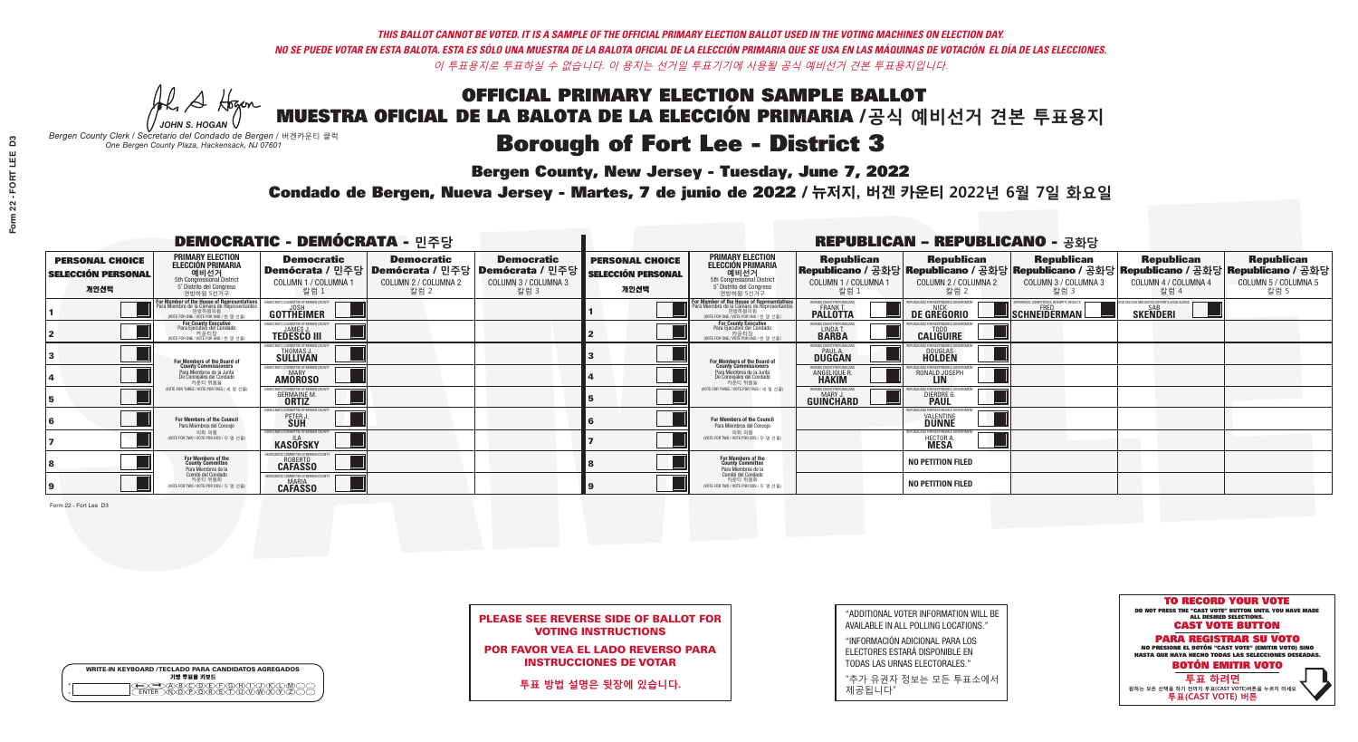A Hogen *JOHN S. HOGAN*

|              | <b>WRITE-IN KEYBOARD /TECLADO PARA CANDIDATOS AGREGADOS</b><br>기명 투표용 키보드 |
|--------------|---------------------------------------------------------------------------|
| o<br>$\circ$ | @®©®©©©®<br>®®®®®®©®®                                                     |

# **Borough of Fort Lee - District 3**

**Bergen County, New Jersey - Tuesday, June 7, 2022** 

*Bergen County Clerk / Secretario del Condado de Bergen /* 버겐카운티 클럭 *One Bergen County Plaza, Hackensack, NJ 07601*



|  |                            | <b>PLEASE SEE REVERSE SIDE OF BALLOT FOR</b> |  |
|--|----------------------------|----------------------------------------------|--|
|  | <b>VOTING INSTRUCTIONS</b> |                                              |  |

POR FAVOR VEA EL LADO REVERSO PARA INSTRUCCIONES DE VOTAR

**투표 방법 설명은 뒷장에 있습니다.**

"ADDITIONAL VOTER INFORMATION WILL BE AVAILABLE IN ALL POLLING LOCATIONS."

"INFORMACIÓN ADICIONAL PARA LOS ELECTORES ESTARÁ DISPONIBLE EN TODAS LAS URNAS ELECTORALES."

"추가 유권자 정보는 모든 투표소에서 제공됩니다"

Condado de Bergen, Nueva Jersey - Martes, 7 de junio de 2022 / 뉴저지, 버겐 카운티 2022년 6월 7일 화요일 *One Bergen County Plaza, Hackensack, NJ 07601*

|                                                             |                                                                                                                                    | <b>DEMOCRATIC - DEMÓCRATA - 민주당</b>                     |                                                                                                        |                                                   |                                                             |                                                                                                                                                       |                                                                      | <b>REPUBLICAN - REPUBLICANO - 공화당</b>              |                                                                                                                                                |                                                   |                                                   |
|-------------------------------------------------------------|------------------------------------------------------------------------------------------------------------------------------------|---------------------------------------------------------|--------------------------------------------------------------------------------------------------------|---------------------------------------------------|-------------------------------------------------------------|-------------------------------------------------------------------------------------------------------------------------------------------------------|----------------------------------------------------------------------|----------------------------------------------------|------------------------------------------------------------------------------------------------------------------------------------------------|---------------------------------------------------|---------------------------------------------------|
| <b>PERSONAL CHOICE</b><br><b>SELECCIÓN PERSONAL</b><br>개인선택 | <b>PRIMARY ELECTION</b><br><b>ELECCIÓN PRIMARIA</b><br>예비선거<br>5th Congressional District<br>5° Distrito del Congreso<br>연방하원 5선거구 | <b>Democratic</b><br>COLUMN 1 / COLUMNA 1<br>칼럼 1       | <b>Democratic</b><br>│Demócrata / 민주당│Demócrata / 민주당│Demócrata / 민주당│<br>COLUMN 2 / COLUMNA 2<br>칼럼 2 | <b>Democratic</b><br>COLUMN 3 / COLUMNA 3<br>칼럼 3 | <b>PERSONAL CHOICE</b><br><b>SELECCIÓN PERSONAL</b><br>개인선택 | <b>PRIMARY ELECTION</b><br>ELECCIÓN PRIMARIA<br>5th Congressional District<br>5° Distrito del Congreso<br>연방하원 5선거구                                   | <b>Republican</b><br>COLUMN 1 / COLUMNA 1<br>칼럼                      | <b>Republican</b><br>COLUMN 2 / COLUMNA 2<br>·칼럼 2 | <b>Republican</b><br>Republicano / 공화당 Republicano / 공화당 Republicano / 공화당 Republicano / 공화당 Republicano / 공화당<br>COLUMN 3 / COLUMNA 3<br>칼럼 3 | <b>Republican</b><br>COLUMN 4 / COLUMNA 4<br>칼럼 4 | <b>Republican</b><br>COLUMN 5 / COLUMNA 5<br>칼럼 5 |
|                                                             | F <b>or Member of the House of Representatives</b><br>Para Miembro de la Cámara de Representantes                                  | <b>GOTTHEIMER</b>                                       |                                                                                                        |                                                   |                                                             | <b>For Member of the House of Representatives<br/>Para Miembro de la Cámara de Representantes</b><br>연방하원의원<br>(VOTE FOR ONE / VOTE POR UNO / 한 명 선출) | <b>ERGEN COUNTY REPUBLICAN</b><br><b>FRANK T.</b><br><b>PALLOTTA</b> | DE GREGORIO                                        | SCHNEIDERMAN                                                                                                                                   | <b>SKENDERI</b>                                   |                                                   |
|                                                             | <b>For County Executive</b><br>Para Ejecutivo del Condado<br>(VOTE FOR ONE / VOTE POR UNO / 한 명 선출)                                | <b>TEDESCO III</b>                                      |                                                                                                        |                                                   |                                                             | For County Executive<br>Para Ejecutivo del Condado<br>WOTE FOR ONE /VOTE POR UNO / 한 명 선출                                                             | ERGEN COUNTY REPUBLICAN<br>LINDA T.                                  | <b>CALIGUIRE</b>                                   |                                                                                                                                                |                                                   |                                                   |
|                                                             | For Members of the Board of<br>County Commissioners                                                                                | MOCRATIC COMMITTEE OF BERGEN COUN'<br>THOMAS J.         |                                                                                                        |                                                   |                                                             | <b>For Members of the Board of</b><br>County Commissioners                                                                                            | ERGEN COUNTY REPUBLICAN<br><b>DUGGAN</b>                             | <b>DOUGLAS</b><br><b>HOLDEN</b>                    |                                                                                                                                                |                                                   |                                                   |
|                                                             | Para Miembros de la Junta<br>De Conceiales del Condado<br>카운티 위원들                                                                  | MOCRATIC COMMITTEE OF BERGEN COUNTY<br><b>AMOROSO</b>   |                                                                                                        |                                                   |                                                             | Para Miembros de la Junta<br>De Concejales del Condado<br>카우티 위원들                                                                                     | ERGEN COUNTY REPUBLICAN<br><b>ANGELIQUE F</b><br><b>HAKIM</b>        | RONALD JOSEPH<br><b>LIN</b>                        |                                                                                                                                                |                                                   |                                                   |
|                                                             | (VOTE FOR THREE / VOTE POR TRES / 세 명 선출)                                                                                          | <b>GERMAINE M.</b>                                      |                                                                                                        |                                                   |                                                             | (VOTE FOR THREE / VOTE POR TRES / 세 명 선출)                                                                                                             | ERGEN COUNTY REPUBLICAN<br>MARY .I<br><b>GUINCHARD</b>               | DIERDRE G                                          |                                                                                                                                                |                                                   |                                                   |
|                                                             | For Members of the Council<br>Para Miembros del Conceio                                                                            | CRATIC COMMITTEE OF BERGEN COUNTY<br>PETER J            |                                                                                                        |                                                   |                                                             | <b>For Members of the Council</b><br>Para Miembros del Concejo                                                                                        |                                                                      | FOR RESPONSIBI E (<br><b>VALENTINE</b>             |                                                                                                                                                |                                                   |                                                   |
|                                                             | 의회 의원<br>(VOTE FOR TWO / VOTE POR DOS / 두 명 선출)                                                                                    | EMOCRATIC COMMITTEE OF BERGEN COUNTY<br><b>KASOFSKY</b> |                                                                                                        |                                                   |                                                             | 의회 의원<br>NOTE FOR TWO / VOTE POR DOS / 두 명 선출)                                                                                                        |                                                                      | HECTOR A.                                          |                                                                                                                                                |                                                   |                                                   |
|                                                             | For Members of the<br>County Committee<br>Para Miembros de la                                                                      | ICRATIC COMMITTEE OF BERGEN C<br>ROBERTO<br>CAFASSO     |                                                                                                        |                                                   |                                                             | For Members of the<br>County Committee<br>Para Miembros de la<br>Comité del Condado                                                                   |                                                                      | <b>NO PETITION FILED</b>                           |                                                                                                                                                |                                                   |                                                   |
|                                                             | Comité del Condado<br>카운티 위원회<br>(VOTE FOR TWO / VOTE POR DOS / 두 명 선출)                                                            | OCRATIC COMMITTEE OF RERGEN C<br><b>CAFASSO</b>         |                                                                                                        |                                                   |                                                             | 카운티 위원회<br>(VOTE FOR TWO / VOTE POR DOS / 두 명 선출)                                                                                                     |                                                                      | <b>NO PETITION FILED</b>                           |                                                                                                                                                |                                                   |                                                   |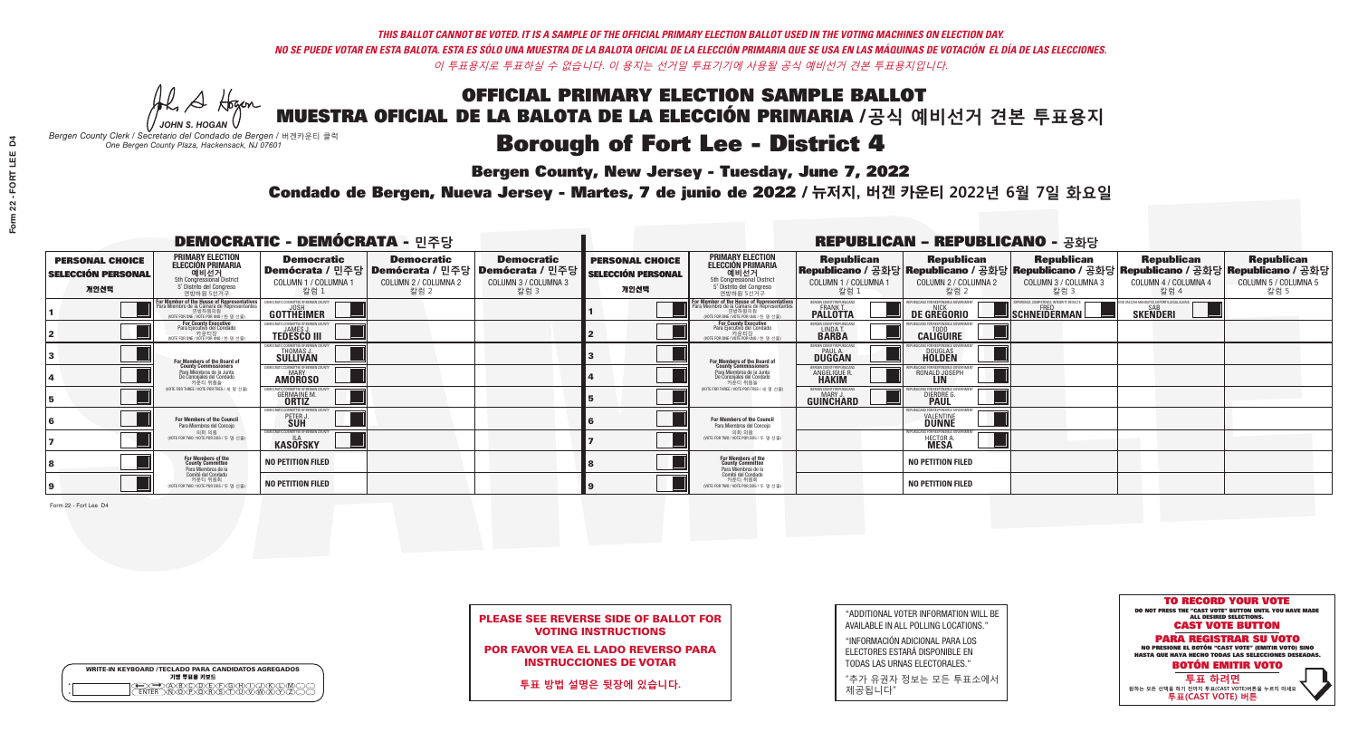A Hogen *JOHN S. HOGAN*

| <b>WRITE-IN KEYBOARD /TECLADO PARA CANDIDATOS AGREGADOS</b><br>기명 투표용 키보드 |  |
|---------------------------------------------------------------------------|--|
| (A)B)C)D)E)(F)(G)(H)(T)(T)(<br>o<br>心面有心的<br>o                            |  |

## **Borough of Fort Lee - District 4**

**Bergen County, New Jersey - Tuesday, June 7, 2022** 

*Bergen County Clerk / Secretario del Condado de Bergen /* 버겐카운티 클럭 *One Bergen County Plaza, Hackensack, NJ 07601*



|  | <b>PLEASE SEE REVERSE SIDE OF BALLOT FOR</b> |  |  |
|--|----------------------------------------------|--|--|
|  | <b>VOTING INSTRUCTIONS</b>                   |  |  |

POR FAVOR VEA EL LADO REVERSO PARA INSTRUCCIONES DE VOTAR

**투표 방법 설명은 뒷장에 있습니다.**

"ADDITIONAL VOTER INFORMATION WILL BE AVAILABLE IN ALL POLLING LOCATIONS."

"INFORMACIÓN ADICIONAL PARA LOS ELECTORES ESTARÁ DISPONIBLE EN TODAS LAS URNAS ELECTORALES."

"추가 유권자 정보는 모든 투표소에서 제공됩니다"

Condado de Bergen, Nueva Jersey - Martes, 7 de junio de 2022 / 뉴저지, 버겐 카운티 2022년 6월 7일 화요일 *One Bergen County Plaza, Hackensack, NJ 07601*

|                                                             |                                                                                                                                    | <b>DEMOCRATIC - DEMÓCRATA - 민주당</b>                                  |                                                   |                                                                                                              |                                                             |                                                                                                                                              |                                                            | <b>REPUBLICAN - REPUBLICANO - 공화당</b>              |                                                   |                                                                                                                                                |                                                   |
|-------------------------------------------------------------|------------------------------------------------------------------------------------------------------------------------------------|----------------------------------------------------------------------|---------------------------------------------------|--------------------------------------------------------------------------------------------------------------|-------------------------------------------------------------|----------------------------------------------------------------------------------------------------------------------------------------------|------------------------------------------------------------|----------------------------------------------------|---------------------------------------------------|------------------------------------------------------------------------------------------------------------------------------------------------|---------------------------------------------------|
| <b>PERSONAL CHOICE</b><br><b>SELECCIÓN PERSONAL</b><br>개인선택 | <b>PRIMARY ELECTION</b><br><b>ELECCIÓN PRIMARIA</b><br>예비선거<br>5th Congressional District<br>5° Distrito del Congreso<br>연방하원 5선거구 | <b>Democratic</b><br>COLUMN 1 / COLUMNA 1<br>칼럼 1                    | <b>Democratic</b><br>COLUMN 2 / COLUMNA 2<br>칼럼 2 | <b>Democratic</b><br>  Demócrata / 민주당   Demócrata / 민주당   Demócrata / 민주당  <br>COLUMN 3 / COLUMNA 3<br>칼럼 3 | <b>PERSONAL CHOICE</b><br><b>SELECCIÓN PERSONAL</b><br>개인선택 | <b>PRIMARY ELECTION</b><br><b>ELECCIÓN PRIMARIA</b><br>예비선거<br>5th Congressional District<br>5° Distrito del Congreso<br>연방하원 5선거구           | <b>Republican</b><br>COLUMN 1 / COLUMNA 1<br>칼럼 :          | <b>Republican</b><br>COLUMN 2 / COLUMNA 2<br>칼럼 2  | <b>Republican</b><br>COLUMN 3 / COLUMNA 3<br>칼럼 3 | <b>Republican</b><br>Republicano / 공화당 Republicano / 공화당 Republicano / 공화당 Republicano / 공화당 Republicano / 공화당<br>COLUMN 4 / COLUMNA 4<br>칼럼 4 | <b>Republican</b><br>COLUMN 5 / COLUMNA 5<br>칼럼 5 |
|                                                             | For Member of the House of Representatives<br>Para Miembro de la Cámara de Representantes                                          | <b>GOTTHEIMER</b>                                                    |                                                   |                                                                                                              |                                                             | For Member of the House of Representatives<br>Para Miembro de la Cámara de Representantes<br>연방하원의원<br>(VOTE FOR ONE / VOTE POR UNO / 한 명 선출 | ERGEN COUNTY REPUBLICAN<br><b>PALLOTTA</b>                 | DE GREGORIO                                        | SCHNEIDERMAN                                      | O VACCINE MANDATES, DEPORT ILLEGAL ALIENS<br><b>SKENDERI</b>                                                                                   |                                                   |
|                                                             | <b>For County Executive</b><br>Para Ejecutivo del Condado<br>WOTE FOR ONE / VOTE POR UNO / 한 명 선출)                                 | <b>TEDESCO III</b>                                                   |                                                   |                                                                                                              |                                                             | For County Executive<br>Para Ejecutivo del Condado<br>WOTE FOR ONE / VOTE POR UNO / 한 명 선출                                                   | BERGEN COUNTY REPUBLICA<br>LINDAT.                         | <b>CALIGUIRE</b>                                   |                                                   |                                                                                                                                                |                                                   |
|                                                             | <b>For Members of the Board of<br/>County Commissioners</b>                                                                        | MOCRATIC COMMITTEE OF BERGEN COUNT:<br><b>SULLIVAN</b>               |                                                   |                                                                                                              |                                                             | For Members of the Board of<br>County Commissioners                                                                                          | ERGEN COUNTY REPUBLICAN<br><b>PAUL A.</b><br><b>DUGGAN</b> | DOUGLAS<br>HOLDEN                                  |                                                   |                                                                                                                                                |                                                   |
|                                                             | Para Miembros de la Junta<br>De Concejales del Condado<br>카운티 위원들                                                                  | EMOCRATIC COMMITTEE OF BERGEN COUNT<br><b>MARY</b><br><b>AMOROSO</b> |                                                   |                                                                                                              |                                                             | Para Miembros de la Junta<br>De Concejales del Condado<br>카운티 위원들                                                                            | ERGEN COUNTY REPUBLICAN<br><b>ANGELIQUE R.</b>             | RONALD JOSEPH<br><b>LIN</b>                        |                                                   |                                                                                                                                                |                                                   |
|                                                             | (VOTE FOR THREE / VOTE POR TRES / 세 명 선출)                                                                                          | 'RATIC COMMITTEE OF RERGEN COLIN<br><b>GERMAINE M.</b>               |                                                   |                                                                                                              |                                                             | (VOTE FOR THREE / VOTE POR TRES / 세 명 선출)                                                                                                    | ERGEN COUNTY REPUBLICANS<br>MARY J<br>GUINCHARD            | <b>ICANS FOR RESPONSIBLE O</b><br><b>DIERDRE</b> O |                                                   |                                                                                                                                                |                                                   |
|                                                             | For Members of the Council<br>Para Miembros del Conceio                                                                            | MOCRATIC COMMITTEE OF BERGEN COUNTY<br>PETER J                       |                                                   |                                                                                                              |                                                             | <b>For Members of the Council</b><br>Para Miembros del Conceio                                                                               |                                                            | IBI ICANS FOR RESPONSIBI E GO<br><b>DUNNE</b>      |                                                   |                                                                                                                                                |                                                   |
|                                                             | 의회 의원<br>(VOTE FOR TWO / VOTE POR DOS / 두 명 선출)                                                                                    | DEMOCRATIC COMMITTEE OF BERGEN COUNTY<br><b>KASOFSKY</b>             |                                                   |                                                                                                              |                                                             | 의회 의원<br>(VOTE FOR TWO / VOTE POR DOS / 두 명 선출)                                                                                              |                                                            | UBLICANS FOR RESPONSIBLE GOVERNMEN<br>HECTOR A.    |                                                   |                                                                                                                                                |                                                   |
|                                                             | For Members of the<br>County Committee<br>Para Miembros de la<br>Comité del Condado                                                | <b>NO PETITION FILED</b>                                             |                                                   |                                                                                                              |                                                             | For Members of the<br>County Committee<br>Para Miembros de la<br>Comité del Condado                                                          |                                                            | <b>NO PETITION FILED</b>                           |                                                   |                                                                                                                                                |                                                   |
|                                                             | 카운티 위원회<br>(VOTE FOR TWO / VOTE POR DOS / 두 명 선출)                                                                                  | NO PETITION FILED                                                    |                                                   |                                                                                                              |                                                             | 카운티 위원회<br>(VOTE FOR TWO / VOTE POR DOS / 두 명 선출)                                                                                            |                                                            | <b>NO PETITION FILED</b>                           |                                                   |                                                                                                                                                |                                                   |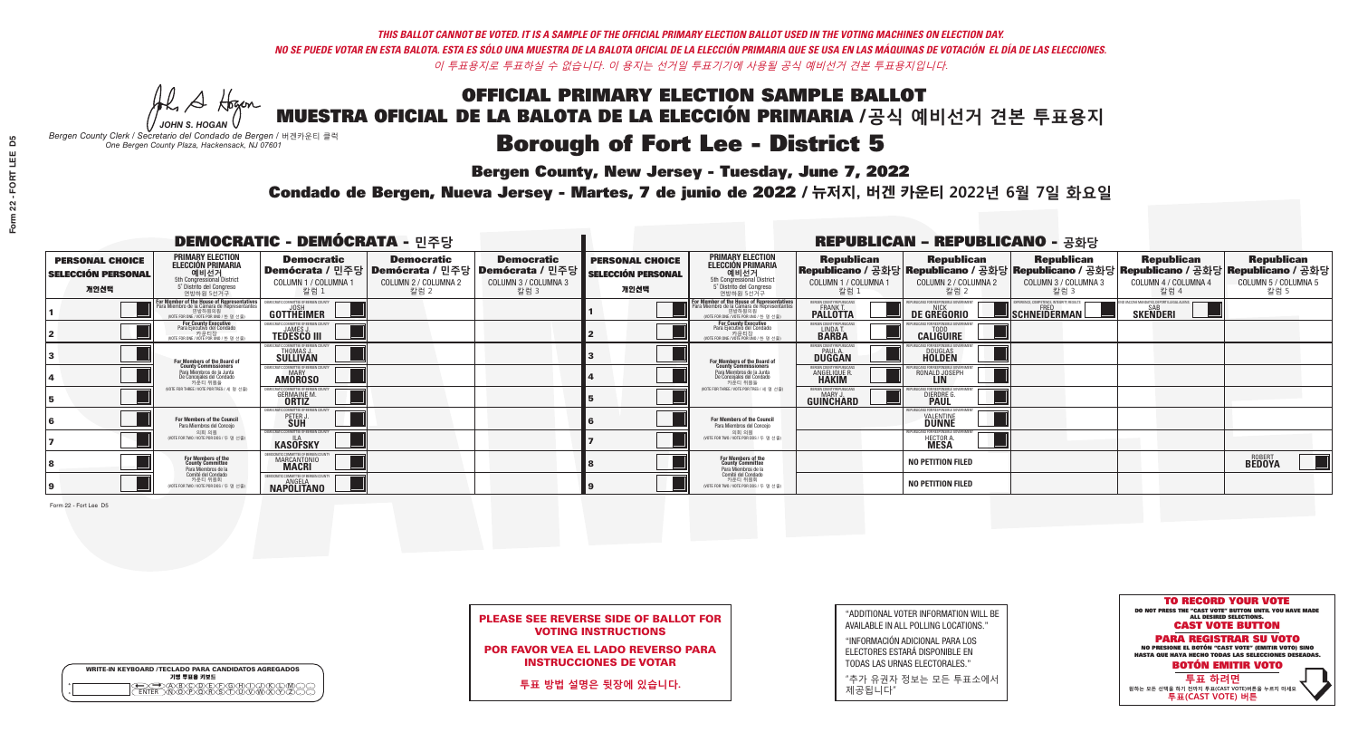A Hogen *JOHN S. HOGAN*

|         | <b>WRITE-IN KEYBOARD /TECLADO PARA CANDIDATOS AGREGADOS</b><br>기명 투표용 키보드 |
|---------|---------------------------------------------------------------------------|
| ٥       | )(B)C)(D)(E)(F)(G)(H)(                                                    |
| $\circ$ | <u>፝ዀ፝</u> ፙዂጞቝ                                                           |

## **Borough of Fort Lee - District 5**

**Bergen County, New Jersey - Tuesday, June 7, 2022** 

*Bergen County Clerk / Secretario del Condado de Bergen /* 버겐카운티 클럭 *One Bergen County Plaza, Hackensack, NJ 07601*

Condado de Bergen, Nueva Jersey - Martes, 7 de junio de 2022 / 뉴저지, 버겐 카운티 2022년 6월 7일 화요일 *One Bergen County Plaza, Hackensack, NJ 07601*



|  |                            | <b>PLEASE SEE REVERSE SIDE OF BALLOT FOR</b> |  |
|--|----------------------------|----------------------------------------------|--|
|  | <b>VOTING INSTRUCTIONS</b> |                                              |  |

POR FAVOR VEA EL LADO REVERSO PARA INSTRUCCIONES DE VOTAR

**투표 방법 설명은 뒷장에 있습니다.**

"ADDITIONAL VOTER INFORMATION WILL BE AVAILABLE IN ALL POLLING LOCATIONS."

"INFORMACIÓN ADICIONAL PARA LOS ELECTORES ESTARÁ DISPONIBLE EN TODAS LAS URNAS ELECTORALES."

"추가 유권자 정보는 모든 투표소에서 제공됩니다"

|                                                             |                                                                                                                                             | <b>DEMOCRATIC - DEMÓCRATA - 민주당</b>                              |                                                   |                                                                                                        |                                                             |                                                                                                                                              |                                                            | <b>REPUBLICAN - REPUBLICANO - 공화당</b>             |                                                                                                                                                |                                                       |                                                   |
|-------------------------------------------------------------|---------------------------------------------------------------------------------------------------------------------------------------------|------------------------------------------------------------------|---------------------------------------------------|--------------------------------------------------------------------------------------------------------|-------------------------------------------------------------|----------------------------------------------------------------------------------------------------------------------------------------------|------------------------------------------------------------|---------------------------------------------------|------------------------------------------------------------------------------------------------------------------------------------------------|-------------------------------------------------------|---------------------------------------------------|
| <b>PERSONAL CHOICE</b><br><b>SELECCIÓN PERSONAL</b><br>개인선택 | <b>PRIMARY ELECTION</b><br><b>ELECCIÓN PRIMARIA</b><br>예비선거<br>5th Congressional District<br>5° Distrito del Congreso<br>연방하원 5선거구          | <b>Democratic</b><br>COLUMN 1 / COLUMNA 1<br>칼럼 :                | <b>Democratic</b><br>COLUMN 2 / COLUMNA 2<br>칼럼 2 | <b>Democratic</b><br>│Demócrata / 민주당│Demócrata / 민주당│Demócrata / 민주당┃<br>COLUMN 3 / COLUMNA 3<br>칼럼 3 | <b>PERSONAL CHOICE</b><br><b>SELECCIÓN PERSONAL</b><br>개인선택 | <b>PRIMARY ELECTION</b><br><b>ELECCIÓN PRIMARIA</b><br><u>. 예비선거</u><br>5th Congressional District<br>5° Distrito del Congreso<br>연방하원 5선거구  | <b>Republican</b><br>COLUMN 1 / COLUMNA 1<br>칼럼 :          | <b>Republican</b><br>COLUMN 2 / COLUMNA 2<br>칼럼 2 | <b>Republican</b><br>Republicano / 공화당 Republicano / 공화당 Republicano / 공화당 Republicano / 공화당 Republicano / 공화당<br>COLUMN 3 / COLUMNA 3<br>칼럼 3 | <b>Republican</b><br>COLUMN 4 / COLUMNA 4<br>칼럼 4     | <b>Republican</b><br>COLUMN 5 / COLUMNA 5<br>칼럼 5 |
|                                                             | or Member of the House of Representatives<br>ara Miembro de la Cámara de Representantes<br>연방하원의원<br>(VOTE FOR ONE / VOTE POR UNO / 한 명 선출) | <b>GOTTHEIMER</b>                                                |                                                   |                                                                                                        |                                                             | For Member of the House of Representatives<br>Para Miembro de la Cámara de Representantes<br>연방하원의원<br>(VOTE FOR ONE / VOTE POR UNO / 한 명 선출 | ERGEN COUNTY REPUBLICAN<br><b>PALLOTTA</b>                 | DE GREGORIO                                       | SCHNEIDERMAN                                                                                                                                   | ) VACCINE MANDATES, DEPORT ILLEGAL ALIENS<br>SKEÑDERI |                                                   |
|                                                             | For County Executive<br>Para Ejecutivo del Condado<br>가운티장<br>(VOTE FOR ONE / VOTE POR UNO / 한 명 선출)                                        | <b>EMOCRATIC COMMITTEE OF BERGEN COUNT</b><br><b>TEDESCO III</b> |                                                   |                                                                                                        |                                                             | <b>For County Executive</b><br>Para Ejecutivo del Condado<br>가운티장<br>(VOTE FOR ONE / VOTE POR UNO / 한 명 선출)                                  | BERGEN COUNTY REPUBLICAN<br>LINDA T.                       | <b>CALIGUIRE</b>                                  |                                                                                                                                                |                                                       |                                                   |
|                                                             | <b>For Members of the Board of<br/>County Commissioners</b>                                                                                 | MOCRATIC COMMITTEE OF BERGEN COUNTY<br>THOMAS J.                 |                                                   |                                                                                                        |                                                             | For Members of the Board of<br>County Commissioners                                                                                          | ERGEN COUNTY REPUBLICAN<br><b>PAUL A.</b><br><b>DUGGAN</b> | <b>DOUGLAS</b>                                    |                                                                                                                                                |                                                       |                                                   |
|                                                             | Para Miembros de la Junta<br>De Concejales del Condado<br>카운티 위원들                                                                           | <b>IMOCRATIC COMMITTEE OF BERGEN COUNTY</b><br><b>AMOROSO</b>    |                                                   |                                                                                                        |                                                             | Para Miembros de la Junta<br>De Concejales del Condado<br>카운티 위원들                                                                            | <b>RGEN COUNTY REPUBLICAN</b><br>ANGELIQUE R               | RONALD JOSEPH                                     |                                                                                                                                                |                                                       |                                                   |
|                                                             | NOTE FOR THREE / VOTE POR TRES / 세 명 선출                                                                                                     | ATIC COMMITTEE OF BERGEN COUN<br><b>GERMAINE M.</b>              |                                                   |                                                                                                        |                                                             | NOTE FOR THREE / VOTE POR TRES / 세 명 선출                                                                                                      | BERGEN COUNTY REPUBLICANS<br>MARY J.<br>GUINCHARD          | S FOR RESPONSIBI E G<br><b>DIERDRE</b>            |                                                                                                                                                |                                                       |                                                   |
|                                                             | For Members of the Council<br>Para Miembros del Conceio                                                                                     | <i><b>MOCRATIC COMMITTEE OF BERGEN COUNTY</b></i><br>PETER J     |                                                   |                                                                                                        |                                                             | <b>For Members of the Council</b><br>Para Miembros del Conceio                                                                               |                                                            | 31 ICANS FOR RESPONSIBI E GO'<br><b>DUNNE</b>     |                                                                                                                                                |                                                       |                                                   |
|                                                             | 의회 의원<br>(VOTE FOR TWO / VOTE POR DOS / 두 명 선출)                                                                                             | <b>EMOCRATIC COMMITTEE OF BERGEN COUNT</b><br><b>KASOFSKY</b>    |                                                   |                                                                                                        |                                                             | 의회 의원<br>(VOTE FOR TWO / VOTE POR DOS / 두 명 선출)                                                                                              |                                                            | FPUBLICANS FOR RESPONSIBLE GOVERNMEN<br>HECTOR A. |                                                                                                                                                |                                                       |                                                   |
|                                                             | For Members of the<br>County Committee<br>Para Miembros de la                                                                               | MARCANTONIO                                                      |                                                   |                                                                                                        |                                                             | For Members of the<br>County Committee<br>Para Miembros de la<br>Comité del Condado                                                          |                                                            | <b>NO PETITION FILED</b>                          |                                                                                                                                                |                                                       | <b>BEDOYA</b>                                     |
|                                                             | Comité del Condado<br>카운티 위원회<br>(VOTE FOR TWO / VOTE POR DOS / 두 명 선출)                                                                     | <b>EMOCRATIC COMMITTEE OF BERGEN COUN</b><br><b>NAPOLITANO</b>   |                                                   |                                                                                                        |                                                             | 카운티 위원회<br>NOTE FOR TWO / VOTE POR DOS / 두 명 선출)                                                                                             |                                                            | <b>NO PETITION FILED</b>                          |                                                                                                                                                |                                                       |                                                   |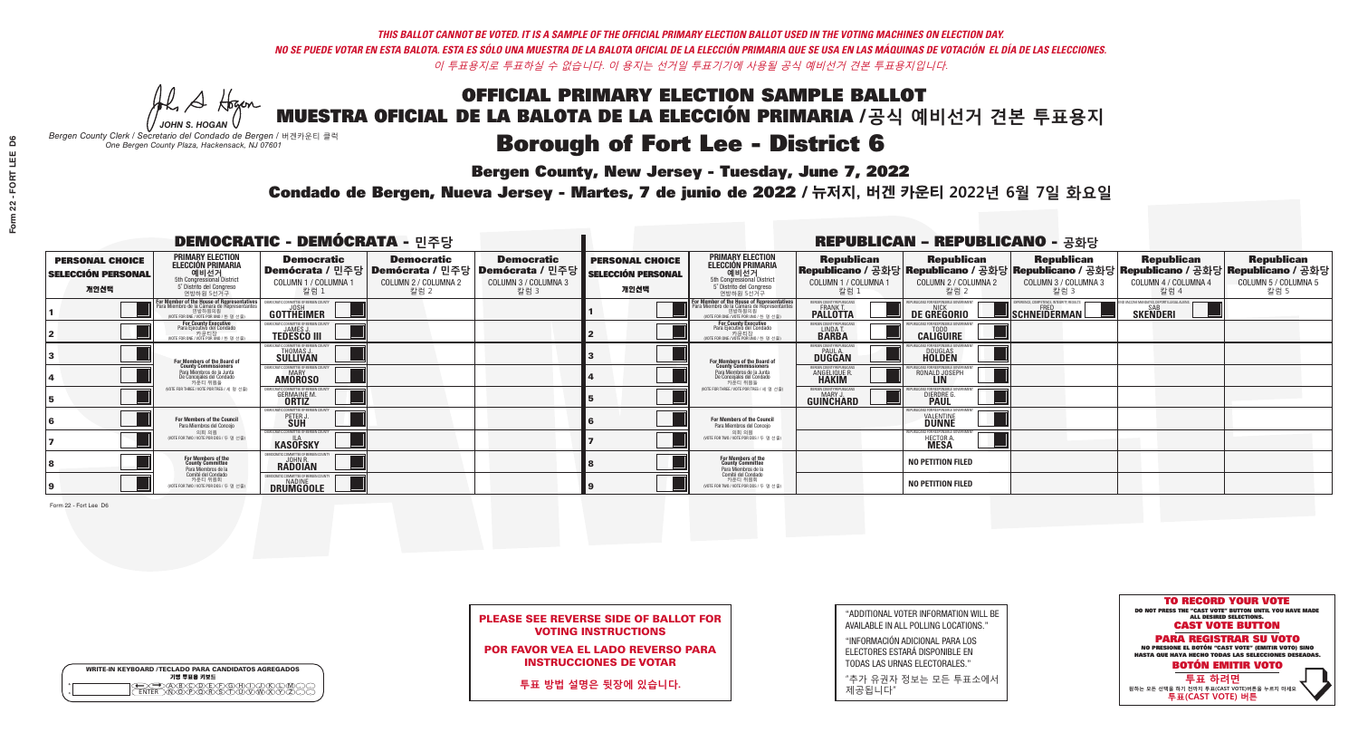A Hogen *JOHN S. HOGAN*

|              | <b>WRITE-IN KEYBOARD /TECLADO PARA CANDIDATOS AGREGADOS</b><br>기명 투표용 키보드 |
|--------------|---------------------------------------------------------------------------|
| 0<br>$\circ$ | )®©®®®®®<br>b®®®®®©®®                                                     |

# **Borough of Fort Lee - District 6**

**Bergen County, New Jersey - Tuesday, June 7, 2022** 

*Bergen County Clerk / Secretario del Condado de Bergen /* 버겐카운티 클럭 *One Bergen County Plaza, Hackensack, NJ 07601*



|  |                            | <b>PLEASE SEE REVERSE SIDE OF BALLOT FOR</b> |  |
|--|----------------------------|----------------------------------------------|--|
|  | <b>VOTING INSTRUCTIONS</b> |                                              |  |

POR FAVOR VEA EL LADO REVERSO PARA INSTRUCCIONES DE VOTAR

**투표 방법 설명은 뒷장에 있습니다.**

"ADDITIONAL VOTER INFORMATION WILL BE AVAILABLE IN ALL POLLING LOCATIONS."

"INFORMACIÓN ADICIONAL PARA LOS ELECTORES ESTARÁ DISPONIBLE EN TODAS LAS URNAS ELECTORALES."

"추가 유권자 정보는 모든 투표소에서 제공됩니다"

Condado de Bergen, Nueva Jersey - Martes, 7 de junio de 2022 / 뉴저지, 버겐 카운티 2022년 6월 7일 화요일 *One Bergen County Plaza, Hackensack, NJ 07601*

|                                                             |                                                                                                                                               | <b>DEMOCRATIC - DEMÓCRATA - 민주당</b>                                    |                                                   |                                                                                                        |                                                             |                                                                                                                                   |                                                            | <b>REPUBLICAN - REPUBLICANO - 공화당</b>                                                                                                          |                                                   |                                                   |                                                   |
|-------------------------------------------------------------|-----------------------------------------------------------------------------------------------------------------------------------------------|------------------------------------------------------------------------|---------------------------------------------------|--------------------------------------------------------------------------------------------------------|-------------------------------------------------------------|-----------------------------------------------------------------------------------------------------------------------------------|------------------------------------------------------------|------------------------------------------------------------------------------------------------------------------------------------------------|---------------------------------------------------|---------------------------------------------------|---------------------------------------------------|
| <b>PERSONAL CHOICE</b><br><b>SELECCIÓN PERSONAL</b><br>개인선택 | <b>PRIMARY ELECTION</b><br><b>ELECCIÓN PRIMARIA</b><br>예비선거<br>5th Congressional District<br>5° Distrito del Congreso<br>연방하원 5선거구            | <b>Democratic</b><br>COLUMN 1 / COLUMNA 1<br>칼럼 1                      | <b>Democratic</b><br>COLUMN 2 / COLUMNA 2<br>칼럼 2 | <b>Democratic</b><br>│Demócrata / 민주당│Demócrata / 민주당│Demócrata / 민주당│<br>COLUMN 3 / COLUMNA 3<br>칼럼 3 | <b>PERSONAL CHOICE</b><br><b>SELECCIÓN PERSONAL</b><br>개인선택 | <b>PRIMARY ELECTION</b><br>ELECCIÓN PRIMARIA<br>예비선거<br>5th Congressional District<br>5° Distrito del Congreso<br>연방하원 5선거구       | <b>Republican</b><br>COLUMN 1 / COLUMNA 1<br>칼럼 :          | <b>Republican</b><br>Republicano / 공화당 Republicano / 공화당 Republicano / 공화당 Republicano / 공화당 Republicano / 공화당<br>COLUMN 2 / COLUMNA 2<br>칼럼 2 | <b>Republican</b><br>COLUMN 3 / COLUMNA 3<br>칼럼 3 | <b>Republican</b><br>COLUMN 4 / COLUMNA 4<br>칼럼 4 | <b>Republican</b><br>COLUMN 5 / COLUMNA 5<br>칼럼 5 |
|                                                             | For Member of the House of Representatives<br>Para Miembro de la Cámara de Representantes<br>연방하원의원<br>(VOTE FOR ONE / VOTE POR UNO / 한 명 선출) | <b>GOTTHEIMER</b>                                                      |                                                   |                                                                                                        |                                                             | For Member of the House of Representatives<br>Para Miembro de la Cámara de Representantes<br>NOTE FOR ONE / VOTE POR UNO / 한 명 선출 | <b>PALLOTTA</b>                                            | DE GREGORIO                                                                                                                                    | SCHNEIDERMAN                                      | <b>SKENDERI</b>                                   |                                                   |
|                                                             | <b>For County Executive</b><br>Para Ejecutivo del Condado<br>WOTE FOR ONE / VOTE POR UNO / 한 명 선출)                                            | JEMOCRATIC COMMITTEE OF BERGEN COUNT<br><b>TEDESCO III</b>             |                                                   |                                                                                                        |                                                             | <b>For County Executive</b><br>Para Ejecutivo del Condado<br>WOTE FOR ONE / VOTE POR UNO / 한 명 선출                                 | BERGEN COUNTY REPUBLICAN<br>LINDAT.                        | <b>CALIGUIRE</b>                                                                                                                               |                                                   |                                                   |                                                   |
|                                                             | For Members of the Board of<br>County Commissioners                                                                                           | MOCRATIC COMMITTEE OF BERGEN CO<br><b>THOMAS J.</b><br><b>SULLIVAN</b> |                                                   |                                                                                                        |                                                             | For Members of the Board of<br>County Commissioners                                                                               | ERGEN COUNTY REPUBLICAN<br><b>PAUL A.</b><br><b>DUGGAN</b> | DOUGLAS<br>HOLDEN                                                                                                                              |                                                   |                                                   |                                                   |
|                                                             | Para Miembros de la Junta<br>De Concejales del Condado<br>카운티 위원들                                                                             | MOCRATIC COMMITTEE OF BERGEN COUN<br><b>AMOROSO</b>                    |                                                   |                                                                                                        |                                                             | Para Miembros de la Junta<br>De Concejales del Condado<br>카운티 위원들                                                                 | ERGEN COUNTY REPUBLICAN<br><b>ANGELIQUE R<br/>HAKIM</b>    | RONALD JOSEPH                                                                                                                                  |                                                   |                                                   |                                                   |
|                                                             | (VOTE FOR THREE / VOTE POR TRES / 세 명 선출)                                                                                                     | <b>GERMAINE M.</b>                                                     |                                                   |                                                                                                        |                                                             | (VOTE FOR THREE / VOTE POR TRES / 세 명 선출)                                                                                         | ERGEN COUNTY REPUBLICANS<br>MARY J<br>GUINCHARD            | I ICANS FOR RESPONSIBI E (<br><b>DIERDRE</b> O                                                                                                 |                                                   |                                                   |                                                   |
|                                                             | For Members of the Council<br>Para Miembros del Conceio                                                                                       | MOCRATIC COMMITTEE OF BERGEN COUNTY<br>PETER J                         |                                                   |                                                                                                        |                                                             | <b>For Members of the Council</b><br>Para Miembros del Conceio                                                                    |                                                            | IRLICANS FOR RESPONSIRI E G<br><b>DUNNE</b>                                                                                                    |                                                   |                                                   |                                                   |
|                                                             | 의회 의원<br>(VOTE FOR TWO / VOTE POR DOS / 두 명 선출)                                                                                               | DEMOCRATIC COMMITTEE OF BERGEN COUNTY<br><b>KASOFSKY</b>               |                                                   |                                                                                                        |                                                             | 의회 의원<br>WOTE FOR TWO / VOTE POR DOS / 두 명 선출)                                                                                    |                                                            | 'UBLICANS FOR RESPONSIBLE GOVERNMEN<br>HECTOR A.                                                                                               |                                                   |                                                   |                                                   |
|                                                             | For Members of the<br>County Committee<br>Para Miembros de la<br>Comité del Condado                                                           | EMOCRATIC COMMITTEE OF BERGEN COUNT<br><b>RADOIAN</b>                  |                                                   |                                                                                                        |                                                             | For Members of the<br>County Committee<br>Para Miembros de la<br>Comité del Condado                                               |                                                            | <b>NO PETITION FILED</b>                                                                                                                       |                                                   |                                                   |                                                   |
|                                                             | 카운티 위원회<br>(VOTE FOR TWO / VOTE POR DOS / 두 명 선출)                                                                                             | MOCRATIC COMMITTEE OF BERGEN COUNTY<br>DRUMGOOLE                       |                                                   |                                                                                                        |                                                             | 카운티 위원회<br>(VOTE FOR TWO / VOTE POR DOS / 두 명 선출)                                                                                 |                                                            | <b>NO PETITION FILED</b>                                                                                                                       |                                                   |                                                   |                                                   |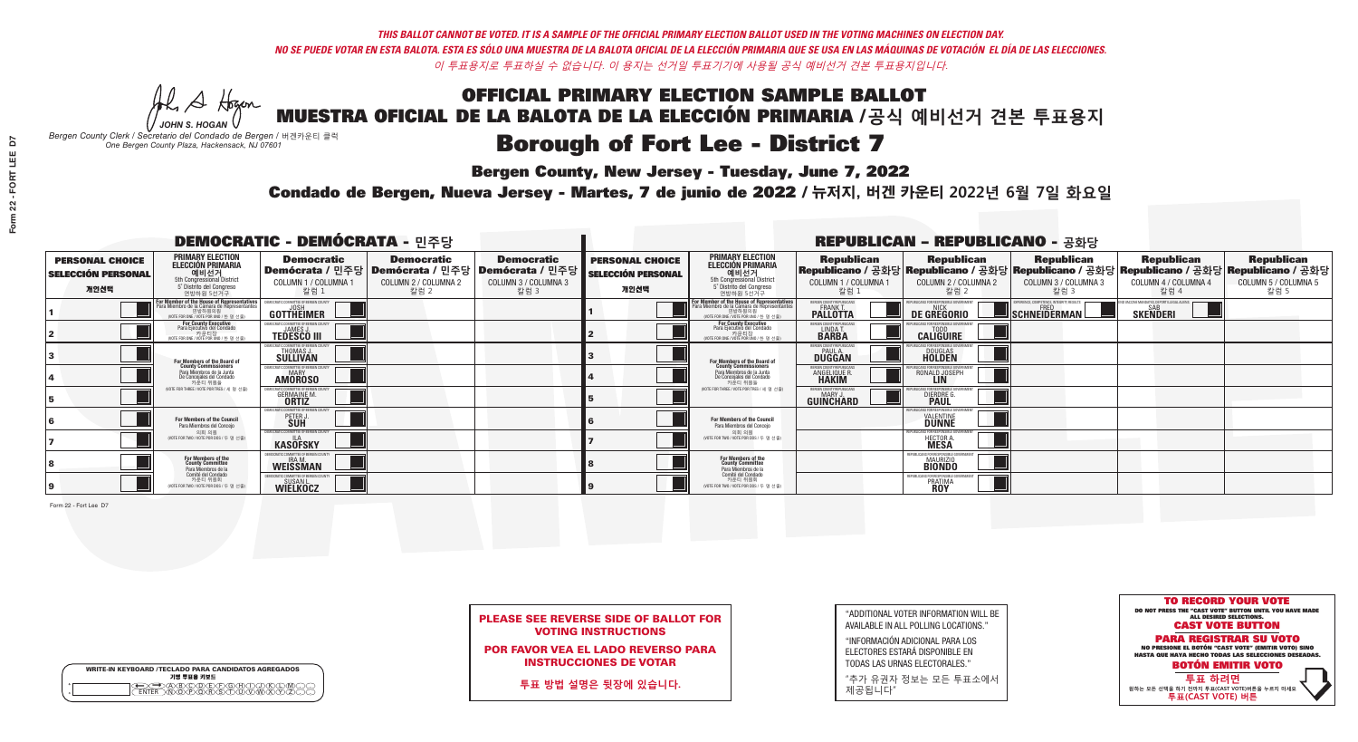A Hogen *JOHN S. HOGAN*

|              | <b>WRITE-IN KEYBOARD /TECLADO PARA CANDIDATOS AGREGADOS</b><br>기명 투표용 키보드 |
|--------------|---------------------------------------------------------------------------|
| o<br>$\circ$ | @®©®©©©®<br>®®®®®®©®®                                                     |

# **Borough of Fort Lee - District 7**

**Bergen County, New Jersey - Tuesday, June 7, 2022** 

*Bergen County Clerk / Secretario del Condado de Bergen /* 버겐카운티 클럭 *One Bergen County Plaza, Hackensack, NJ 07601*



|  |                            | <b>PLEASE SEE REVERSE SIDE OF BALLOT FOR</b> |  |
|--|----------------------------|----------------------------------------------|--|
|  | <b>VOTING INSTRUCTIONS</b> |                                              |  |

POR FAVOR VEA EL LADO REVERSO PARA INSTRUCCIONES DE VOTAR

**투표 방법 설명은 뒷장에 있습니다.**

"ADDITIONAL VOTER INFORMATION WILL BE AVAILABLE IN ALL POLLING LOCATIONS."

"INFORMACIÓN ADICIONAL PARA LOS ELECTORES ESTARÁ DISPONIBLE EN TODAS LAS URNAS ELECTORALES."

"추가 유권자 정보는 모든 투표소에서 제공됩니다"

Condado de Bergen, Nueva Jersey - Martes, 7 de junio de 2022 / 뉴저지, 버겐 카운티 2022년 6월 7일 화요일 *One Bergen County Plaza, Hackensack, NJ 07601*

|                                                             |                                                                                                                                               | <b>DEMOCRATIC - DEMÓCRATA - 민주당</b>                                                                    |                                                   |                                                   |                                                             |                                                                                                                                            |                                                               | <b>REPUBLICAN - REPUBLICANO - 공화당</b>                           |                                                                                                                                                |                                                   |                                                   |
|-------------------------------------------------------------|-----------------------------------------------------------------------------------------------------------------------------------------------|--------------------------------------------------------------------------------------------------------|---------------------------------------------------|---------------------------------------------------|-------------------------------------------------------------|--------------------------------------------------------------------------------------------------------------------------------------------|---------------------------------------------------------------|-----------------------------------------------------------------|------------------------------------------------------------------------------------------------------------------------------------------------|---------------------------------------------------|---------------------------------------------------|
| <b>PERSONAL CHOICE</b><br><b>SELECCIÓN PERSONAL</b><br>개인선택 | <b>PRIMARY ELECTION</b><br><b>ELECCIÓN PRIMARIA</b><br>예비선거<br>5th Congressional District<br>5° Distrito del Conareso<br>연방하원 5선거구            | <b>Democratic</b><br>│Demócrata / 민주당│Demócrata / 민주당│Demócrata / 민주당│<br>COLUMN 1 / COLUMNA 1<br>칼럼 : | <b>Democratic</b><br>COLUMN 2 / COLUMNA 2<br>칼럼 2 | <b>Democratic</b><br>COLUMN 3 / COLUMNA 3<br>칼럼 3 | <b>PERSONAL CHOICE</b><br><b>SELECCIÓN PERSONAL</b><br>개인선택 | <b>PRIMARY ELECTION</b><br>ELECCIÓN PRIMARIA<br>5th Congressional District<br>5° Distrito del Congreso<br>연방하원 5선거구                        | <b>Republican</b><br>COLUMN 1 / COLUMNA 1<br>칼럼               | <b>Republican</b><br>COLUMN 2 / COLUMNA 2<br>·칼럼 2              | <b>Republican</b><br>Republicano / 공화당 Republicano / 공화당 Republicano / 공화당 Republicano / 공화당 Republicano / 공화당<br>COLUMN 3 / COLUMNA 3<br>칼럼 3 | <b>Republican</b><br>COLUMN 4 / COLUMNA 4<br>칼럼 4 | <b>Republican</b><br>COLUMN 5 / COLUMNA 5<br>칼럼 5 |
|                                                             | For Member of the House of Representatives<br>Para Miembro de la Cámara de Representantes<br>연방하원의원<br>(VOTE FOR ONE / VOTE POR UNO / 한 명 선출) | <b>GOTTHEIMER</b>                                                                                      |                                                   |                                                   |                                                             | <b>For Member of the House of Representatives</b><br>Para Miembro de la Cámara de Representantes<br>(VOTE FOR ONE / VOTE POR UNO / 한 명 선출) | ERGEN COUNTY REPUBLICAN<br><b>FRANK T.</b><br><b>PALLOTTA</b> | DE GREGORIO                                                     | SCHNEIDERMAN                                                                                                                                   | <b>SKENDERI</b>                                   |                                                   |
|                                                             | <b>For County Executive</b><br>Para Ejecutivo del Condado<br>WOTE FOR ONE / VOTE POR UNO / 한 명 선출)                                            | EMOCRATIC COMMITTEE OF RERGEN COUNT<br><b>TEDESCO III</b>                                              |                                                   |                                                   |                                                             | For County Executive<br>Para Ejecutivo del Condado<br>기운티상<br>NOTE FOR ONE / VOTE POR UNO / 한 명 선출                                         | BERGEN COUNTY REPUBLICAN<br>LINDA T.                          | <b>CALIGUIRE</b>                                                |                                                                                                                                                |                                                   |                                                   |
|                                                             | For Members of the Board of<br>County Commissioners                                                                                           | <b><i>MOCRATIC COMMITTEE OF BERGEN COUNTY</i></b><br>THOMAS J.                                         |                                                   |                                                   |                                                             | <b>For Members of the Board of</b><br>County Commissioners                                                                                 | ERGEN COUNTY REPUBLICAN<br><b>DUGGAN</b>                      | <b>DOUGLAS</b><br><b>HOLDEN</b>                                 |                                                                                                                                                |                                                   |                                                   |
|                                                             | Para Miembros de la Junta<br>De Concejales del Condado<br>카우티 위원들                                                                             | <i><b>MOCRATIC COMMITTEE OF BERGEN COUNTY</b></i><br><b>AMOROSO</b>                                    |                                                   |                                                   |                                                             | Para Miembros de la Junta<br>De Concejales del Condado<br>카우티 위원들                                                                          | RGEN COUNTY REPUBLICA<br><b>ANGELIQUE F</b><br><b>HAKIM</b>   | RONALD JOSEPH                                                   |                                                                                                                                                |                                                   |                                                   |
|                                                             | NOTE FOR THREE / VOTE POR TRES / 세 명 선출                                                                                                       | TIC COMMITTEE OF BERGEN CI<br><b>GERMAINE M.</b>                                                       |                                                   |                                                   |                                                             | (VOTE FOR THREE / VOTE POR TRES / 세 명 선출                                                                                                   | ERGEN COUNTY REPUBLICANS<br>MARY J<br>GUINCHARD               | DIERDRE G                                                       |                                                                                                                                                |                                                   |                                                   |
|                                                             | For Members of the Council<br>Para Miembros del Conceio                                                                                       | OCRATIC COMMITTEE OF BERG<br>PETER J                                                                   |                                                   |                                                   |                                                             | <b>For Members of the Council</b><br>Para Miembros del Conceio                                                                             |                                                               | <b>VALENTINE</b>                                                |                                                                                                                                                |                                                   |                                                   |
|                                                             | 의회 의원<br>(VOTE FOR TWO / VOTE POR DOS / 두 명 선출)                                                                                               | EMOCRATIC COMMITTEE OF BERGEN COUNT<br><b>KASOFSKY</b>                                                 |                                                   |                                                   |                                                             | 의회 의원<br>NOTE FOR TWO / VOTE POR DOS / 두 명 선출)                                                                                             |                                                               | PUBLICANS FOR RESPONSIBLE G<br><b>HECTOR A</b><br><b>MESA</b>   |                                                                                                                                                |                                                   |                                                   |
|                                                             | For Members of the<br>County Committee<br>Para Miembros de la                                                                                 | WEISSMAN                                                                                               |                                                   |                                                   |                                                             | For Members of the<br>County Committee<br>Para Miembros de la<br>Comité del Condado                                                        |                                                               | REPUBLICANS FOR RESPONSIBLE<br><b>MAURIZIO</b><br><b>BIONDO</b> |                                                                                                                                                |                                                   |                                                   |
|                                                             | Comité del Condado<br>카운티 위원회<br>(VOTE FOR TWO / VOTE POR DOS / 두 명 선출)                                                                       | SUSAN L<br>WIELKOCZ                                                                                    |                                                   |                                                   |                                                             | 카운티 위원회<br>(VOTE FOR TWO / VOTE POR DOS / 두 명 선출)                                                                                          |                                                               | <b>REPUBLICANS FOR RESPONSIBL</b><br>PRATIMA<br><b>ROY</b>      |                                                                                                                                                |                                                   |                                                   |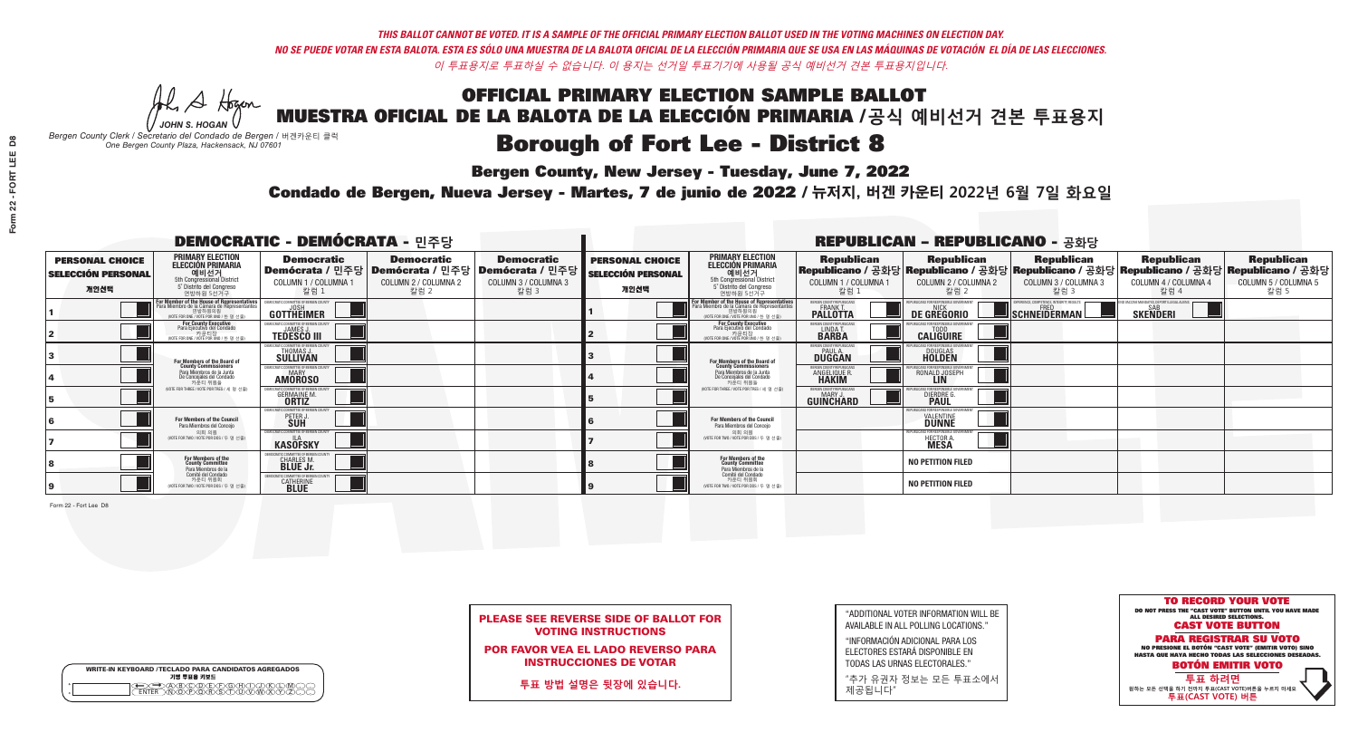A Hogen *JOHN S. HOGAN*

|              | <b>WRITE-IN KEYBOARD /TECLADO PARA CANDIDATOS AGREGADOS</b><br>기명 투표용 키보드 |
|--------------|---------------------------------------------------------------------------|
| o<br>$\circ$ | @®©®©©©®<br>®®®®®®©®®                                                     |

# **Borough of Fort Lee - District 8**

**Bergen County, New Jersey - Tuesday, June 7, 2022** 

*Bergen County Clerk / Secretario del Condado de Bergen /* 버겐카운티 클럭 *One Bergen County Plaza, Hackensack, NJ 07601*



|  |                            | <b>PLEASE SEE REVERSE SIDE OF BALLOT FOR</b> |  |
|--|----------------------------|----------------------------------------------|--|
|  | <b>VOTING INSTRUCTIONS</b> |                                              |  |

POR FAVOR VEA EL LADO REVERSO PARA INSTRUCCIONES DE VOTAR

**투표 방법 설명은 뒷장에 있습니다.**

| "ADDITIONAL VOTER INFORMATION WILL BE |
|---------------------------------------|
| AVAILABLE IN ALL POLLING LOCATIONS."  |

"INFORMACIÓN ADICIONAL PARA LOS ELECTORES ESTARÁ DISPONIBLE EN TODAS LAS URNAS ELECTORALES."

"추가 유권자 정보는 모든 투표소에서 제공됩니다"

Condado de Bergen, Nueva Jersey - Martes, 7 de junio de 2022 / 뉴저지, 버겐 카운티 2022년 6월 7일 화요일 *One Bergen County Plaza, Hackensack, NJ 07601*

|                                                             |                                                                                                                                    | <b>DEMOCRATIC - DEMÓCRATA - 민주당</b>                     |                                                                                                        |                                                   |                                                             |                                                                                                                                                       |                                                                      | <b>REPUBLICAN - REPUBLICANO - 공화당</b>              |                                                                                                                                                |                                                   |                                                   |
|-------------------------------------------------------------|------------------------------------------------------------------------------------------------------------------------------------|---------------------------------------------------------|--------------------------------------------------------------------------------------------------------|---------------------------------------------------|-------------------------------------------------------------|-------------------------------------------------------------------------------------------------------------------------------------------------------|----------------------------------------------------------------------|----------------------------------------------------|------------------------------------------------------------------------------------------------------------------------------------------------|---------------------------------------------------|---------------------------------------------------|
| <b>PERSONAL CHOICE</b><br><b>SELECCIÓN PERSONAL</b><br>개인선택 | <b>PRIMARY ELECTION</b><br><b>ELECCIÓN PRIMARIA</b><br>예비선거<br>5th Congressional District<br>5° Distrito del Congreso<br>연방하원 5선거구 | <b>Democratic</b><br>COLUMN 1 / COLUMNA 1<br>칼럼 1       | <b>Democratic</b><br>│Demócrata / 민주당│Demócrata / 민주당│Demócrata / 민주당│<br>COLUMN 2 / COLUMNA 2<br>칼럼 2 | <b>Democratic</b><br>COLUMN 3 / COLUMNA 3<br>칼럼 3 | <b>PERSONAL CHOICE</b><br><b>SELECCIÓN PERSONAL</b><br>개인선택 | <b>PRIMARY ELECTION</b><br>ELECCIÓN PRIMARIA<br>5th Congressional District<br>5° Distrito del Congreso<br>연방하원 5선거구                                   | <b>Republican</b><br>COLUMN 1 / COLUMNA 1<br>칼럼                      | <b>Republican</b><br>COLUMN 2 / COLUMNA 2<br>·칼럼 2 | <b>Republican</b><br>Republicano / 공화당 Republicano / 공화당 Republicano / 공화당 Republicano / 공화당 Republicano / 공화당<br>COLUMN 3 / COLUMNA 3<br>칼럼 3 | <b>Republican</b><br>COLUMN 4 / COLUMNA 4<br>칼럼 4 | <b>Republican</b><br>COLUMN 5 / COLUMNA 5<br>칼럼 5 |
|                                                             | F <b>or Member of the House of Representatives</b><br>Para Miembro de la Cámara de Representantes                                  | <b>GOTTHEIMER</b>                                       |                                                                                                        |                                                   |                                                             | <b>For Member of the House of Representatives<br/>Para Miembro de la Cámara de Representantes</b><br>연방하원의원<br>(VOTE FOR ONE / VOTE POR UNO / 한 명 선출) | <b>ERGEN COUNTY REPUBLICAN</b><br><b>FRANK T.</b><br><b>PALLOTTA</b> | DE GREGORIO                                        | SCHNEIDERMAN                                                                                                                                   | <b>SKENDERI</b>                                   |                                                   |
|                                                             | <b>For County Executive</b><br>Para Ejecutivo del Condado<br>(VOTE FOR ONE / VOTE POR UNO / 한 명 선출)                                | <b>TEDESCO III</b>                                      |                                                                                                        |                                                   |                                                             | For County Executive<br>Para Ejecutivo del Condado<br>WOTE FOR ONE /VOTE POR UNO / 한 명 선출                                                             | ERGEN COUNTY REPUBLICAN<br>LINDA T.                                  | <b>CALIGUIRE</b>                                   |                                                                                                                                                |                                                   |                                                   |
|                                                             | For Members of the Board of<br>County Commissioners                                                                                | MOCRATIC COMMITTEE OF BERGEN COUN'<br>THOMAS J.         |                                                                                                        |                                                   |                                                             | <b>For Members of the Board of</b><br>County Commissioners                                                                                            | ERGEN COUNTY REPUBLICAN<br><b>DUGGAN</b>                             | <b>DOUGLAS</b><br><b>HOLDEN</b>                    |                                                                                                                                                |                                                   |                                                   |
|                                                             | Para Miembros de la Junta<br>De Conceiales del Condado<br>카운티 위원들                                                                  | MOCRATIC COMMITTEE OF BERGEN COUNTY<br><b>AMOROSO</b>   |                                                                                                        |                                                   |                                                             | Para Miembros de la Junta<br>De Concejales del Condado<br>카우티 위원들                                                                                     | ERGEN COUNTY REPUBLICAN<br><b>ANGELIQUE F</b><br><b>HAKIM</b>        | RONALD JOSEPH<br><b>LIN</b>                        |                                                                                                                                                |                                                   |                                                   |
|                                                             | (VOTE FOR THREE / VOTE POR TRES / 세 명 선출)                                                                                          | <b>GERMAINE M.</b>                                      |                                                                                                        |                                                   |                                                             | (VOTE FOR THREE / VOTE POR TRES / 세 명 선출)                                                                                                             | ERGEN COUNTY REPUBLICAN<br>MARY .I<br><b>GUINCHARD</b>               | DIERDRE G                                          |                                                                                                                                                |                                                   |                                                   |
|                                                             | For Members of the Council<br>Para Miembros del Conceio                                                                            | CRATIC COMMITTEE OF BERGEN COUNTY<br>PETER J            |                                                                                                        |                                                   |                                                             | <b>For Members of the Council</b><br>Para Miembros del Concejo                                                                                        |                                                                      | FOR RESPONSIBI E (<br><b>VALENTINE</b>             |                                                                                                                                                |                                                   |                                                   |
|                                                             | 의회 의원<br>(VOTE FOR TWO / VOTE POR DOS / 두 명 선출)                                                                                    | EMOCRATIC COMMITTEE OF BERGEN COUNTY<br><b>KASOFSKY</b> |                                                                                                        |                                                   |                                                             | 의회 의원<br>NOTE FOR TWO / VOTE POR DOS / 두 명 선출)                                                                                                        |                                                                      | HECTOR A.                                          |                                                                                                                                                |                                                   |                                                   |
|                                                             | For Members of the<br>County Committee<br>Para Miembros de la                                                                      | CHARLES M.                                              |                                                                                                        |                                                   |                                                             | For Members of the<br>County Committee<br>Para Miembros de la<br>Comité del Condado                                                                   |                                                                      | <b>NO PETITION FILED</b>                           |                                                                                                                                                |                                                   |                                                   |
|                                                             | Comité del Condado<br>카운티 위원회<br>NOTE FOR TWO / VOTE POR DOS / 두 명 선출)                                                             | <b>RATIC COMMITTEE OF BERGEN 0</b><br><b>CATHERINE</b>  |                                                                                                        |                                                   |                                                             | 카운티 위원회<br>(VOTE FOR TWO / VOTE POR DOS / 두 명 선출)                                                                                                     |                                                                      | <b>NO PETITION FILED</b>                           |                                                                                                                                                |                                                   |                                                   |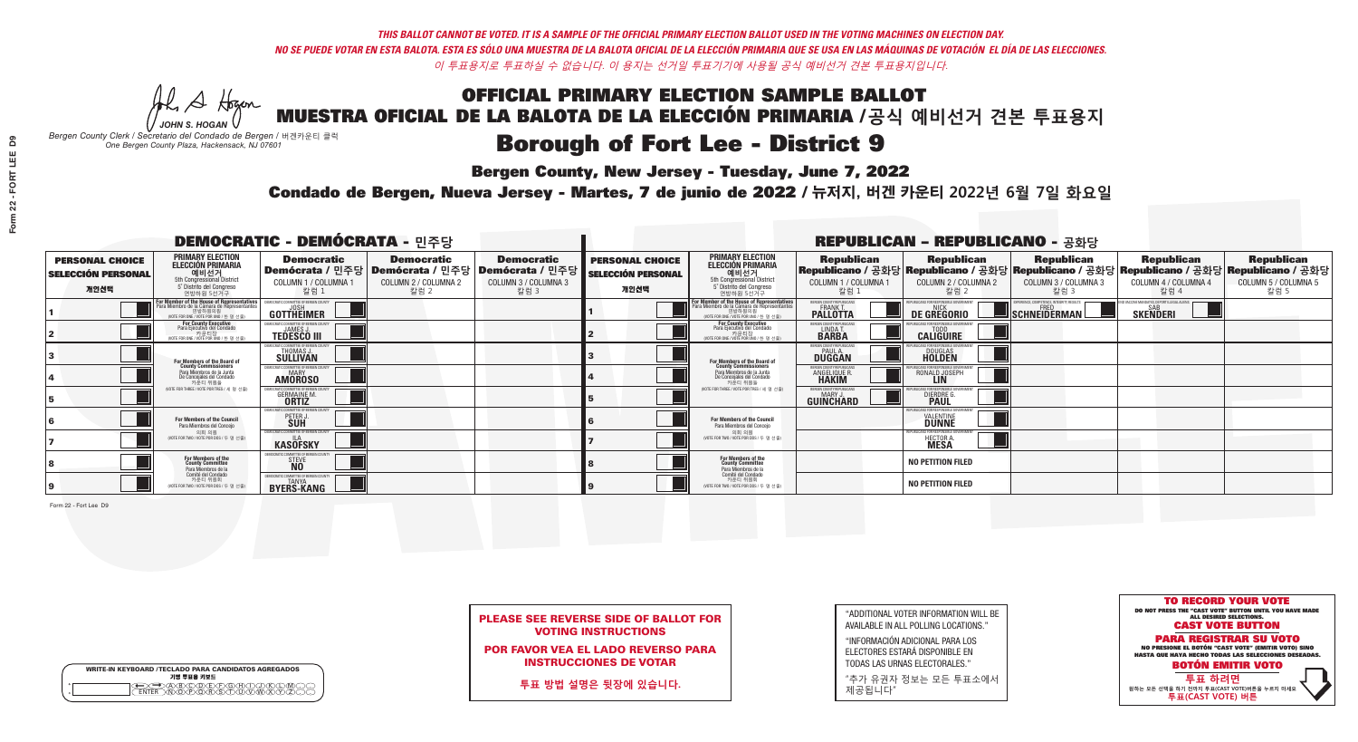A Hogen *JOHN S. HOGAN*

|         | <b>WRITE-IN KEYBOARD /TECLADO PARA CANDIDATOS AGREGADOS</b><br>기명 투표용 키보드 |
|---------|---------------------------------------------------------------------------|
| ٥       | .)(B)C)(D)(E)(F)(G)(H)(                                                   |
| $\circ$ | <u>፝ዀፙቑ፝፠ዾ</u>                                                            |

# **Borough of Fort Lee - District 9**

**Bergen County, New Jersey - Tuesday, June 7, 2022** 

*Bergen County Clerk / Secretario del Condado de Bergen /* 버겐카운티 클럭 *One Bergen County Plaza, Hackensack, NJ 07601*



|  |                            |  | <b>PLEASE SEE REVERSE SIDE OF BALLOT FOR</b> |
|--|----------------------------|--|----------------------------------------------|
|  | <b>VOTING INSTRUCTIONS</b> |  |                                              |

POR FAVOR VEA EL LADO REVERSO PARA INSTRUCCIONES DE VOTAR

**투표 방법 설명은 뒷장에 있습니다.**

"ADDITIONAL VOTER INFORMATION WILL BE AVAILABLE IN ALL POLLING LOCATIONS."

"INFORMACIÓN ADICIONAL PARA LOS ELECTORES ESTARÁ DISPONIBLE EN TODAS LAS URNAS ELECTORALES."

"추가 유권자 정보는 모든 투표소에서 제공됩니다"

Condado de Bergen, Nueva Jersey - Martes, 7 de junio de 2022 / 뉴저지, 버겐 카운티 2022년 6월 7일 화요일 *One Bergen County Plaza, Hackensack, NJ 07601*

| <b>DEMOCRATIC - DEMÓCRATA - 민주당</b>                         |                                                                                                                                    |                                                                                                        |                                                   |                                                   |                                                             |                                                                                                                     |                                                               | <b>REPUBLICAN - REPUBLICANO - 공화당</b>             |                                                                                                                                                |                                                           |                                                   |
|-------------------------------------------------------------|------------------------------------------------------------------------------------------------------------------------------------|--------------------------------------------------------------------------------------------------------|---------------------------------------------------|---------------------------------------------------|-------------------------------------------------------------|---------------------------------------------------------------------------------------------------------------------|---------------------------------------------------------------|---------------------------------------------------|------------------------------------------------------------------------------------------------------------------------------------------------|-----------------------------------------------------------|---------------------------------------------------|
| <b>PERSONAL CHOICE</b><br><b>SELECCIÓN PERSONAL</b><br>개인선택 | <b>PRIMARY ELECTION</b><br><b>ELECCIÓN PRIMARIA</b><br>예비선거<br>5th Congressional District<br>5° Distrito del Congreso<br>연방하원 5선거구 | <b>Democratic</b><br>│Demócrata / 민주당│Demócrata / 민주당│Demócrata / 민주당┃<br>COLUMN 1 / COLUMNA 1<br>칼럼 1 | <b>Democratic</b><br>COLUMN 2 / COLUMNA 2<br>칼럼 2 | <b>Democratic</b><br>COLUMN 3 / COLUMNA 3<br>칼럼 3 | <b>PERSONAL CHOICE</b><br><b>SELECCIÓN PERSONAL</b><br>개인선택 | <b>PRIMARY ELECTION</b><br>ELECCIÓN PRIMARIA<br>5th Congressional District<br>5° Distrito del Congreso<br>연방하원 5선거구 | <b>Republican</b><br>COLUMN 1 / COLUMNA 1<br>칼럼               | <b>Republican</b><br>COLUMN 2 / COLUMNA 2<br>칼럼 2 | <b>Republican</b><br>Republicano / 공화당 Republicano / 공화당 Republicano / 공화당 Republicano / 공화당 Republicano / 공화당<br>COLUMN 3 / COLUMNA 3<br>칼럼 3 | <b>Republican</b><br>COLUMN 4 / COLUMNA 4<br>칼럼 4         | <b>Republican</b><br>COLUMN 5 / COLUMNA 5<br>칼럼 5 |
|                                                             | F <b>or Member of the House of Representatives</b><br>Para Miembro de la Cámara de Representantes                                  | <b>GOTTHEIMER</b>                                                                                      |                                                   |                                                   |                                                             | For Member of the House of Representatives<br>Para Miembro de la Cámara de Representantes                           | BERGEN COUNTY REPUBLICAN<br><b>PALLOTTA</b>                   | DE GREGORIO                                       | SCHNEIDERMAN                                                                                                                                   | /ACCINE MANDATES, DEPORT ILLEGAL ALIEN<br><b>SKENDERI</b> |                                                   |
|                                                             | For County Executive<br>Para Ejecutivo del Condado<br>가운티장<br>(VOTE FOR ONE / VOTE POR UNO / 한 명 선출)                               | <b>TEDESCO III</b>                                                                                     |                                                   |                                                   |                                                             | <b>For County Executive</b><br>Para Ejecutivo del Condado<br>가운티상<br>WOTE FOR ONE / VOTE POR UNO / 한 명 선출           | BERGEN COUNTY REPUBLICA<br>LINDA T.                           | <b>CALIGUIRE</b>                                  |                                                                                                                                                |                                                           |                                                   |
|                                                             | <b>For Members of the Board of<br/>County Commissioners</b>                                                                        | MOCRATIC COMMITTEE OF BERGEN COUN'<br>THOMAS J.                                                        |                                                   |                                                   |                                                             | For Members of the Board of<br>County Commissioners                                                                 | ERGEN COUNTY REPUBLICAN<br><b>PAUL A.</b><br><b>DUGGAN</b>    | <b>DOUGLAS</b>                                    |                                                                                                                                                |                                                           |                                                   |
|                                                             | Para Miembros de la Junta<br>De Concejales del Condado<br>카운티 위원들                                                                  | EMOCRATIC COMMITTEE OF BERGEN COUNT<br><b>MARY</b><br><b>AMOROSO</b>                                   |                                                   |                                                   |                                                             | Para Miembros de la Junta<br>De Concejales del Condado<br>카운티 위원들                                                   | <b>FRGEN COUNTY REPUBLICAN</b><br>ANGELIQUE F<br><b>HAKIM</b> | RONALD JOSEPH<br><b>LIN</b>                       |                                                                                                                                                |                                                           |                                                   |
|                                                             | (VOTE FOR THREE / VOTE POR TRES / 세 명 선출)                                                                                          | ATIC COMMITTEE OF BERGEN COUNT<br><b>GERMAINE M.</b>                                                   |                                                   |                                                   |                                                             | NOTE FOR THREE / VOTE POR TRES / 세 명 선출)                                                                            | ERGEN COUNTY REPUBLICAN<br>MARY J<br>GUINCHARD                | DIERDRE G                                         |                                                                                                                                                |                                                           |                                                   |
|                                                             | For Members of the Council<br>Para Miembros del Conceio                                                                            | OCRATIC COMMITTEE OF BERGEN COUNTY<br>PETER J                                                          |                                                   |                                                   |                                                             | For Members of the Council<br>Para Miembros del Conceio                                                             |                                                               | INS FOR RESPONSIBLE G<br><b>VALENTINE</b>         |                                                                                                                                                |                                                           |                                                   |
|                                                             | 의회 의원<br>(VOTE FOR TWO / VOTE POR DOS / 두 명 선출)                                                                                    | EMOCRATIC COMMITTEE OF BERGEN COUNTY<br><b>KASOFSKY</b>                                                |                                                   |                                                   |                                                             | 의회 의원<br>NOTE FOR TWO / VOTE POR DOS / 두 명 선출)                                                                      |                                                               | PUBLICANS FOR RESPONSIBLE GOV<br>HECTOR A.        |                                                                                                                                                |                                                           |                                                   |
|                                                             | For Members of the<br>County Committee<br>Para Miembros de la<br>Comité del Condado                                                | MOCRATIC COMMITTEE OF BERGEN COUN'<br>STEVE<br>NO                                                      |                                                   |                                                   |                                                             | For Members of the<br>County Committee<br>Para Miembros de la<br>Comité del Condado                                 |                                                               | <b>NO PETITION FILED</b>                          |                                                                                                                                                |                                                           |                                                   |
|                                                             | 카운티 위원회<br>NOTE FOR TWO / VOTE POR DOS / 두 명 선출)                                                                                   | EMOCRATIC COMMITTEE OF BERGEN COUNTY<br>TANYA<br><b>BYERS-KANG</b>                                     |                                                   |                                                   |                                                             | 카운티 위원회<br>(VOTE FOR TWO / VOTE POR DOS / 두 명 선출)                                                                   |                                                               | <b>NO PETITION FILED</b>                          |                                                                                                                                                |                                                           |                                                   |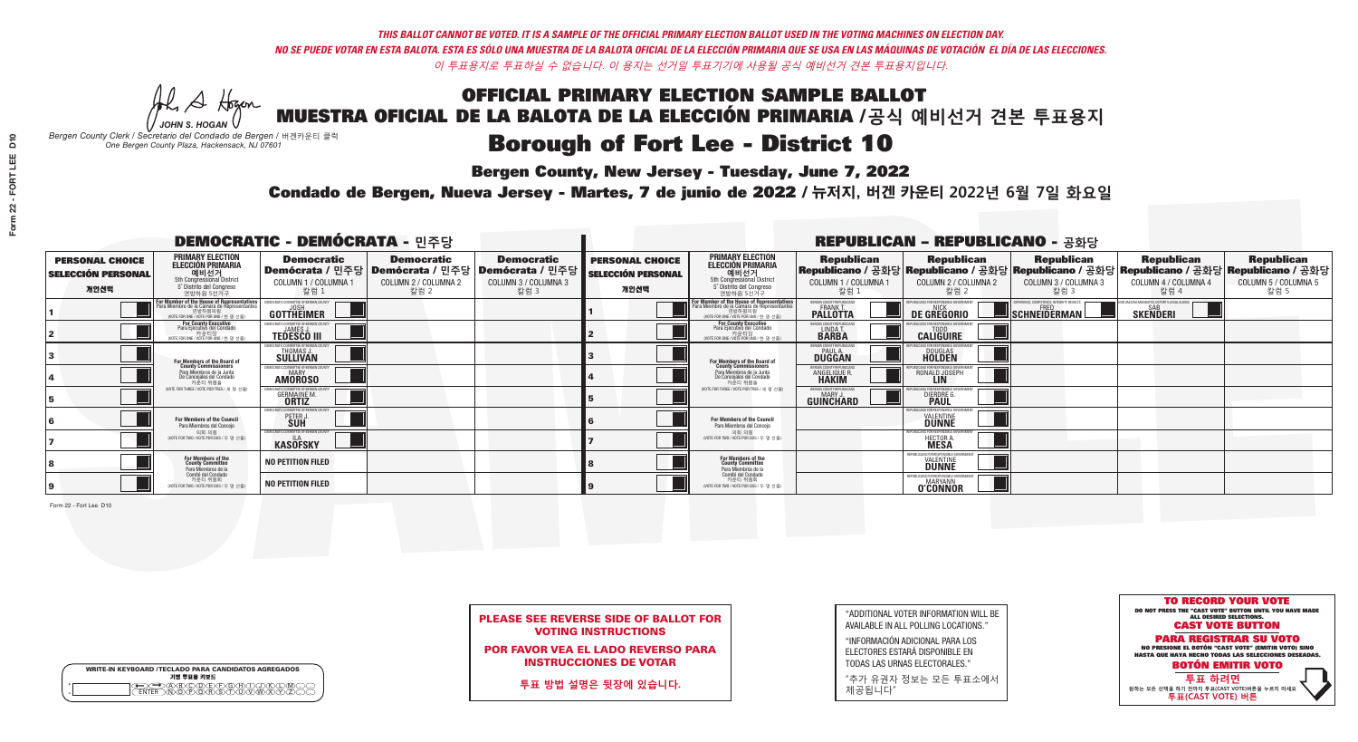## **Bergen County, New Jersey - Tuesday, June 7, 2022**

A Hogen *JOHN S. HOGAN*

| <b>WRITE-IN KEYBOARD /TECLADO PARA CANDIDATOS AGREGADOS</b><br>기명 투표용 키보드 |  |
|---------------------------------------------------------------------------|--|
| <b>ABCODEFGAC</b><br>፞ <i>শ</i> িক কৰি কৰি কৰি                            |  |

*Bergen County Clerk / Secretario del Condado de Bergen /* 버겐카운티 클럭 *One Bergen County Plaza, Hackensack, NJ 07601*



|  | <b>PLEASE SEE REVERSE SIDE OF BALLOT FOR</b> |  |  |
|--|----------------------------------------------|--|--|
|  | <b>VOTING INSTRUCTIONS</b>                   |  |  |

POR FAVOR VEA EL LADO REVERSO PARA INSTRUCCIONES DE VOTAR

**투표 방법 설명은 뒷장에 있습니다.**

"ADDITIONAL VOTER INFORMATION WILL BE AVAILABLE IN ALL POLLING LOCATIONS."

"INFORMACIÓN ADICIONAL PARA LOS ELECTORES ESTARÁ DISPONIBLE EN TODAS LAS URNAS ELECTORALES."

"추가 유권자 정보는 모든 투표소에서 제공됩니다"

## Condado de Bergen, Nueva Jersey - Martes, 7 de junio de 2022 / 뉴저지, 버겐 카운티 2022년 6월 7일 화요일 *One Bergen County Plaza, Hackensack, NJ 07601*

| <b>DEMOCRATIC - DEMÓCRATA - 민주당</b>                         |                                                                                                                                               |                                                           |                                                   |                                                                                                        | <b>REPUBLICAN - REPUBLICANO - 공화당</b>                       |                                                                                                                                               |                                                               |                                                   |                                                   |                                                                                                                                                |                                                   |
|-------------------------------------------------------------|-----------------------------------------------------------------------------------------------------------------------------------------------|-----------------------------------------------------------|---------------------------------------------------|--------------------------------------------------------------------------------------------------------|-------------------------------------------------------------|-----------------------------------------------------------------------------------------------------------------------------------------------|---------------------------------------------------------------|---------------------------------------------------|---------------------------------------------------|------------------------------------------------------------------------------------------------------------------------------------------------|---------------------------------------------------|
| <b>PERSONAL CHOICE</b><br><b>SELECCIÓN PERSONAL</b><br>개인선택 | <b>PRIMARY ELECTION</b><br><b>ELECCIÓN PRIMARIA</b><br>예비선거<br><sup>5th</sup> Congressional District<br>5° Distrito del Conareso<br>연방하원 5선거구 | <b>Democratic</b><br>COLUMN 1 / COLUMNA 1<br>칼럼 1         | <b>Democratic</b><br>COLUMN 2 / COLUMNA 2<br>칼럼 2 | <b>Democratic</b><br>│Demócrata / 민주당│Demócrata / 민주당│Demócrata / 민주당│<br>COLUMN 3 / COLUMNA 3<br>칼럼 3 | <b>PERSONAL CHOICE</b><br><b>SELECCIÓN PERSONAL</b><br>개인선택 | <b>PRIMARY ELECTION</b><br>ELECCIÓN PRIMARIA<br>5th Congressional District<br>5° Distrito del Congreso<br>연방하원 5선거구                           | <b>Republican</b><br>COLUMN 1 / COLUMNA 1<br>칼럼               | <b>Republican</b><br>COLUMN 2 / COLUMNA 2<br>칼럼 2 | <b>Republican</b><br>COLUMN 3 / COLUMNA 3<br>칼럼 3 | <b>Republican</b><br>Republicano / 공화당 Republicano / 공화당 Republicano / 공화당 Republicano / 공화당 Republicano / 공화당<br>COLUMN 4 / COLUMNA 4<br>칼럼 4 | <b>Republican</b><br>COLUMN 5 / COLUMNA 5<br>칼럼 5 |
|                                                             | For Member of the House of Representatives<br>Para Miembro de la Cámara de Representantes                                                     | <b>GOTTHEIMER</b>                                         |                                                   |                                                                                                        |                                                             | For Member of the House of Representatives<br>Para Miembro de la Cámara de Representantes<br>연방하원의원<br>(VOTE FOR ONE / VOTE POR UNO / 한 명 선출) | BERGEN COUNTY REPUBLICAN<br><b>PALLOTTA</b>                   | DE GREGORIO                                       | SCHNEIDERMAN                                      | O VACCINE MANDATES, DEPORT ILLEGAL ALIENS<br><b>SKENDERI</b>                                                                                   |                                                   |
|                                                             | <b>For County Executive</b><br>Para Ejecutivo del Condado<br>NOTE FOR ONE / VOTE POR UNO / 한 명 선출)                                            | EMOCRATIC COMMITTEE OF BERGEN COUNT<br><b>TEDESCO III</b> |                                                   |                                                                                                        |                                                             | For County Executive<br>Para Ejecutivo del Condado<br>WOTE FOR ONE / VOTE POR UNO / 한 명 선출)                                                   | BERGEN COUNTY REPUBLICAN<br>LINDA T.                          | <b>CALIGUIRE</b>                                  |                                                   |                                                                                                                                                |                                                   |
|                                                             | <b>For Members of the Board of<br/>County Commissioners</b>                                                                                   | MOCRATIC COMMITTEE OF BERGEN COUNTY<br>THOMAS J.          |                                                   |                                                                                                        |                                                             | <b>For Members of the Board of</b><br>County Commissioners                                                                                    | ERGEN COUNTY REPUBLICAN<br><b>PAUL A.</b><br><b>DUGGAN</b>    | <b>DOUGLAS</b>                                    |                                                   |                                                                                                                                                |                                                   |
|                                                             | Para Miembros de la Junta<br>De Concejales del Condado<br>카운티 위원들                                                                             | EMOCRATIC COMMITTEE OF BERGEN COUNTY<br><b>AMOROSO</b>    |                                                   |                                                                                                        |                                                             | Para Miembros de la Junta<br>De Concejales del Condado<br>카우티 위원들<br>(VOTE FOR THREE / VOTE POR TRES / 세 명 선출)                                | <b>ERGEN COUNTY REPUBLICAN</b><br>ANGELIQUE R<br><b>HAKIM</b> | RONALD JOSEPH<br><b>LIN</b>                       |                                                   |                                                                                                                                                |                                                   |
|                                                             | (VOTE FOR THREE / VOTE POR TRES / 세 명 선출)                                                                                                     | ITIC COMMITTEE OF BERGEN COUNT<br><b>GERMAINE M.</b>      |                                                   |                                                                                                        |                                                             |                                                                                                                                               | ERGEN COUNTY REPUBLICANS<br>MARY J<br><b>GUINCHARD</b>        | INS FOR RESPONSIBLE (<br><b>DIERDRE</b> G         |                                                   |                                                                                                                                                |                                                   |
|                                                             | For Members of the Council<br>Para Miembros del Conceio                                                                                       | <i>A</i> OCRATIC COMMITTEE OF BERGEN COUNTY<br>PETER J    |                                                   |                                                                                                        |                                                             | For Members of the Council<br>Para Miembros del Conceio                                                                                       |                                                               | IBI ICANS FOR RESPONSIBI E GO<br><b>VALENTINE</b> |                                                   |                                                                                                                                                |                                                   |
|                                                             | 의회 의원<br>(VOTE FOR TWO / VOTE POR DOS / 두 명 선출)                                                                                               | EMOCRATIC COMMITTEE OF BERGEN COUNT<br><b>KASÖFSKY</b>    |                                                   |                                                                                                        |                                                             | 의회 의원<br>NOTE FOR TWO / VOTE POR DOS / 두 명 선출)                                                                                                |                                                               | HECTOR A.                                         |                                                   |                                                                                                                                                |                                                   |
|                                                             | For Members of the<br>County Committee<br>Para Miembros de la                                                                                 | <b>NO PETITION FILED</b>                                  |                                                   |                                                                                                        |                                                             | For Members of the<br>County Committee<br>Para Miembros de la<br>Comité del Condado                                                           |                                                               | FPUBLICANS FOR RESPONSIB<br><b>VALENTINE</b>      |                                                   |                                                                                                                                                |                                                   |
|                                                             | Comité del Condado<br>카운티 위원회<br>(VOTE FOR TWO / VOTE POR DOS / 두 명 선출)                                                                       | <b>NO PETITION FILED</b>                                  |                                                   |                                                                                                        |                                                             | 카운티 위원회<br>NOTE FOR TWO / VOTE POR DOS / 두 명 선출)                                                                                              |                                                               | REPUBLICANS FOR RESPONSIBLE<br><b>O'CONNOR</b>    |                                                   |                                                                                                                                                |                                                   |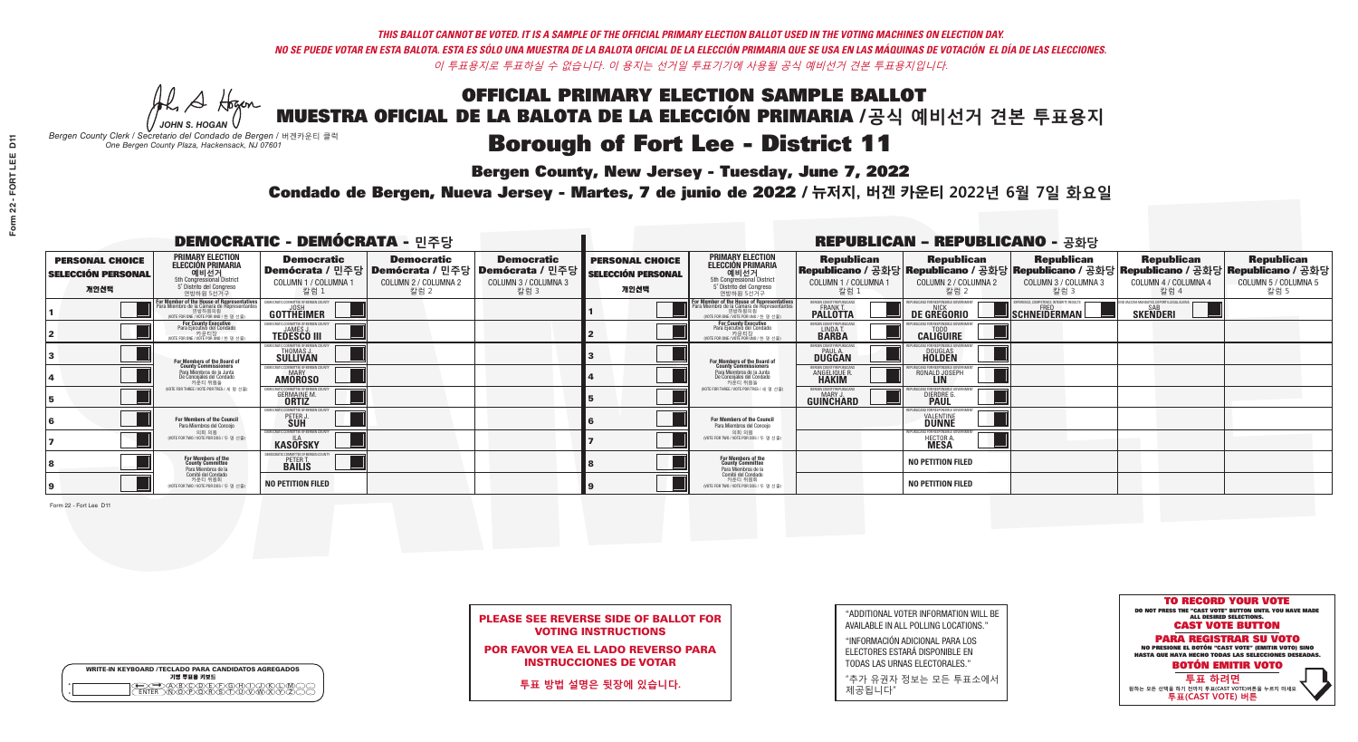## **Bergen County, New Jersey - Tuesday, June 7, 2022**

A Hogen *JOHN S. HOGAN*

| <b>WRITE-IN KEYBOARD /TECLADO PARA CANDIDATOS AGREGADOS</b><br>기명 투표용 키보드 |  |
|---------------------------------------------------------------------------|--|
| @®©®®®®®™©®©®<br>®®®®®®®™®®®®®©©<br><b>FNTFR</b>                          |  |

*Bergen County Clerk / Secretario del Condado de Bergen /* 버겐카운티 클럭 *One Bergen County Plaza, Hackensack, NJ 07601*



| <b>PLEASE SEE REVERSE SIDE OF BALLOT FOR</b> |  |
|----------------------------------------------|--|
| <b>VOTING INSTRUCTIONS</b>                   |  |

POR FAVOR VEA EL LADO REVERSO PARA INSTRUCCIONES DE VOTAR

**투표 방법 설명은 뒷장에 있습니다.**

| "ADDITIONAL VOTER INFORMATION WILL BE |
|---------------------------------------|
| AVAILABLE IN ALL POLLING LOCATIONS."  |

"INFORMACIÓN ADICIONAL PARA LOS ELECTORES ESTARÁ DISPONIBLE EN TODAS LAS URNAS ELECTORALES."

"추가 유권자 정보는 모든 투표소에서 제공됩니다"

## Condado de Bergen, Nueva Jersey - Martes, 7 de junio de 2022 / 뉴저지, 버겐 카운티 2022년 6월 7일 화요일 *One Bergen County Plaza, Hackensack, NJ 07601*

| <b>DEMOCRATIC - DEMÓCRATA - 민주당</b>                         |                                                                                                                                                 |                                                                   |                                                   |                                                                                                        |                                                             | <b>REPUBLICAN - REPUBLICANO - 공화당</b>                                                                                                            |                                                             |                                                   |                                                                                                                                                |                                                   |                                                   |
|-------------------------------------------------------------|-------------------------------------------------------------------------------------------------------------------------------------------------|-------------------------------------------------------------------|---------------------------------------------------|--------------------------------------------------------------------------------------------------------|-------------------------------------------------------------|--------------------------------------------------------------------------------------------------------------------------------------------------|-------------------------------------------------------------|---------------------------------------------------|------------------------------------------------------------------------------------------------------------------------------------------------|---------------------------------------------------|---------------------------------------------------|
| <b>PERSONAL CHOICE</b><br><b>SELECCIÓN PERSONAL</b><br>개인선택 | <b>PRIMARY ELECTION</b><br><b>ELECCIÓN PRIMARIA</b><br>예비선거<br><sup>6</sup> 6th Congressional District<br>5° Distrito del Congreso<br>연방하원 5선거구 | <b>Democratic</b><br>COLUMN 1 / COLUMNA ·<br>- 칼럼 1               | <b>Democratic</b><br>COLUMN 2 / COLUMNA 2<br>칼럼 2 | <b>Democratic</b><br>│Demócrata / 민주당│Demócrata / 민주당│Demócrata / 민주당│<br>COLUMN 3 / COLUMNA 3<br>칼럼 3 | <b>PERSONAL CHOICE</b><br><b>SELECCIÓN PERSONAL</b><br>개인선택 | <b>PRIMARY ELECTION</b><br>ELECCIÓN PRIMARIA<br>5th Congressional District<br>5° Distrito del Congreso<br>연방하원 5선거구                              | <b>Republican</b><br>COLUMN 1 / COLUMNA 1<br>칼럼             | <b>Republican</b><br>COLUMN 2 / COLUMNA 2<br>칼럼 2 | <b>Republican</b><br>Republicano / 공화당 Republicano / 공화당 Republicano / 공화당 Republicano / 공화당 Republicano / 공화당<br>COLUMN 3 / COLUMNA 3<br>칼럼 3 | <b>Republican</b><br>COLUMN 4 / COLUMNA 4<br>칼럼 4 | <b>Republican</b><br>COLUMN 5 / COLUMNA 5<br>칼럼 5 |
|                                                             | For Member of the House of Representatives<br>Para Miembro de la Cámara de Representantes<br>연방하원의원<br>(VOTE FOR ONE / VOTE POR UNO / 한 명 선출)   | GOTTHEIMER                                                        |                                                   |                                                                                                        |                                                             | F <mark>or Member of the House of Representatives</mark><br>Para Miembro de la Cámara de Representantes<br>WOTE FOR ONE / VOTE POR UNO / 한 명 선출) | ERGEN COUNTY REPUBLICA<br><b>FRANK T</b><br><b>PALLOTTA</b> | DE GREGORIO                                       | <b>SCHNEIDERMAN!</b>                                                                                                                           | <b>SKENDERI</b>                                   |                                                   |
|                                                             | For County Executive<br>Para Ejecutivo del Condado<br>(VOTE FOR ONE / VOTE POR UNO / 한 명 선출)                                                    | <b>FMOCRATIC COMMITTEE OF BERGEN COUNTY</b><br><b>TEDESCO III</b> |                                                   |                                                                                                        |                                                             | For County Executive<br>Para Ejecutivo del Condado<br>카운티장<br>(VOTE FOR ONE / VOTE POR UNO / 한 명 선출)                                             | <b>ERGEN COUNTY REPUBLICA!</b><br>LINDA T.                  | <b>CALIGUIRE</b>                                  |                                                                                                                                                |                                                   |                                                   |
|                                                             | For Members of the Board of<br>County Commissioners                                                                                             | OCRATIC COMMITTEE OF BERGEN C<br>THOMAS J.                        |                                                   |                                                                                                        |                                                             | For Members of the Board of<br>County Commissioners                                                                                              | ERGEN COUNTY REPUBLICA<br><b>PAUL A.</b><br><b>DUGGAN</b>   | <b>DOUGLAS</b>                                    |                                                                                                                                                |                                                   |                                                   |
|                                                             | Para Miembros de la Junta<br>De Concejales del Condado<br>카운티 위원들                                                                               | IOCRATIC COMMITTEE OF BERGEN COUNT<br><b>AMOROSO</b>              |                                                   |                                                                                                        |                                                             | Para Miembros de la Junta<br>De Concejales del Condado<br>카운티 위원들                                                                                | ERGEN COUNTY REPUBLICA!<br><b>ANGELIQUE F</b>               | RONALD JOSEPH                                     |                                                                                                                                                |                                                   |                                                   |
|                                                             | (VOTE FOR THREE / VOTE POR TRES / 세 명 선출)                                                                                                       | C COMMITTEE OF BERGEN C<br><b>GERMAINE M.</b>                     |                                                   |                                                                                                        |                                                             | (VOTE FOR THREE / VOTE POR TRES / 세 명 선출)                                                                                                        | ERGEN COUNTY REPUBLICAN<br>MARY J<br><b>GUINCHARD</b>       | DIERDRE G                                         |                                                                                                                                                |                                                   |                                                   |
|                                                             | For Members of the Council<br>Para Miembros del Conceio                                                                                         | OCRATIC COMMITTEE OF BERGEN C<br>PETER                            |                                                   |                                                                                                        |                                                             | <b>For Members of the Council</b><br>Para Miembros del Conceio                                                                                   |                                                             | <b>VALENTINE</b>                                  |                                                                                                                                                |                                                   |                                                   |
|                                                             | 의회 의원<br>(VOTE FOR TWO / VOTE POR DOS / 두 명 선출)                                                                                                 | EMOCRATIC COMMITTEE OF BERGEN COUNTY<br><b>KASÖFSKY</b>           |                                                   |                                                                                                        |                                                             | 의회 의원<br>(VOTE FOR TWO / VOTE POR DOS / 두 명 선출)                                                                                                  |                                                             | HECTOR A.                                         |                                                                                                                                                |                                                   |                                                   |
|                                                             | For Members of the<br>County Committee<br>Para Miembros de la                                                                                   | PETER T.<br><b>BAILIS</b>                                         |                                                   |                                                                                                        |                                                             | For Members of the<br>County Committee<br>Para Miembros de la<br>Comité del Condado                                                              |                                                             | <b>NO PETITION FILED</b>                          |                                                                                                                                                |                                                   |                                                   |
|                                                             | Comité del Condado<br>카운티 위원회<br>(VOTE FOR TWO / VOTE POR DOS / 두 명 선출)                                                                         | <b>NO PETITION FILED</b>                                          |                                                   |                                                                                                        |                                                             | 카운티 위원회<br>(VOTE FOR TWO / VOTE POR DOS / 두 명 선출)                                                                                                |                                                             | <b>NO PETITION FILED</b>                          |                                                                                                                                                |                                                   |                                                   |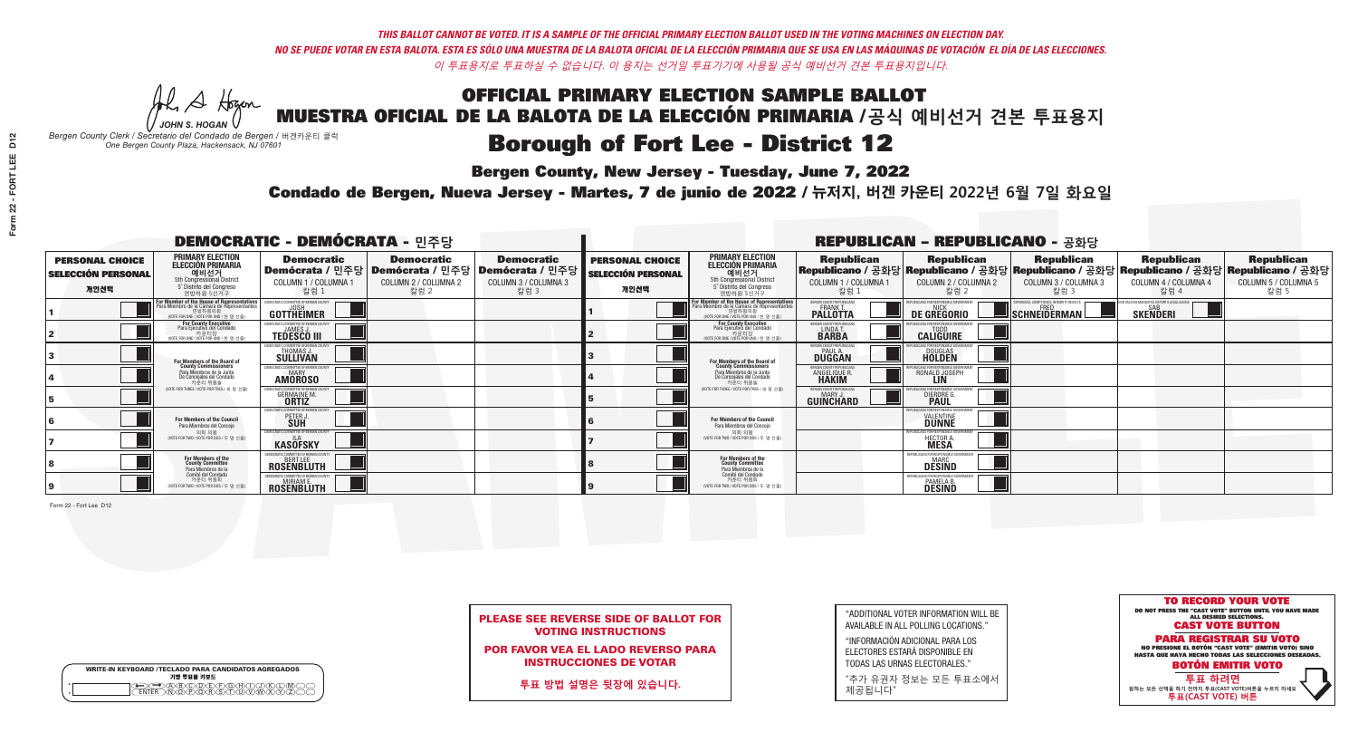**Bergen County, New Jersey - Tuesday, June 7, 2022** 

A Hogen *JOHN S. HOGAN*

| <b>WRITE-IN KEYBOARD /TECLADO PARA CANDIDATOS AGREGADOS</b><br>기명 투표용 키보드 |  |
|---------------------------------------------------------------------------|--|
| )(B)C)(D)(E)(F)(G)(H)(<br>o<br>ほうぶる<br>$\circ$                            |  |

*Bergen County Clerk / Secretario del Condado de Bergen /* 버겐카운티 클럭 *One Bergen County Plaza, Hackensack, NJ 07601*



| <b>PLEASE SEE REVERSE SIDE OF BALLOT FOR</b> |  |  |  |  |  |  |  |  |  |
|----------------------------------------------|--|--|--|--|--|--|--|--|--|
| <b>VOTING INSTRUCTIONS</b>                   |  |  |  |  |  |  |  |  |  |

POR FAVOR VEA EL LADO REVERSO PARA INSTRUCCIONES DE VOTAR

**투표 방법 설명은 뒷장에 있습니다.**

"ADDITIONAL VOTER INFORMATION WILL BE AVAILABLE IN ALL POLLING LOCATIONS."

"INFORMACIÓN ADICIONAL PARA LOS ELECTORES ESTARÁ DISPONIBLE EN TODAS LAS URNAS ELECTORALES."

"추가 유권자 정보는 모든 투표소에서 제공됩니다"

Condado de Bergen, Nueva Jersey - Martes, 7 de junio de 2022 / 뉴저지, 버겐 카운티 2022년 6월 7일 화요일 *One Bergen County Plaza, Hackensack, NJ 07601*

|                                                             |                                                                                                                                                  | <b>DEMOCRATIC - DEMÓCRATA - 민주당</b>                                          |                                                   |                                                                                                        |                                                             |                                                                                                                                   |                                                            | <b>REPUBLICAN - REPUBLICANO - 공화당</b>                            |                                                                                                                                         |                                                            |                                                   |
|-------------------------------------------------------------|--------------------------------------------------------------------------------------------------------------------------------------------------|------------------------------------------------------------------------------|---------------------------------------------------|--------------------------------------------------------------------------------------------------------|-------------------------------------------------------------|-----------------------------------------------------------------------------------------------------------------------------------|------------------------------------------------------------|------------------------------------------------------------------|-----------------------------------------------------------------------------------------------------------------------------------------|------------------------------------------------------------|---------------------------------------------------|
| <b>PERSONAL CHOICE</b><br><b>SELECCIÓN PERSONAL</b><br>개인선택 | <b>PRIMARY ELECTION</b><br><b>ELECCIÓN PRIMARIA</b><br>예비선거<br>5th Congressional District<br>5° Distrito del Congreso<br>연방하원 5선거구               | <b>Democratic</b><br>COLUMN 1 / COLUMNA 1<br>칼럼 :                            | <b>Democratic</b><br>COLUMN 2 / COLUMNA 2<br>칼럼 2 | <b>Democratic</b><br>│Demócrata / 민주당│Demócrata / 민주당│Demócrata / 민주당┃<br>COLUMN 3 / COLUMNA 3<br>칼럼 3 | <b>PERSONAL CHOICE</b><br><b>SELECCIÓN PERSONAL</b><br>개인선택 | <b>PRIMARY ELECTION</b><br>ELECCIÓN PRIMARIA<br>예비선거<br>5th Congressional District<br>5° Distrito del Congreso<br>연방하원 5선거구       | <b>Republican</b><br>COLUMN 1 / COLUMNA 1<br>칼럼            | <b>Republican</b><br>COLUMN 2 / COLUMNA 2<br>칼럼 2                | Republican<br>Republicano / 공화당 Republicano / 공화당 Republicano / 공화당 Republicano / 공화당 Republicano / 공화당<br>COLUMN 3 / COLUMNA 3<br>칼럼 3 | <b>Republican</b><br>COLUMN 4 / COLUMNA 4<br>칼럼 4          | <b>Republican</b><br>COLUMN 5 / COLUMNA 5<br>칼럼 5 |
|                                                             | <b>r Member of the House of Representatives</b><br>ra Miembro de la Cámara de Representantes<br>연방하원의원<br>(VOTE FOR ONE / VOTE POR UNO / 한 명 선출) | GOTTHEIMER                                                                   |                                                   |                                                                                                        |                                                             | For Member of the House of Representatives<br>Para Miembro de la Cámara de Representantes<br>WOTE FOR ONE / VOTE POR UNO / 한 명 선출 | BERGEN COUNTY REPUBLICANS<br>FRANK T.<br><b>PALLOTTA</b>   | DE GREGORIO                                                      | PERIENCE, COMPETENCE, INTEGRITY, RESULTS<br>SCHNEIDERMAN                                                                                | VACCINE MANDATES, DEPORT ILLEGAL ALIENS<br><b>SKENDERI</b> |                                                   |
|                                                             | For County Executive<br>Para Ejecutivo del Condado<br>. 카운티장<br>(VOTE FOR ONE / VOTE POR UNO / 한 명 선출)                                           | )EMOCRATIC COMMITTEE OF BERGEN COUNTY<br><b>TEDESCO III</b>                  |                                                   |                                                                                                        |                                                             | <b>For County Executive</b><br>Para Ejecutivo del Condado<br>카운티장<br>(VOTE FOR ONE / VOTE POR UNO / 한 명 선출)                       | BERGEN COUNTY REPUBLICAN<br>LINDA T.                       | <b>CALIGUIRE</b>                                                 |                                                                                                                                         |                                                            |                                                   |
|                                                             | <b>For Members of the Board of<br/>County Commissioners</b>                                                                                      | MOCRATIC COMMITTEE OF BERGEN COUNTY<br>THOMAS J.                             |                                                   |                                                                                                        |                                                             | For Members of the Board of<br>County Commissioners                                                                               | ERGEN COUNTY REPUBLICAN<br><b>PAUL A.</b><br><b>DUGGAN</b> | <b>DOUGLAS</b>                                                   |                                                                                                                                         |                                                            |                                                   |
|                                                             | Para Miembros de la Junta<br>De Concejales del Condado<br>카운티 위원들                                                                                | CRATIC COMMITTEE OF BERGEN COUNTY<br><b>MARY</b><br><b>AMÖROSO</b>           |                                                   |                                                                                                        |                                                             | Para Miembros de la Junta<br>De Concejales del Condado<br>카우티 위원들                                                                 | <b>RGEN COUNTY REPUBLICAN</b><br><b>ANGELIQUE F</b>        | RONALD JOSEPH                                                    |                                                                                                                                         |                                                            |                                                   |
|                                                             | NOTE FOR THREE / VOTE POR TRES / 세 명 선출)                                                                                                         | ATIC COMMITTEE OF BERGEN COUN<br><b>GERMAINE M.</b><br><b>ORTIZ</b>          |                                                   |                                                                                                        |                                                             | (VOTE FOR THREE / VOTE POR TRES / 세 명 선출)                                                                                         | ERGEN COUNTY REPUBLICANS<br><b>MARY J</b><br>GUINCHARD     | <b>DIERDRE G</b><br><b>PAUL</b>                                  |                                                                                                                                         |                                                            |                                                   |
|                                                             | For Members of the Council<br>Para Miembros del Conceio                                                                                          | MOCRATIC COMMITTEE OF BERGEN CI<br>PETER J                                   |                                                   |                                                                                                        |                                                             | For Members of the Council<br>Para Miembros del Conceio                                                                           |                                                            | <b>DUNNE</b>                                                     |                                                                                                                                         |                                                            |                                                   |
|                                                             | 의회 의원<br>(VOTE FOR TWO / VOTE POR DOS / 두 명 선출)                                                                                                  | EMOCRATIC COMMITTEE OF BERGEN COUNT<br><b>KASOFSKY</b>                       |                                                   |                                                                                                        |                                                             | 의회 의원<br>NOTE FOR TWO / VOTE POR DOS / 두 명 선출)                                                                                    |                                                            | PUBLICANS FOR RESPONSIBLE GO<br><b>HECTOR A</b><br><b>MESA</b>   |                                                                                                                                         |                                                            |                                                   |
|                                                             | For Members of the<br>County Committee<br>Para Miembros de la                                                                                    | <b>ROSENBLUTH</b>                                                            |                                                   |                                                                                                        |                                                             | For Members of the<br>County Committee<br>Para Miembros de la<br>Comité del Condado                                               |                                                            | REPUBLICANS FOR RESPONSIBLI<br><b>DESIND</b>                     |                                                                                                                                         |                                                            |                                                   |
|                                                             | Comité del Condado<br>카운티 위원회<br>(VOTE FOR TWO / VOTE POR DOS / 두 명 선출)                                                                          | <b>EMOCRATIC COMMITTEE OF BERGEN COUNTY</b><br><b>MIRIAM E</b><br>ROSENBLUTH |                                                   |                                                                                                        |                                                             | 카운티 위원회<br>(VOTE FOR TWO / VOTE POR DOS / 두 명 선출)                                                                                 |                                                            | REPUBLICANS FOR RESPONSIBLE<br><b>PAMELA B.</b><br><b>DESIND</b> |                                                                                                                                         |                                                            |                                                   |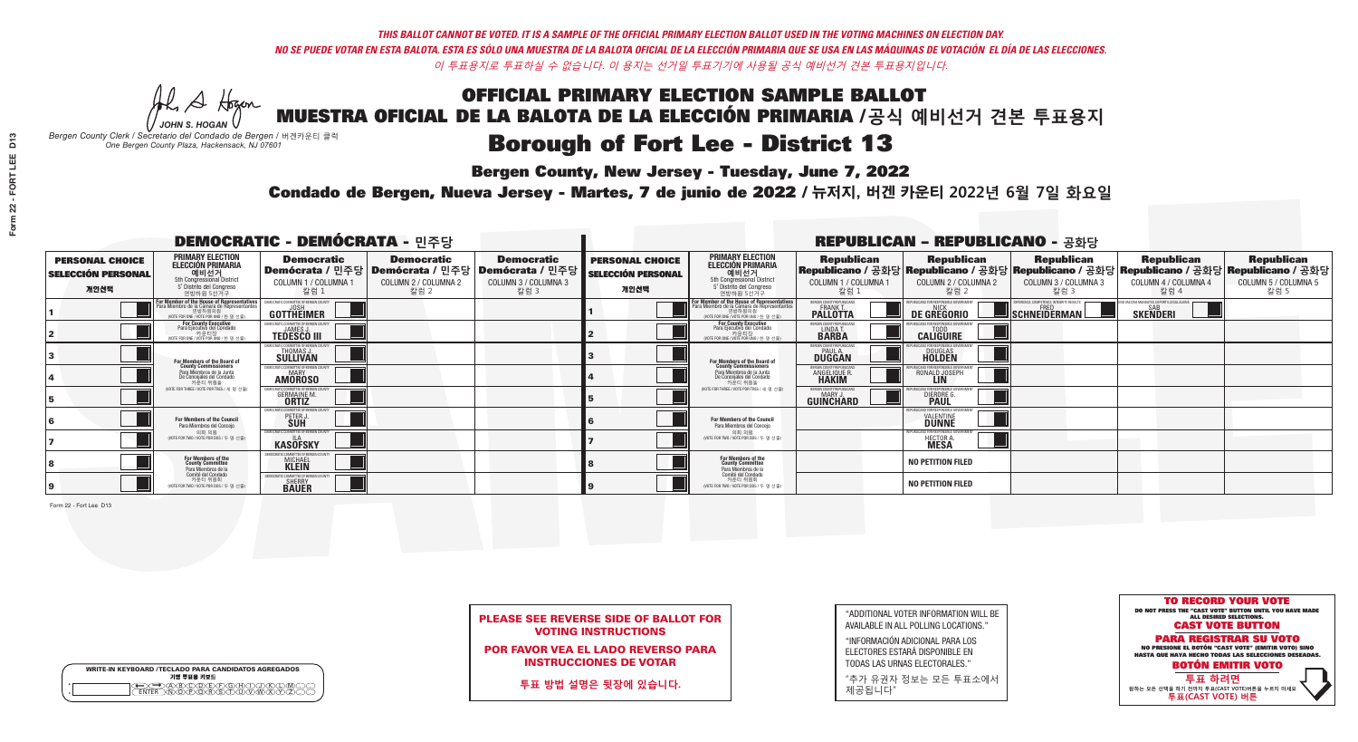**Bergen County, New Jersey - Tuesday, June 7, 2022** 

A Hogen *JOHN S. HOGAN*

| <b>WRITE-IN KEYBOARD /TECLADO PARA CANDIDATOS AGREGADOS</b><br>기명 투표용 키보드 |
|---------------------------------------------------------------------------|
| .)BXCXDXEXFXGXHX<br>፞ <i>ቚ</i> ፙ፝ዀ፝ጞጞ፝                                    |

*Bergen County Clerk / Secretario del Condado de Bergen /* 버겐카운티 클럭 *One Bergen County Plaza, Hackensack, NJ 07601*



| <b>PLEASE SEE REVERSE SIDE OF BALLOT FOR</b> |                            |  |  |  |
|----------------------------------------------|----------------------------|--|--|--|
|                                              | <b>VOTING INSTRUCTIONS</b> |  |  |  |

POR FAVOR VEA EL LADO REVERSO PARA INSTRUCCIONES DE VOTAR

**투표 방법 설명은 뒷장에 있습니다.**

"ADDITIONAL VOTER INFORMATION WILL BE AVAILABLE IN ALL POLLING LOCATIONS."

"INFORMACIÓN ADICIONAL PARA LOS ELECTORES ESTARÁ DISPONIBLE EN TODAS LAS URNAS ELECTORALES."

"추가 유권자 정보는 모든 투표소에서 제공됩니다"

Condado de Bergen, Nueva Jersey - Martes, 7 de junio de 2022 / 뉴저지, 버겐 카운티 2022년 6월 7일 화요일 *One Bergen County Plaza, Hackensack, NJ 07601*

|                                                             |                                                                                                                                 | <b>DEMOCRATIC - DEMÓCRATA - 민주당</b>                                   |                                                   |                                                                                                        |                                                             |                                                                                                                                    |                                                      | <b>REPUBLICAN - REPUBLICANO - 공화당</b>             |                                                                                                                                                |                                                   |                                                   |
|-------------------------------------------------------------|---------------------------------------------------------------------------------------------------------------------------------|-----------------------------------------------------------------------|---------------------------------------------------|--------------------------------------------------------------------------------------------------------|-------------------------------------------------------------|------------------------------------------------------------------------------------------------------------------------------------|------------------------------------------------------|---------------------------------------------------|------------------------------------------------------------------------------------------------------------------------------------------------|---------------------------------------------------|---------------------------------------------------|
| <b>PERSONAL CHOICE</b><br><b>SELECCIÓN PERSONAL</b><br>개인선택 | <b>PRIMARY ELECTION</b><br><b>ELECCIÓN PRIMARIA</b><br>예비선거 5th Congressional District<br>5° Distrito del Congreso<br>연방하원 5선거구 | <b>Democratic</b><br>COLUMN 1 / COLUMNA 1<br>칼럼 1                     | <b>Democratic</b><br>COLUMN 2 / COLUMNA 2<br>칼럼 2 | <b>Democratic</b><br>│Demócrata / 민주당│Demócrata / 민주당│Demócrata / 민주당│<br>COLUMN 3 / COLUMNA 3<br>칼럼 3 | <b>PERSONAL CHOICE</b><br><b>SELECCIÓN PERSONAL</b><br>개인선택 | <b>PRIMARY ELECTION</b><br><b>ELECCIÓN PRIMARIA</b><br>예비선거<br>5th Congressional District<br>5° Distrito del Congreso<br>연방하원 5선거구 | <b>Republican</b><br>COLUMN 1 / COLUMNA 1<br>칼럼      | <b>Republican</b><br>COLUMN 2 / COLUMNA 2<br>칼럼 2 | <b>Republican</b><br>Republicano / 공화당 Republicano / 공화당 Republicano / 공화당 Republicano / 공화당 Republicano / 공화당<br>COLUMN 3 / COLUMNA 3<br>칼럼 3 | <b>Republican</b><br>COLUMN 4 / COLUMNA 4<br>칼럼 4 | <b>Republican</b><br>COLUMN 5 / COLUMNA 5<br>칼럼 5 |
|                                                             | For Member of the House of Representatives<br>Para Miembro de la Cámara de Representantes                                       | EMOCRATIC COMMITTEE OF BERGEN (<br><b>GOTTHEIMER</b>                  |                                                   |                                                                                                        |                                                             | For Member of the House of Representatives<br>Para Miembro de la Cámara de Representantes                                          | ERGEN COUNTY REPUBLICAN<br><b>PALLOTTA</b>           | DE GREGORIO                                       | SCHNEIDERMAN                                                                                                                                   | <b>SKENDERI</b>                                   |                                                   |
|                                                             | For County Executive<br>Para Ejecutivo del Condado<br>WOTE FOR ONE / VOTE POR UNO / 하 명 선축                                      | <b>TEDESCO III</b>                                                    |                                                   |                                                                                                        |                                                             | <b>For County Executive</b><br>Para Ejecutivo del Condado<br>WOTE FOR ONE / VOTE POR UNO / 하 명 선축                                  | BERGEN COUNTY REPUBLICA<br>LINDA T.                  | <b>CALIGUIRE</b>                                  |                                                                                                                                                |                                                   |                                                   |
|                                                             | For Members of the Board of<br>County Commissioners                                                                             | EMOCRATIC COMMITTEE OF BERGEN COUNT<br>THOMAS J.                      |                                                   |                                                                                                        |                                                             | For Members of the Board of<br>County Commissioners                                                                                | ERGEN COUNTY REPUBLICAN<br><b>DUGGAN</b>             | <b>DOUGLAS</b>                                    |                                                                                                                                                |                                                   |                                                   |
|                                                             | Para Miembros de la Junta<br>De Concejales del Condado<br>카운티 위원들                                                               | EMOCRATIC COMMITTEE OF BERGEN COUNTY<br><b>MARY</b><br><b>AMOROSO</b> |                                                   |                                                                                                        |                                                             | Para Miembros de la Junta<br>De Concejales del Condado<br>카운티 위원들                                                                  | <b>FRGEN COUNTY REPUBLICAN</b><br><b>ANGELIQUE R</b> | RONALD JOSEPH                                     |                                                                                                                                                |                                                   |                                                   |
|                                                             | NOTE FOR THREE / VOTE POR TRES / 세 명 선출)                                                                                        | <b>GERMAINE M.</b><br><b>ORTIZ</b>                                    |                                                   |                                                                                                        |                                                             | (VOTE FOR THREE / VOTE POR TRES / 세 명 선출)                                                                                          | ERGEN COUNTY REPUBLICANS<br>MARY J<br>GUINCHARD      | <b>DIERDRE G</b><br><b>PAUL</b>                   |                                                                                                                                                |                                                   |                                                   |
|                                                             | For Members of the Council<br>Para Miembros del Conceio                                                                         | MOCRATIC COMMITTEE OF BERGEN COUNTY<br>PETER J                        |                                                   |                                                                                                        |                                                             | <b>For Members of the Council</b><br>Para Miembros del Conceio                                                                     |                                                      | IRI ICANS ENR RESPONSIRI E G<br><b>DUNNE</b>      |                                                                                                                                                |                                                   |                                                   |
|                                                             | 의회 의원<br>(VOTE FOR TWO / VOTE POR DOS / 두 명 선출)                                                                                 | EMOCRATIC COMMITTEE OF BERGEN COUNTY<br><b>KASOFSKY</b>               |                                                   |                                                                                                        |                                                             | 의회 의원<br>WOTE FOR TWO / VOTE POR DOS / 두 명 선출)                                                                                     |                                                      | PUBLICANS FOR RESPONSIBLE GO<br>HECTOR A.         |                                                                                                                                                |                                                   |                                                   |
|                                                             | For Members of the<br>County Committee<br>Para Miembros de la                                                                   | OCRATIC COMMITTEE OF RERGEN C<br><b>MICHAEL</b><br><b>KLEIN</b>       |                                                   |                                                                                                        |                                                             | For Members of the<br>County Committee<br>Para Miembros de la<br>Comité del Condado                                                |                                                      | <b>NO PETITION FILED</b>                          |                                                                                                                                                |                                                   |                                                   |
|                                                             | Comité del Condado<br>카운티 위원회<br>(VOTE FOR TWO / VOTE POR DOS / 두 명 선출)                                                         | MOCRATIC COMMITTEE OF BERGEN CO<br><b>SHERRY</b><br><b>BAUER</b>      |                                                   |                                                                                                        |                                                             | 카운티 위원회<br>(VOTE FOR TWO / VOTE POR DOS / 두 명 선출)                                                                                  |                                                      | <b>NO PETITION FILED</b>                          |                                                                                                                                                |                                                   |                                                   |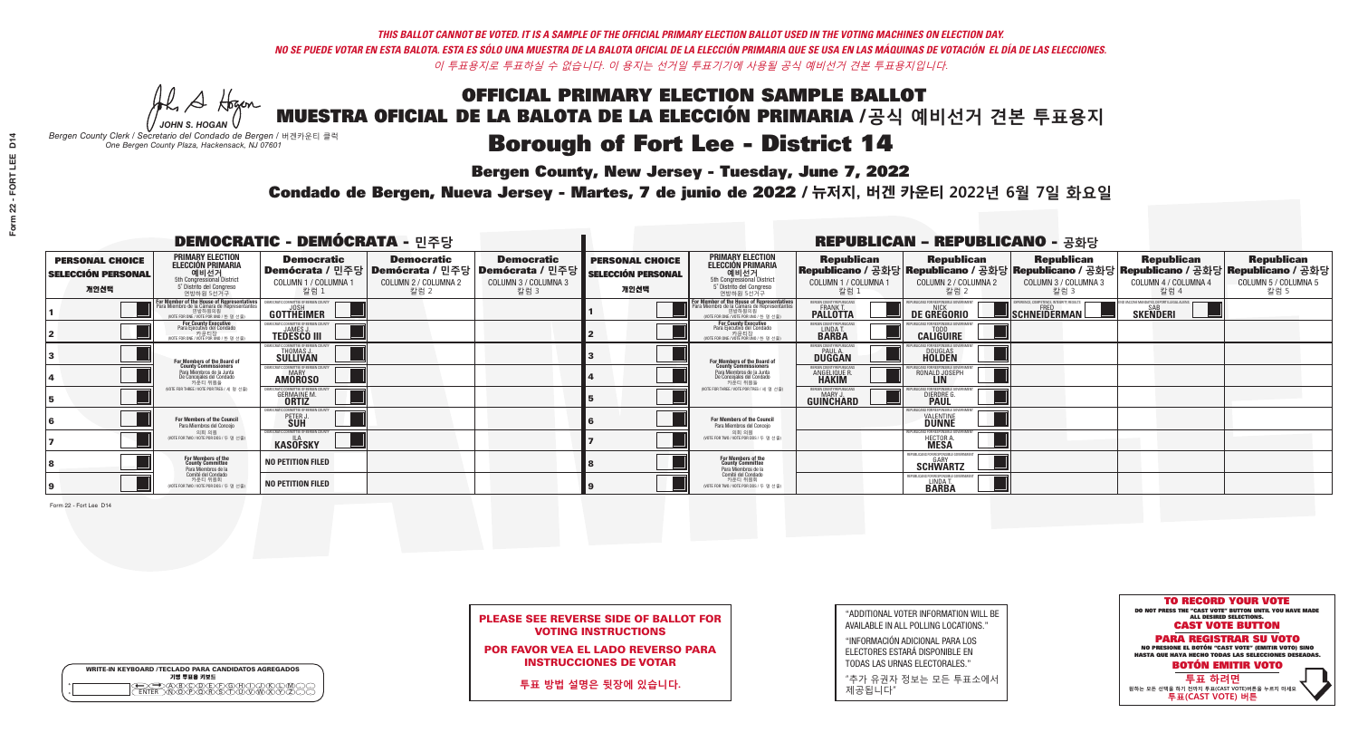**Bergen County, New Jersey - Tuesday, June 7, 2022** 

A Hogen *JOHN S. HOGAN*

| <b>WRITE-IN KEYBOARD /TECLADO PARA CANDIDATOS AGREGADOS</b><br>기명 투표용 키보드 |  |
|---------------------------------------------------------------------------|--|
| )@®©®®®®®<br>}M@®@®\${T{I}W                                               |  |

*Bergen County Clerk / Secretario del Condado de Bergen /* 버겐카운티 클럭 *One Bergen County Plaza, Hackensack, NJ 07601*



| <b>PLEASE SEE REVERSE SIDE OF BALLOT FOR</b> |  |
|----------------------------------------------|--|
| <b>VOTING INSTRUCTIONS</b>                   |  |

POR FAVOR VEA EL LADO REVERSO PARA INSTRUCCIONES DE VOTAR

**투표 방법 설명은 뒷장에 있습니다.**

"ADDITIONAL VOTER INFORMATION WILL BE AVAILABLE IN ALL POLLING LOCATIONS."

"INFORMACIÓN ADICIONAL PARA LOS ELECTORES ESTARÁ DISPONIBLE EN TODAS LAS URNAS ELECTORALES."

"추가 유권자 정보는 모든 투표소에서 제공됩니다"

Condado de Bergen, Nueva Jersey - Martes, 7 de junio de 2022 / 뉴저지, 버겐 카운티 2022년 6월 7일 화요일 *One Bergen County Plaza, Hackensack, NJ 07601*

|                                                             |                                                                                                                                               | <b>DEMOCRATIC - DEMÓCRATA - 민주당</b>                                |                                                   |                                                                                                        |                                                             |                                                                                                                                               |                                                                | <b>REPUBLICAN - REPUBLICANO - 공화당</b>             |                                                                                                                                                |                                                               |                                                   |
|-------------------------------------------------------------|-----------------------------------------------------------------------------------------------------------------------------------------------|--------------------------------------------------------------------|---------------------------------------------------|--------------------------------------------------------------------------------------------------------|-------------------------------------------------------------|-----------------------------------------------------------------------------------------------------------------------------------------------|----------------------------------------------------------------|---------------------------------------------------|------------------------------------------------------------------------------------------------------------------------------------------------|---------------------------------------------------------------|---------------------------------------------------|
| <b>PERSONAL CHOICE</b><br><b>SELECCIÓN PERSONAL</b><br>개인선택 | <b>PRIMARY ELECTION</b><br><b>ELECCIÓN PRIMARIA</b><br>예비선거<br><sup>5th</sup> Congressional District<br>5° Distrito del Congreso<br>연방하원 5선거구 | <b>Democratic</b><br>COLUMN 1 / COLUMNA 1<br>칼럼 1                  | <b>Democratic</b><br>COLUMN 2 / COLUMNA 2<br>칼럼 2 | <b>Democratic</b><br>│Demócrata / 민주당│Demócrata / 민주당│Demócrata / 민주당│<br>COLUMN 3 / COLUMNA 3<br>칼럼 3 | <b>PERSONAL CHOICE</b><br><b>SELECCIÓN PERSONAL</b><br>개인선택 | <b>PRIMARY ELECTION</b><br><b>ELECCIÓN PRIMARIA</b><br>예비선거<br>5th Congressional District<br>5° Distrito del Congreso<br>연방하원 5선거구            | <b>Republican</b><br>COLUMN 1 / COLUMNA 1<br>칼럼 :              | <b>Republican</b><br>COLUMN 2 / COLUMNA 2<br>칼럼 2 | <b>Republican</b><br>Republicano / 공화당 Republicano / 공화당 Republicano / 공화당 Republicano / 공화당 Republicano / 공화당<br>COLUMN 3 / COLUMNA 3<br>칼럼 3 | <b>Republican</b><br>COLUMN 4 / COLUMNA 4<br>칼럼 4             | <b>Republican</b><br>COLUMN 5 / COLUMNA 5<br>칼럼 5 |
|                                                             | For Member of the House of Representatives<br>Para Miembro de la Cámara de Representantes<br>연방하원의원<br>(VOTE FOR ONE / VOTE POR UNO / 한 명 선출  | DEMOCRATIC COMMITTEE OF BERGEN COUNTY<br>JOSH<br><b>GOTTHEIMER</b> |                                                   |                                                                                                        |                                                             | For Member of the House of Representatives<br>Para Miembro de la Cámara de Representantes<br>연방하원의원<br>(VOTE FOR ONE / VOTE POR UNO / 한 명 선출) | BERGEN COUNTY REPUBLICANS<br>FRANK T.<br><b>PALLOTTA</b>       | DE GREGORIO                                       | SCHNEIDERMAN                                                                                                                                   | D VACCINE MANDATES, DEPORT ILLEGAL ALIENS.<br><b>SKENDERI</b> |                                                   |
|                                                             | For County Executive<br>Para Ejecutivo del Condado<br>. 카운티장<br>(VOTE FOR ONE / VOTE POR UNO / 한 명 선출)                                        | )EMOCRATIC COMMITTEE OF BERGEN COUNT<br><b>TEDESCO III</b>         |                                                   |                                                                                                        |                                                             | <b>For County Executive</b><br>Para Ejecutivo del Condado<br>카운티장<br>(VOTE FOR ONE / VOTE POR UNO / 한 명 선출)                                   | BERGEN COUNTY REPUBLICAN<br>LINDAT.                            | <b>CALIGUIRE</b>                                  |                                                                                                                                                |                                                               |                                                   |
|                                                             | <b>For Members of the Board of<br/>County Commissioners</b>                                                                                   | MOCRATIC COMMITTEE OF BERGEN COUNT<br><b>SULLIVAN</b>              |                                                   |                                                                                                        |                                                             | For Members of the Board of<br>County Commissioners                                                                                           | ERGEN COUNTY REPUBLICAN<br><b>PAUL A.</b><br><b>DUGGAN</b>     | <b>DOUGLAS</b>                                    |                                                                                                                                                |                                                               |                                                   |
|                                                             | Para Miembros de la Junta<br>De Concejales del Condado<br>카운티 위원들                                                                             | <b>10CRATIC COMMITTEE OF BERGEN COUNTY</b><br><b>AMOROSO</b>       |                                                   |                                                                                                        |                                                             | Para Miembros de la Junta<br>De Concejales del Condado<br>카운티 위원들                                                                             | ERGEN COUNTY REPUBLICAN:<br><b>ANGELIQUE R</b><br><b>HAKIM</b> | RONALD JOSEPH                                     |                                                                                                                                                |                                                               |                                                   |
|                                                             | NOTE FOR THREE / VOTE POR TRES / 세 명 선출)                                                                                                      | RATIC COMMITTEE OF BERGEN COUN<br><b>GERMAINE M.</b>               |                                                   |                                                                                                        |                                                             | NOTE FOR THREE / VOTE POR TRES / 세 명 선출)                                                                                                      | ERGEN COUNTY REPUBLICANS<br>MARY J.<br>GUINCHARD               | DIERDRE G                                         |                                                                                                                                                |                                                               |                                                   |
|                                                             | For Members of the Council<br>Para Miembros del Conceio                                                                                       | CRATIC COMMITTEE OF BERGEN<br>PETER J                              |                                                   |                                                                                                        |                                                             | For Members of the Council<br>Para Miembros del Conceio                                                                                       |                                                                | : ENR RESPONSIRI E G<br><b>VALENTINE</b>          |                                                                                                                                                |                                                               |                                                   |
|                                                             | 의회 의원<br>(VOTE FOR TWO / VOTE POR DOS / 두 명 선출)                                                                                               | DEMOCRATIC COMMITTEE OF BERGEN COUNT<br><b>KASOFSKY</b>            |                                                   |                                                                                                        |                                                             | 의회 의원<br>(VOTE FOR TWO / VOTE POR DOS / 두 명 선출)                                                                                               |                                                                | EPUBLICANS FOR RESPONSIBLE GOVE<br>HECTOR A       |                                                                                                                                                |                                                               |                                                   |
|                                                             | For Members of the<br>County Committee<br>Para Miembros de la<br>Comité del Condado                                                           | <b>NO PETITION FILED</b>                                           |                                                   |                                                                                                        |                                                             | For Members of the<br>County Committee<br>Para Miembros de la<br>Comité del Condado                                                           |                                                                | REPUBLICANS FOR RESPONSIBLE (<br><b>SCHWARTZ</b>  |                                                                                                                                                |                                                               |                                                   |
|                                                             | 카운티 위원회<br>(VOTE FOR TWO / VOTE POR DOS / 두 명 선출)                                                                                             | NO PETITION FILED                                                  |                                                   |                                                                                                        |                                                             | 카운티 위원회<br>WOTE FOR TWO / VOTE POR DOS / 두 명 선출)                                                                                              |                                                                | REPUBLICANS FOR RESPONSIBLE (<br>LINDA T.         |                                                                                                                                                |                                                               |                                                   |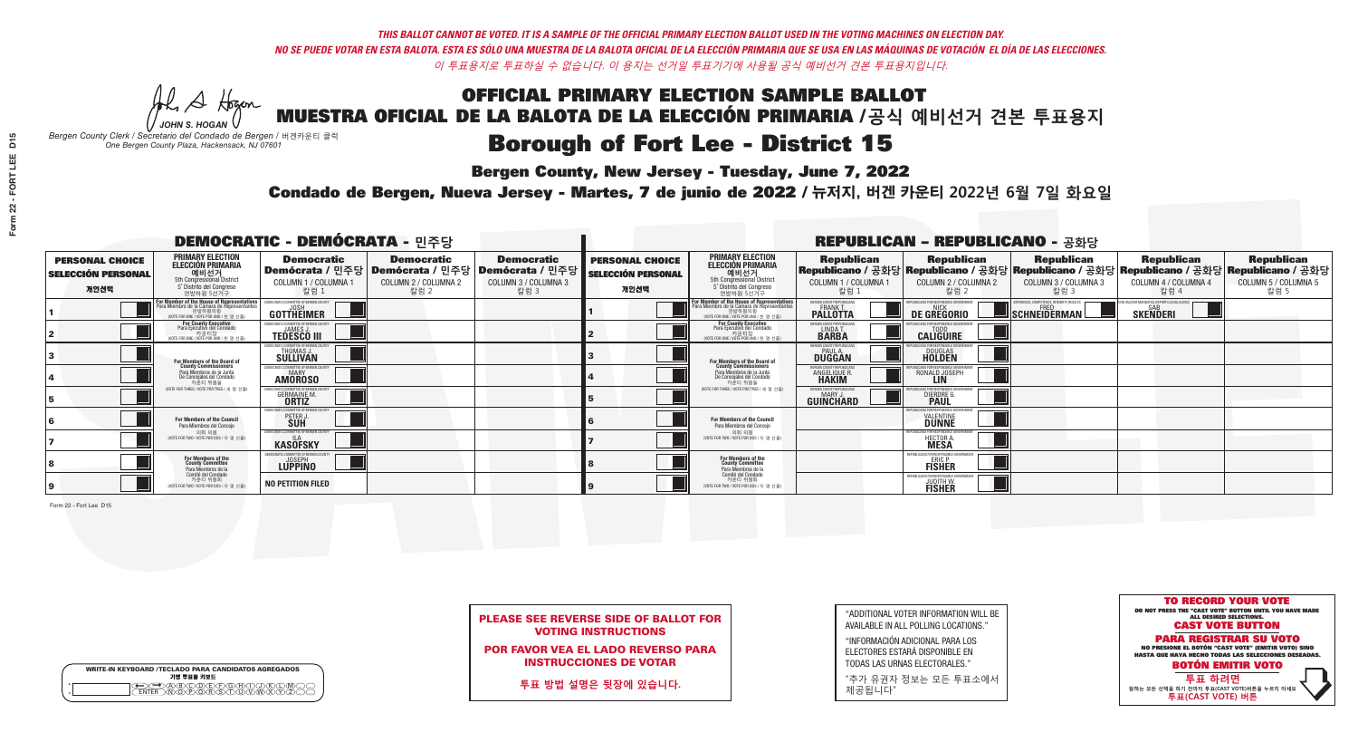**Bergen County, New Jersey - Tuesday, June 7, 2022** 

A Hogen *JOHN S. HOGAN*

| <b>WRITE-IN KEYBOARD /TECLADO PARA CANDIDATOS AGREGADOS</b><br>기명 투표용 키보드 |  |
|---------------------------------------------------------------------------|--|
| @®©®©©©®<br>®®®®®®®®®                                                     |  |

*Bergen County Clerk / Secretario del Condado de Bergen /* 버겐카운티 클럭 *One Bergen County Plaza, Hackensack, NJ 07601*



| <b>PLEASE SEE REVERSE SIDE OF BALLOT FOR</b> |  |
|----------------------------------------------|--|
| <b>VOTING INSTRUCTIONS</b>                   |  |

POR FAVOR VEA EL LADO REVERSO PARA INSTRUCCIONES DE VOTAR

**투표 방법 설명은 뒷장에 있습니다.**

"ADDITIONAL VOTER INFORMATION WILL BE AVAILABLE IN ALL POLLING LOCATIONS."

"INFORMACIÓN ADICIONAL PARA LOS ELECTORES ESTARÁ DISPONIBLE EN TODAS LAS URNAS ELECTORALES."

"추가 유권자 정보는 모든 투표소에서 제공됩니다"

Condado de Bergen, Nueva Jersey - Martes, 7 de junio de 2022 / 뉴저지, 버겐 카운티 2022년 6월 7일 화요일 *One Bergen County Plaza, Hackensack, NJ 07601*

|                                                             |                                                                                                                                               | <b>DEMOCRATIC - DEMÓCRATA - 민주당</b>                               |                                                   |                                                                                                        |                                                             |                                                                                                                                               |                                                              | <b>REPUBLICAN - REPUBLICANO - 공화당</b>                            |                                                                                                                                                |                                                   |                                                   |
|-------------------------------------------------------------|-----------------------------------------------------------------------------------------------------------------------------------------------|-------------------------------------------------------------------|---------------------------------------------------|--------------------------------------------------------------------------------------------------------|-------------------------------------------------------------|-----------------------------------------------------------------------------------------------------------------------------------------------|--------------------------------------------------------------|------------------------------------------------------------------|------------------------------------------------------------------------------------------------------------------------------------------------|---------------------------------------------------|---------------------------------------------------|
| <b>PERSONAL CHOICE</b><br><b>SELECCIÓN PERSONAL</b><br>개인선택 | <b>PRIMARY ELECTION</b><br><b>ELECCIÓN PRIMARIA</b><br>예비선거<br>5th Congressional District<br>5° Distrito del Congreso<br>연방하원 5선거구            | <b>Democratic</b><br>COLUMN 1 / COLUMNA 1<br>칼럼 1                 | <b>Democratic</b><br>COLUMN 2 / COLUMNA 2<br>칼럼 2 | <b>Democratic</b><br>│Demócrata / 민주당│Demócrata / 민주당│Demócrata / 민주당┃<br>COLUMN 3 / COLUMNA 3<br>칼럼 3 | <b>PERSONAL CHOICE</b><br><b>SELECCIÓN PERSONAL</b><br>개인선택 | <b>PRIMARY ELECTION</b><br>ELECCIÓN PRIMARIA<br>5th Congressional District<br>5° Distrito del Congreso<br>연방하원 5선거구                           | <b>Republican</b><br>COLUMN 1 / COLUMNA 1<br>칼럼 :            | <b>Republican</b><br>COLUMN 2 / COLUMNA 2<br>참럼 2                | <b>Republican</b><br>Republicano / 공화당 Republicano / 공화당 Republicano / 공화당 Republicano / 공화당 Republicano / 공화당<br>COLUMN 3 / COLUMNA 3<br>칼럼 3 | <b>Republican</b><br>COLUMN 4 / COLUMNA 4<br>칼럼 4 | <b>Republican</b><br>COLUMN 5 / COLUMNA 5<br>칼럼 5 |
|                                                             | For Member of the House of Representatives<br>Para Miembro de la Cámara de Representantes<br>연방하원의원<br>(VOTE FOR ONE / VOTE POR UNO / 한 명 선출) | GOTTHEIMER                                                        |                                                   |                                                                                                        |                                                             | For Member of the House of Representatives<br>Para Miembro de la Cámara de Representantes<br>엔망아원의원<br>(VOTE FOR ONE / VOTE POR UNO / 한 명 선출) | ERGEN COUNTY REPUBLICAN<br><b>PALLOTTA</b>                   | DE GREGORIO                                                      | SCHNEIDERMAN                                                                                                                                   | <b>SKENDERI</b>                                   |                                                   |
|                                                             | <b>For County Executive</b><br>Para Ejecutivo del Condado<br>가운티장<br>(VOTE FOR ONE / VOTE POR UNO / 한 명 선출)                                   | <b>FMOCRATIC COMMITTEE OF BERGEN COUNTY</b><br><b>TEDESCO III</b> |                                                   |                                                                                                        |                                                             | <b>For County Executive</b><br>Para Ejecutivo del Condado<br>카운티장<br>(VOTE FOR ONE / VOTE POR UNO / 한 명 선출                                    | BERGEN COUNTY REPUBLICAN<br>LINDA T.                         | <b>CALIGUIRE</b>                                                 |                                                                                                                                                |                                                   |                                                   |
|                                                             | <b>For Members of the Board of<br/>County Commissioners</b>                                                                                   | MOCRATIC COMMITTEE OF BERGEN COUNT<br>THOMAS J.                   |                                                   |                                                                                                        |                                                             | For Members of the Board of<br>County Commissioners                                                                                           | ERGEN COUNTY REPUBLICAI<br><b>PAUL A.</b><br><b>DUGGAN</b>   | <b>DOUGLAS</b><br><b>HOLDEN</b>                                  |                                                                                                                                                |                                                   |                                                   |
|                                                             | Para Miembros de la Junta<br>De Concejales del Condado<br>카우티 위원들                                                                             | MOCRATIC COMMITTEE OF BERGEN COUNTY<br><b>AMOROSO</b>             |                                                   |                                                                                                        |                                                             | Para Miembros de la Junta<br>De Concejales del Condado<br>카우티 위원들                                                                             | RGEN COUNTY REPUBLICAN<br><b>ANGELIQUE R</b><br><b>HAKIM</b> | RONALD JOSEPH                                                    |                                                                                                                                                |                                                   |                                                   |
|                                                             | NOTE FOR THREE / VOTE POR TRES / 세 명 선출)                                                                                                      | OCRATIC COMMITTEE OF BERGEN COL<br><b>GERMAINE M.</b>             |                                                   |                                                                                                        |                                                             | NOTE FOR THREE / VOTE POR TRES / 세 명 선출                                                                                                       | ERGEN COUNTY REPUBLICANS<br>MARY J<br>GUINCHARD              | <b>DIERDRE</b>                                                   |                                                                                                                                                |                                                   |                                                   |
|                                                             | For Members of the Council<br>Para Miembros del Conceio                                                                                       | AOCRATIC COMMITTEE OF BERGEN<br>PETER J.                          |                                                   |                                                                                                        |                                                             | <b>For Members of the Council</b><br>Para Miembros del Conceio                                                                                |                                                              | <b>DUNNE</b>                                                     |                                                                                                                                                |                                                   |                                                   |
|                                                             | 의회 의원<br>(VOTE FOR TWO / VOTE POR DOS / 두 명 선출)                                                                                               | EMOCRATIC COMMITTEE OF BERGEN COUNT<br><b>KASOFSKY</b>            |                                                   |                                                                                                        |                                                             | 의회 의원<br>(VOTE FOR TWO / VOTE POR DOS / 두 명 선출)                                                                                               |                                                              | EPUBLICANS FOR RESPONSIBLE GOT<br><b>HECTOR A</b><br><b>MESA</b> |                                                                                                                                                |                                                   |                                                   |
|                                                             | For Members of the<br>County Committee<br>Para Miembros de la<br>Comité del Condado                                                           | MOCRATIC COMMITTEE OF BERGEN<br>LUPPINO                           |                                                   |                                                                                                        |                                                             | For Members of the<br>County Committee<br>Para Miembros de la<br>Comité del Condado                                                           |                                                              | REPUBLICANS FOR RESPONSIBLI<br>ERIC P.<br>FISHER                 |                                                                                                                                                |                                                   |                                                   |
|                                                             | 카운티 위원회<br>(VOTE FOR TWO / VOTE POR DOS / 두 명 선출)                                                                                             | <b>NO PETITION FILED</b>                                          |                                                   |                                                                                                        |                                                             | 카운티 위원회<br>WOTE FOR TWO / VOTE POR DOS / 두 명 선출)                                                                                              |                                                              | REPUBLICANS FOR RESPONSIBLE<br><b>JUDITH W.</b><br>FISHER        |                                                                                                                                                |                                                   |                                                   |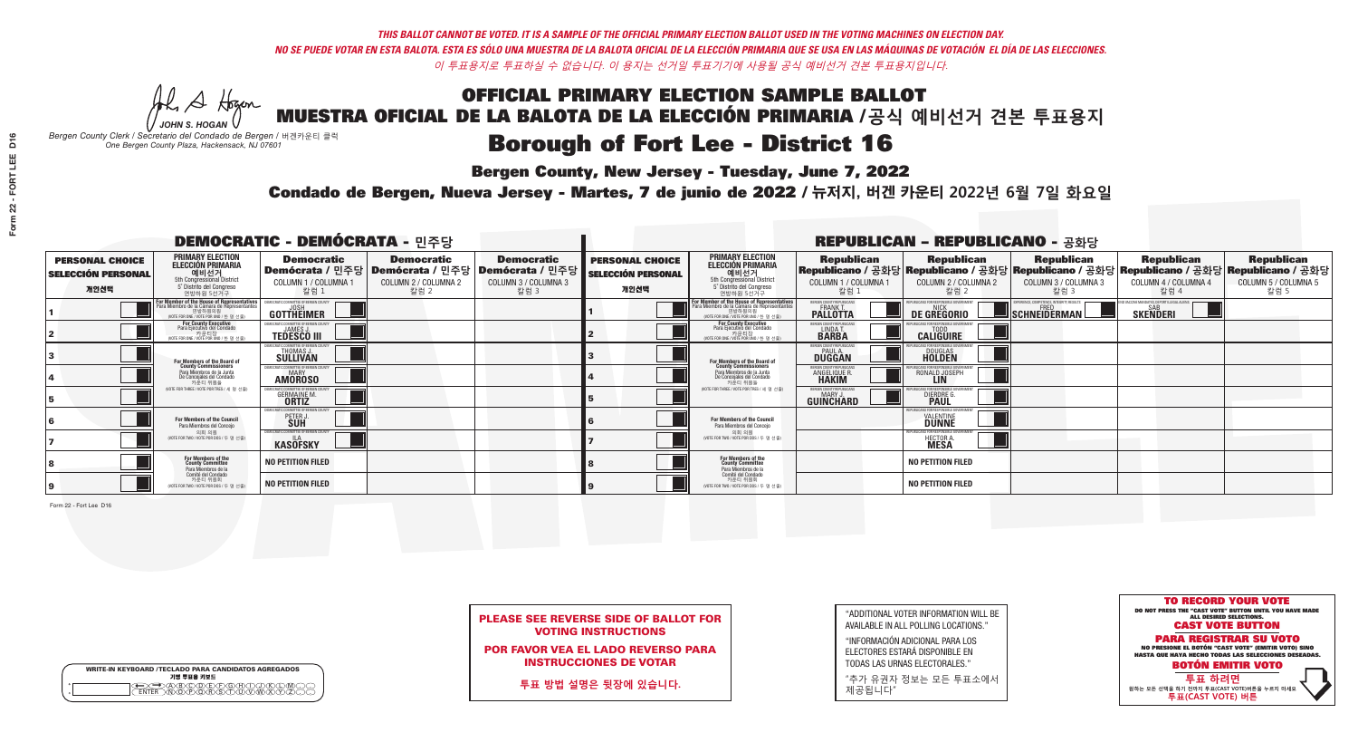**Bergen County, New Jersey - Tuesday, June 7, 2022** 

A Hogen *JOHN S. HOGAN*

| <b>WRITE-IN KEYBOARD /TECLADO PARA CANDIDATOS AGREGADOS</b><br>기명 투표용 키보드 |  |
|---------------------------------------------------------------------------|--|
| <b>ABCODEFGAC</b><br>፞ <i>শ</i> িক কৰি কৰি কৰি                            |  |

*Bergen County Clerk / Secretario del Condado de Bergen /* 버겐카운티 클럭 *One Bergen County Plaza, Hackensack, NJ 07601*



| <b>PLEASE SEE REVERSE SIDE OF BALLOT FOR</b> |
|----------------------------------------------|
| <b>VOTING INSTRUCTIONS</b>                   |

POR FAVOR VEA EL LADO REVERSO PARA INSTRUCCIONES DE VOTAR

**투표 방법 설명은 뒷장에 있습니다.**

"ADDITIONAL VOTER INFORMATION WILL BE AVAILABLE IN ALL POLLING LOCATIONS."

"INFORMACIÓN ADICIONAL PARA LOS ELECTORES ESTARÁ DISPONIBLE EN TODAS LAS URNAS ELECTORALES."

"추가 유권자 정보는 모든 투표소에서 제공됩니다"

Condado de Bergen, Nueva Jersey - Martes, 7 de junio de 2022 / 뉴저지, 버겐 카운티 2022년 6월 7일 화요일 *One Bergen County Plaza, Hackensack, NJ 07601*

| <b>DEMOCRATIC - DEMÓCRATA - 민주당</b>                         |                                                                                                                                                                 |                                                                                                        |                                                   |                                                   |                                                             |                                                                                                                                             |                                                                      | <b>REPUBLICAN - REPUBLICANO - 공화당</b>                    |                                                                                                                                                |                                                           |                                                   |
|-------------------------------------------------------------|-----------------------------------------------------------------------------------------------------------------------------------------------------------------|--------------------------------------------------------------------------------------------------------|---------------------------------------------------|---------------------------------------------------|-------------------------------------------------------------|---------------------------------------------------------------------------------------------------------------------------------------------|----------------------------------------------------------------------|----------------------------------------------------------|------------------------------------------------------------------------------------------------------------------------------------------------|-----------------------------------------------------------|---------------------------------------------------|
| <b>PERSONAL CHOICE</b><br><b>SELECCIÓN PERSONAL</b><br>개인선택 | <b>PRIMARY ELECTION</b><br><b>ELECCIÓN PRIMARIA</b><br>예비선거<br>5th Congressional District<br>5° Distrito del Congreso<br>연방하원 5선거구                              | <b>Democratic</b><br>│Demócrata / 민주당│Demócrata / 민주당│Demócrata / 민주당┃<br>COLUMN 1 / COLUMNA 1<br>칼럼 1 | <b>Democratic</b><br>COLUMN 2 / COLUMNA 2<br>칼럼 2 | <b>Democratic</b><br>COLUMN 3 / COLUMNA 3<br>칼럼 3 | <b>PERSONAL CHOICE</b><br><b>SELECCIÓN PERSONAL</b><br>개인선택 | <b>PRIMARY ELECTION</b><br>ELECCIÓN PRIMARIA<br>5th Congressional District<br>5° Distrito del Congreso<br>연방하원 5선거구                         | <b>Republican</b><br>COLUMN 1 / COLUMNA 1<br>칼럼                      | <b>Republican</b><br>COLUMN 2 / COLUMNA 2<br>칼럼 2        | <b>Republican</b><br>Republicano / 공화당 Republicano / 공화당 Republicano / 공화당 Republicano / 공화당 Republicano / 공화당<br>COLUMN 3 / COLUMNA 3<br>칼럼 3 | <b>Republican</b><br>COLUMN 4 / COLUMNA 4<br>칼럼 4         | <b>Republican</b><br>COLUMN 5 / COLUMNA 5<br>칼럼 5 |
|                                                             | <b>For Member of the House of Representatives<br/>Para Miembro de la Cámara de Representantes</b><br>현방하원의원<br>연방하원의원<br>(WOTE FOR ONE / VOTE POR UNO / 한 명 선출) | <b>GOTTHEIMER</b>                                                                                      |                                                   |                                                   |                                                             | For Member of the House of Representatives<br>Para Miembro de la Cámara de Representantes<br>연방하원의원<br>(VOTE FOR ONE / VOTE POR UNO / 한명선출) | ERGEN COUNTY REPUBLICAN<br><b>PALLOTTA</b>                           | DE GREGORIO                                              | PERIENCE, COMPETENCE, INTEGRITY, RESUL'<br>$\blacksquare$ Schneiderman                                                                         | /ACCINE MANDATES, DEPORT ILLEGAL ALIEN<br><b>SKENDERI</b> |                                                   |
|                                                             | For County Executive<br>Para Ejecutivo del Condado<br>가운티장<br>(VOTE FOR ONE / VOTE POR UNO / 한 명 선출)                                                            | <b>TEDESCO III</b>                                                                                     |                                                   |                                                   |                                                             | For County Executive<br>Para Ejecutivo del Condado<br>가운티장<br>(VOTE FOR ONE / VOTE POR UNO / 한 명 선출                                         | BERGEN COUNTY REPUBLICAN<br>LINDA T.                                 | <b>CALIGUIRE</b>                                         |                                                                                                                                                |                                                           |                                                   |
|                                                             | <b>For Members of the Board of<br/>County Commissioners</b>                                                                                                     | MOCRATIC COMMITTEE OF BERGEN COUNT<br>THOMAS J.                                                        |                                                   |                                                   |                                                             | For Members of the Board of<br>County Commissioners                                                                                         | ERGEN COUNTY REPUBLICAN<br><b>PAUL A.</b><br><b>DUGGAN</b>           | <b>DOUGLAS</b>                                           |                                                                                                                                                |                                                           |                                                   |
|                                                             | Para Miembros de la Junta<br>De Concejales del Condado<br>카우티 위원들                                                                                               | MOCRATIC COMMITTEE OF BERGEN COUNTY<br><b>MARY</b><br><b>AMOROSO</b>                                   |                                                   |                                                   |                                                             | Para Miembros de la Junta<br>De Concejales del Condado<br>카우티 위원들                                                                           | <b>FRGEN COUNTY REPUBLICAN</b><br><b>ANGELIQUE F</b><br><b>HAKIM</b> | RONALD JOSEPH                                            |                                                                                                                                                |                                                           |                                                   |
|                                                             | NOTE FOR THREE / VOTE POR TRES / 세 명 선출)                                                                                                                        | <b>GERMAINE M.</b>                                                                                     |                                                   |                                                   |                                                             | NOTE FOR THREE / VOTE POR TRES / 세 명 선출)                                                                                                    | ERGEN COUNTY REPUBLICANS<br>MARY J<br>GUINCHARD                      | DIERDRE G                                                |                                                                                                                                                |                                                           |                                                   |
|                                                             | <b>For Members of the Council</b><br>Para Miembros del Conceio                                                                                                  | MOCRATIC COMMITTEE OF BERGEN COUNTY<br>PETER J                                                         |                                                   |                                                   |                                                             | <b>For Members of the Council</b><br>Para Miembros del Conceio                                                                              |                                                                      | IBI ICANS FOR RESPONSIBI E GO<br><b><i>VALENTINE</i></b> |                                                                                                                                                |                                                           |                                                   |
|                                                             | 의회 의원<br>(VOTE FOR TWO / VOTE POR DOS / 두 명 선출)                                                                                                                 | EMOCRATIC COMMITTEE OF BERGEN COUNTY<br><b>KASÖFSKY</b>                                                |                                                   |                                                   |                                                             | 의회 의원<br>NOTE FOR TWO / VOTE POR DOS / 두 명 선출)                                                                                              |                                                                      | PUBLICANS FOR RESPONSIBLE GO<br>HECTOR A.                |                                                                                                                                                |                                                           |                                                   |
|                                                             | <b>For Members of the<br/>County Committee</b><br>Para Miembros de la<br>Comité del Condado                                                                     | <b>NO PETITION FILED</b>                                                                               |                                                   |                                                   |                                                             | For Members of the<br>County Committee<br>Para Miembros de la<br>Comité del Condado                                                         |                                                                      | <b>NO PETITION FILED</b>                                 |                                                                                                                                                |                                                           |                                                   |
|                                                             | 카운티 위원회<br>(VOTE FOR TWO / VOTE POR DOS / 두 명 선출)                                                                                                               | <b>NO PETITION FILED</b>                                                                               |                                                   |                                                   |                                                             | 카운티 위원회<br>(VOTE FOR TWO / VOTE POR DOS / 두 명 선출)                                                                                           |                                                                      | <b>NO PETITION FILED</b>                                 |                                                                                                                                                |                                                           |                                                   |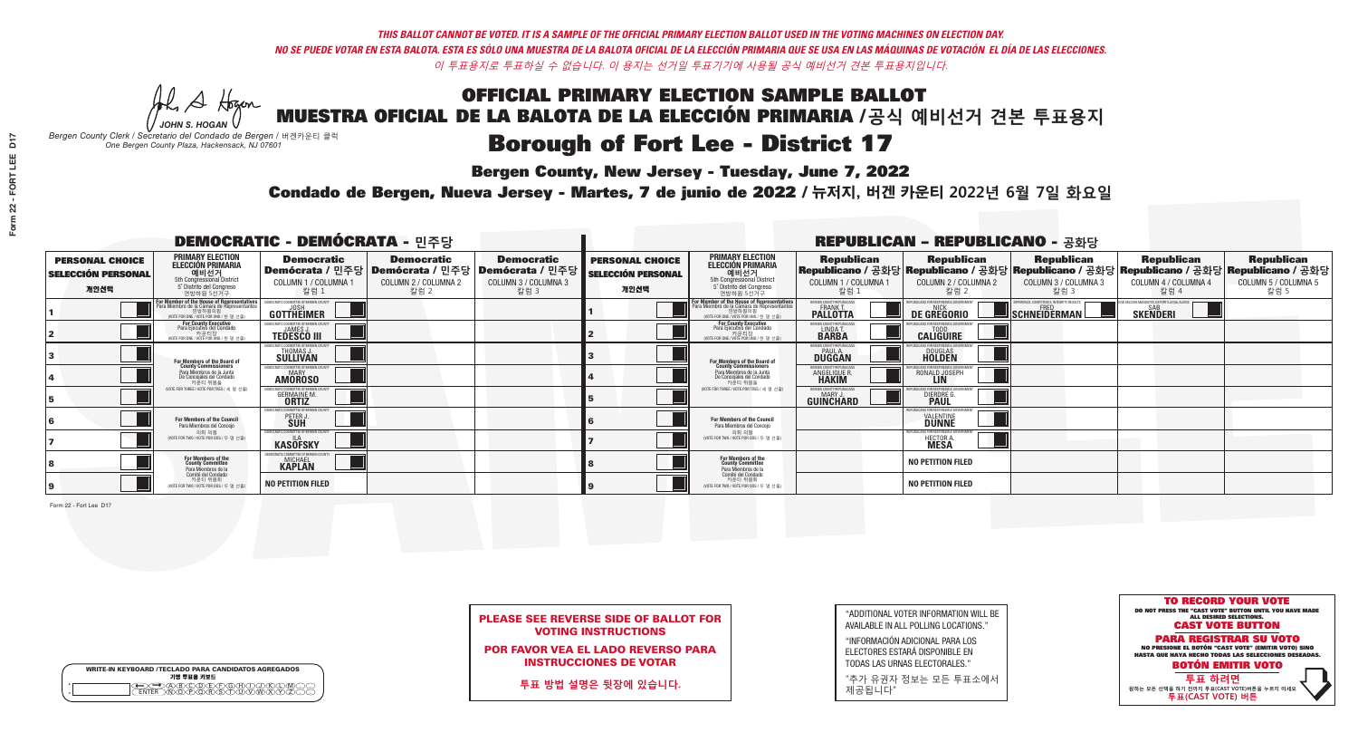**Bergen County, New Jersey - Tuesday, June 7, 2022** 

A Hogen *JOHN S. HOGAN*

| <b>WRITE-IN KEYBOARD /TECLADO PARA CANDIDATOS AGREGADOS</b><br>기명 투표용 키보드 |  |
|---------------------------------------------------------------------------|--|
| VBCODEXCORD<br>ዄ <u>ፙ፝፟፟</u> ቓሧ፝ዾቔጜዿ፝                                     |  |

*Bergen County Clerk / Secretario del Condado de Bergen /* 버겐카운티 클럭 *One Bergen County Plaza, Hackensack, NJ 07601*



| <b>PLEASE SEE REVERSE SIDE OF BALLOT FOR</b> |
|----------------------------------------------|
| <b>VOTING INSTRUCTIONS</b>                   |

POR FAVOR VEA EL LADO REVERSO PARA INSTRUCCIONES DE VOTAR

**투표 방법 설명은 뒷장에 있습니다.**

"ADDITIONAL VOTER INFORMATION WILL BE AVAILABLE IN ALL POLLING LOCATIONS."

"INFORMACIÓN ADICIONAL PARA LOS ELECTORES ESTARÁ DISPONIBLE EN TODAS LAS URNAS ELECTORALES."

"추가 유권자 정보는 모든 투표소에서 제공됩니다"

Condado de Bergen, Nueva Jersey - Martes, 7 de junio de 2022 / 뉴저지, 버겐 카운티 2022년 6월 7일 화요일 *One Bergen County Plaza, Hackensack, NJ 07601*

| <b>DEMOCRATIC - DEMÓCRATA - 민주당</b>                         |                                                                                                                                                                 |                                                                           |                                                   |                                                                                                              |                                                             |                                                                                                                                              |                                                            | <b>REPUBLICAN - REPUBLICANO - 공화당</b>                                                                                                          |                                                   |                                                                    |                                                   |
|-------------------------------------------------------------|-----------------------------------------------------------------------------------------------------------------------------------------------------------------|---------------------------------------------------------------------------|---------------------------------------------------|--------------------------------------------------------------------------------------------------------------|-------------------------------------------------------------|----------------------------------------------------------------------------------------------------------------------------------------------|------------------------------------------------------------|------------------------------------------------------------------------------------------------------------------------------------------------|---------------------------------------------------|--------------------------------------------------------------------|---------------------------------------------------|
| <b>PERSONAL CHOICE</b><br><b>SELECCIÓN PERSONAL</b><br>개인선택 | <b>PRIMARY ELECTION</b><br><b>ELECCIÓN PRIMARIA</b><br>예비선거<br>5th Congressional District<br>5° Distrito del Congreso<br>연방하원 5선거구                              | <b>Democratic</b><br>COLUMN 1 / COLUMNA 1<br>칼럼 1                         | <b>Democratic</b><br>COLUMN 2 / COLUMNA 2<br>칼럼 2 | <b>Democratic</b><br>  Demócrata / 민주당   Demócrata / 민주당   Demócrata / 민주당  <br>COLUMN 3 / COLUMNA 3<br>칼럼 3 | <b>PERSONAL CHOICE</b><br><b>SELECCIÓN PERSONAL</b><br>개인선택 | <b>PRIMARY ELECTION</b><br><b>ELECCIÓN PRIMARIA</b><br>예비선거<br>5th Congressional District<br>5° Distrito del Congreso<br>연방하원 5선거구           | <b>Republican</b><br>COLUMN 1 / COLUMNA 1<br>칼럼            | <b>Republican</b><br>Republicano / 공화당 Republicano / 공화당 Republicano / 공화당 Republicano / 공화당 Republicano / 공화당<br>COLUMN 2 / COLUMNA 2<br>참럼 2 | <b>Republican</b><br>COLUMN 3 / COLUMNA 3<br>칼럼 3 | <b>Republican</b><br>COLUMN 4 / COLUMNA 4<br>칼럼 4                  | <b>Republican</b><br>COLUMN 5 / COLUMNA 5<br>칼럼 5 |
|                                                             | F <b>or Member of the House of Representatives</b><br>Para Miembro de la Cámara de Representantes<br>현방하원의원<br>연방하원의원<br>(WOTE FOR ONE / VOTE POR UNO / 한 명 선출) | <b>GOTTHEIMER</b>                                                         |                                                   |                                                                                                              |                                                             | For Member of the House of Representatives<br>Para Miembro de la Cámara de Representantes<br>연방하원의원<br>(VOTE FOR ONE / VOTE POR UNO / 한 명 선출 | ERGEN COUNTY REPUBLICAN<br><b>PALLOTTA</b>                 | DE GREGORIO                                                                                                                                    | SCHNEIDERMAN                                      | <b>D VACCINE MANDATES, DEPORT ILLEGAL ALIEN</b><br><b>SKENDERI</b> |                                                   |
|                                                             | For County Executive<br>Para Ejecutivo del Condado<br>가운티장<br>(VOTE FOR ONE / VOTE POR UNO / 한 명 선출)                                                            | <b>TEDESCO III</b>                                                        |                                                   |                                                                                                              |                                                             | For County Executive<br>Para Ejecutivo del Condado<br>가운티장<br>(VOTE FOR ONE / VOTE POR UNO / 한 명 선출)                                         | BERGEN COUNTY REPUBLICAN<br>LINDA T.                       | <b>CALIGUIRE</b>                                                                                                                               |                                                   |                                                                    |                                                   |
|                                                             | <b>For Members of the Board of<br/>County Commissioners</b>                                                                                                     | MOCRATIC COMMITTEE OF BERGEN COUNT<br><b>THOMAS J.</b><br><b>SULLIVAN</b> |                                                   |                                                                                                              |                                                             | For Members of the Board of<br>County Commissioners                                                                                          | ERGEN COUNTY REPUBLICAN<br><b>PAUL A.</b><br><b>DUGGAN</b> | <b>DOUGLAS</b>                                                                                                                                 |                                                   |                                                                    |                                                   |
|                                                             | Para Miembros de la Junta<br>De Concejales del Condado<br>카우티 위원들                                                                                               | MOCRATIC COMMITTEE OF BERGEN COUNTY<br>MARY<br><b>AMOROSO</b>             |                                                   |                                                                                                              |                                                             | Para Miembros de la Junta<br>De Concejales del Condado<br>카운티 위원들                                                                            | <b>FRGEN COUNTY REPUBLICAN</b><br>ANGELIQUE R              | RONALD JOSEPH                                                                                                                                  |                                                   |                                                                    |                                                   |
|                                                             | NOTE FOR THREE / VOTE POR TRES / 세 명 선출)                                                                                                                        | <b>GERMAINE M.</b><br><b>ORTIZ</b>                                        |                                                   |                                                                                                              |                                                             | NOTE FOR THREE / VOTE POR TRES / 세 명 선출)                                                                                                     | ERGEN COUNTY REPUBLICANS<br>MARY .I<br>GUINCHARD           | DIERDRE G                                                                                                                                      |                                                   |                                                                    |                                                   |
|                                                             | <b>For Members of the Council</b><br>Para Miembros del Conceio                                                                                                  | MOCRATIC COMMITTEE OF BERGEN COUNTY<br>PETER J                            |                                                   |                                                                                                              |                                                             | <b>For Members of the Council</b><br>Para Miembros del Conceio                                                                               |                                                            | UBI ICANS FOR RESPONSIBI E GO<br><b>VALENTINE</b>                                                                                              |                                                   |                                                                    |                                                   |
|                                                             | 의회 의원<br>(VOTE FOR TWO / VOTE POR DOS / 두 명 선출)                                                                                                                 | EMOCRATIC COMMITTEE OF BERGEN COUNTY<br><b>KASOFSKY</b>                   |                                                   |                                                                                                              |                                                             | 의회 의원<br>NOTE FOR TWO / VOTE POR DOS / 두 명 선출)                                                                                               |                                                            | PUBLICANS FOR RESPONSIBLE GOV<br>HECTOR A.                                                                                                     |                                                   |                                                                    |                                                   |
|                                                             | For Members of the<br>County Committee<br>Para Miembros de la                                                                                                   | CRATIC COMMITTEE OF BERGEN CI<br><b>MICHAEL</b><br><b>KAPLAN</b>          |                                                   |                                                                                                              |                                                             | For Members of the<br>County Committee<br>Para Miembros de la<br>Comité del Condado                                                          |                                                            | <b>NO PETITION FILED</b>                                                                                                                       |                                                   |                                                                    |                                                   |
|                                                             | Comité del Condado<br>카운티 위원회<br>(VOTE FOR TWO / VOTE POR DOS / 두 명 선출)                                                                                         | <b>NO PETITION FILED</b>                                                  |                                                   |                                                                                                              |                                                             | 카운티 위원회<br>(VOTE FOR TWO / VOTE POR DOS / 두 명 선출)                                                                                            |                                                            | <b>NO PETITION FILED</b>                                                                                                                       |                                                   |                                                                    |                                                   |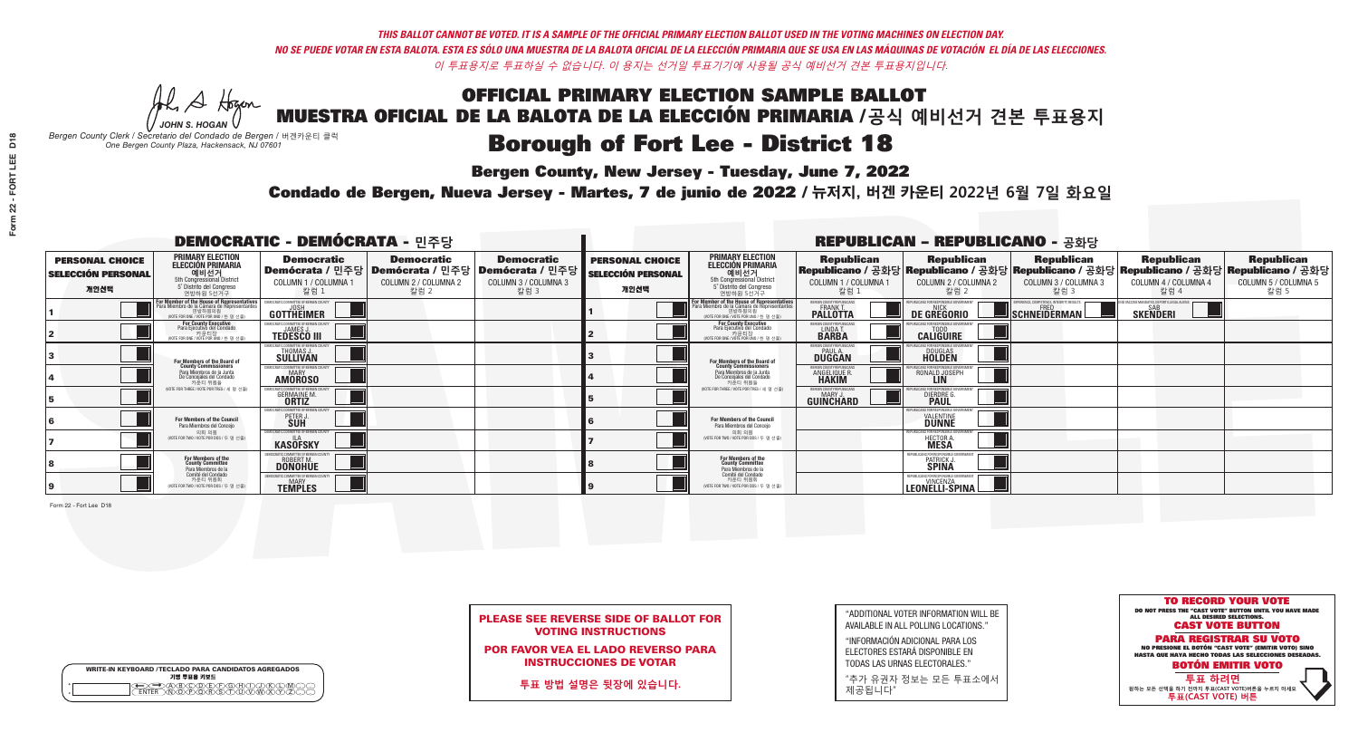## **Bergen County, New Jersey - Tuesday, June 7, 2022**

Condado de Bergen, Nueva Jersey - Martes, 7 de junio de 2022 / 뉴저지, 버겐 카운티 2022년 6월 7일 화요일

A Hogen *JOHN S. HOGAN*

|              | <b>WRITE-IN KEYBOARD /TECLADO PARA CANDIDATOS AGREGADOS</b><br>기명 투표용 키보드 |  |
|--------------|---------------------------------------------------------------------------|--|
| 0<br>$\circ$ | )(B)C)(D)(E)(F)(G)(H)<br><u> VEVEVELLE</u>                                |  |

*Bergen County Clerk / Secretario del Condado de Bergen /* 버겐카운티 클럭 *One Bergen County Plaza, Hackensack, NJ 07601*



| <b>PLEASE SEE REVERSE SIDE OF BALLOT FOR</b> |                            |  |  |  |
|----------------------------------------------|----------------------------|--|--|--|
|                                              | <b>VOTING INSTRUCTIONS</b> |  |  |  |

POR FAVOR VEA EL LADO REVERSO PARA INSTRUCCIONES DE VOTAR

**투표 방법 설명은 뒷장에 있습니다.**

"ADDITIONAL VOTER INFORMATION WILL BE AVAILABLE IN ALL POLLING LOCATIONS."

"INFORMACIÓN ADICIONAL PARA LOS ELECTORES ESTARÁ DISPONIBLE EN TODAS LAS URNAS ELECTORALES."

"추가 유권자 정보는 모든 투표소에서 제공됩니다"

Form 22 - Fort Lee D18

*One Bergen County Plaza, Hackensack, NJ 07601*

| <b>DEMOCRATIC - DEMÓCRATA - 민주당</b>                         |                                                                                                                                               |                                                                         |                                                                               |                                                                          |                                                             |                                                                                                                                     |                                                            | <b>REPUBLICAN - REPUBLICANO - 공화당</b>                   |                                                                                                                                                |                                                               |                                                   |
|-------------------------------------------------------------|-----------------------------------------------------------------------------------------------------------------------------------------------|-------------------------------------------------------------------------|-------------------------------------------------------------------------------|--------------------------------------------------------------------------|-------------------------------------------------------------|-------------------------------------------------------------------------------------------------------------------------------------|------------------------------------------------------------|---------------------------------------------------------|------------------------------------------------------------------------------------------------------------------------------------------------|---------------------------------------------------------------|---------------------------------------------------|
| <b>PERSONAL CHOICE</b><br><b>SELECCIÓN PERSONAL</b><br>개인선택 | <b>PRIMARY ELECTION</b><br><b>ELECCIÓN PRIMARIA</b><br>예비선거<br><sup>5th</sup> Congressional District<br>5° Distrito del Congreso<br>연방하원 5선거구 | <b>Democratic</b><br>Demócrata / 민주당<br>COLUMN 1 / COLUMNA<br>칼럼 :      | <b>Democratic</b><br><b>ː Demócrata /</b> 민주당<br>COLUMN 2 / COLUMNA 2<br>칼럼 2 | <b>Democratic</b><br>; Demócrata / 민주당  <br>COLUMN 3 / COLUMNA 3<br>칼럼 3 | <b>PERSONAL CHOICE</b><br><b>SELECCIÓN PERSONAL</b><br>개인선택 | <b>PRIMARY ELECTION</b><br>ELECCIÓN PRIMARIA<br>예비선거<br>5th Congressional District<br>5° Distrito del Congreso<br>연방하원 5선거구         | <b>Republican</b><br>COLUMN 1 / COLUMNA 1<br>칼럼 :          | <b>Republican</b><br>COLUMN 2 / COLUMNA 2<br>칼럼.        | <b>Republican</b><br>Republicano / 공화당 Republicano / 공화당 Republicano / 공화당 Republicano / 공화당 Republicano / 공화당<br>COLUMN 3 / COLUMNA 3<br>칼럼 3 | <b>Republican</b><br>COLUMN 4 / COLUMNA 4<br>칼럼 4             | <b>Republican</b><br>COLUMN 5 / COLUMNA 5<br>칼럼 5 |
|                                                             | or Member of the House of Representatives<br>ara Miembro de la Cámara de Representantes<br>연방하원의원<br>(VOTE FOR ONE / VOTE POR UNO / 한 명 선출)   | DEMOCRATIC COMMITTEE OF BERGEN COUN'<br>GOTTHEIMER                      |                                                                               |                                                                          |                                                             | For Member of the House of Representatives<br>Para Miembro de la Cámara de Representantes<br>(VOTE FOR ONE / VOTE POR UNO / 한 명 선출) | ERGEN COUNTY REPUBLICAN<br><b>PALLOTTA</b>                 | DE GREGORIO                                             | ERIENCE, COMPETENCE, INTEGRITY, RESULTS<br>SCHNEIDERMAN                                                                                        | D VACCINE MANDATES, DEPORT ILLEGAL ALIENS.<br><b>SKENDERI</b> |                                                   |
|                                                             | <b>For County Executive</b><br>Para Ejecutivo del Condado<br>NOTE FOR ONE / VOTE POR UNO / 한 명 선출)                                            | DEMOCRATIC COMMITTEE OF BERGEN COUNTY<br><b>TEDESCO III</b>             |                                                                               |                                                                          |                                                             | <b>For County Executive</b><br>Para Ejecutivo del Condado<br>│ 카운티장<br>(VOTE FOR ONE / VOTE POR UNO / 한 명 선출)                       | BERGEN COUNTY REPUBLICAN<br>LINDA T.                       | <b>CALIGUIRE</b>                                        |                                                                                                                                                |                                                               |                                                   |
|                                                             | For Members of the Board of<br>County Commissioners                                                                                           | EMOCRATIC COMMITTEE OF BERGEN COUNTY<br>THOMAS J.                       |                                                                               |                                                                          |                                                             | For Members of the Board of<br>County Commissioners                                                                                 | ERGEN COUNTY REPUBLICAN<br><b>PAUL A.</b><br><b>DUGGAN</b> | <b>DOUGLAS</b><br><b>HOLDEN</b>                         |                                                                                                                                                |                                                               |                                                   |
|                                                             | Para Miembros de la Junta<br>De Concejales del Condado<br>카운티 위원들                                                                             | OCRATIC COMMITTEE OF BERGEN COUNTY<br><b>AMOROSO</b>                    |                                                                               |                                                                          |                                                             | Para Miembros de la Junta<br>De Concejales del Condado<br>카우티 위원들                                                                   | ERGEN COUNTY REPUBLICAN<br><b>ANGELIQUE R<br/>HAKIM</b>    | RONALD JOSEPH                                           |                                                                                                                                                |                                                               |                                                   |
|                                                             | NOTE FOR THREE / VOTE POR TRES / 세 명 선출)                                                                                                      | RATIC COMMITTEE OF BERGEN COI<br><b>GERMAINE M.</b>                     |                                                                               |                                                                          |                                                             | (VOTE FOR THREE / VOTE POR TRES / 세 명 선출)                                                                                           | BERGEN COUNTY REPUBLICANS<br>MARY J<br>GUIÑCHARD           | FOR RESPONSIBLE GO<br><b>DIERDRE</b>                    |                                                                                                                                                |                                                               |                                                   |
|                                                             | For Members of the Council<br>Para Miembros del Conceio                                                                                       | <b>EMOCRATIC COMMITTEE OF BERGEN C</b><br>PETER J                       |                                                                               |                                                                          |                                                             | For Members of the Council<br>Para Miembros del Conceio                                                                             |                                                            | JBI ICANS FOR RESPONSIBI E G<br><b>VALENTINE</b>        |                                                                                                                                                |                                                               |                                                   |
|                                                             | 의회 의원<br>(VOTE FOR TWO / VOTE POR DOS / 두 명 선출)                                                                                               | EMOCRATIC COMMITTEE OF BERGEN COUNT<br><b>KASOFSKY</b>                  |                                                                               |                                                                          |                                                             | 의회 의원<br>WOTE FOR TWO / VOTE POR DOS / 두 명 선출)                                                                                      |                                                            | EPUBLICANS FOR RESPONSIBLE GOVE<br>HECTOR A             |                                                                                                                                                |                                                               |                                                   |
|                                                             | For Members of the<br>County Committee<br>Para Miembros de la                                                                                 | <b>ROBERT M.</b><br><b>DONOHUE</b>                                      |                                                                               |                                                                          |                                                             | For Members of the<br>County Committee<br>Para Miembros de la<br>Comité del Condado                                                 |                                                            | REPUBLICANS FOR RESPONSIBLE (<br>PATRICK J.             |                                                                                                                                                |                                                               |                                                   |
|                                                             | Comité del Condado<br>카운티 위원회<br>NOTE FOR TWO / VOTE POR DOS / 두 명 선출)                                                                        | <b>FMOCRATIC COMMITTEE OF BERGEN C</b><br><b>MARY</b><br><b>TEMPLES</b> |                                                                               |                                                                          |                                                             | 카운티 위원회<br>(VOTE FOR TWO / VOTE POR DOS / 두 명 선출)                                                                                   |                                                            | REPUBLICANS FOR RESPONSIBLE GI<br><b>LEONELLI-SPINA</b> |                                                                                                                                                |                                                               |                                                   |